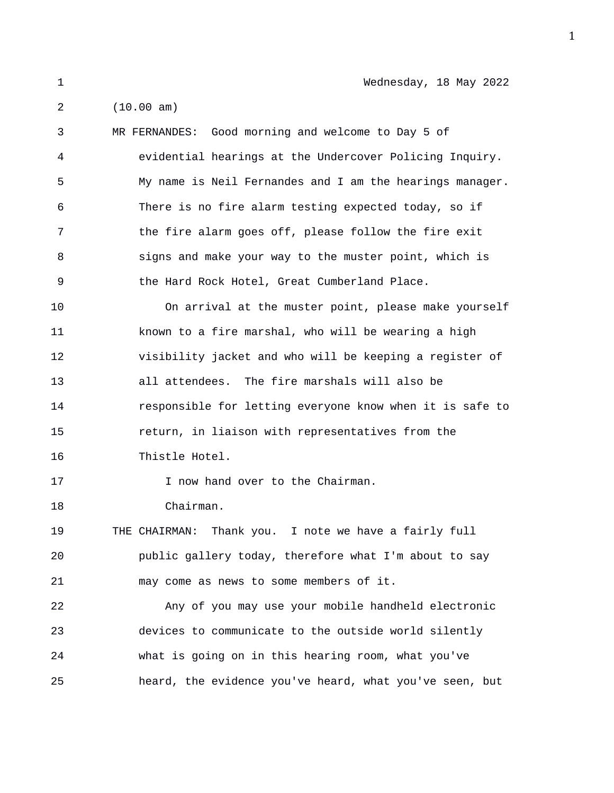1 Wednesday, 18 May 2022

2 (10.00 am)

3 MR FERNANDES: Good morning and welcome to Day 5 of 4 evidential hearings at the Undercover Policing Inquiry. 5 My name is Neil Fernandes and I am the hearings manager. 6 There is no fire alarm testing expected today, so if 7 the fire alarm goes off, please follow the fire exit 8 signs and make your way to the muster point, which is 9 the Hard Rock Hotel, Great Cumberland Place. 10 On arrival at the muster point, please make yourself 11 known to a fire marshal, who will be wearing a high 12 visibility jacket and who will be keeping a register of 13 all attendees. The fire marshals will also be 14 responsible for letting everyone know when it is safe to 15 return, in liaison with representatives from the 16 Thistle Hotel. 17 I now hand over to the Chairman. 18 Chairman. 19 THE CHAIRMAN: Thank you. I note we have a fairly full 20 public gallery today, therefore what I'm about to say 21 may come as news to some members of it. 22 Any of you may use your mobile handheld electronic 23 devices to communicate to the outside world silently 24 what is going on in this hearing room, what you've 25 heard, the evidence you've heard, what you've seen, but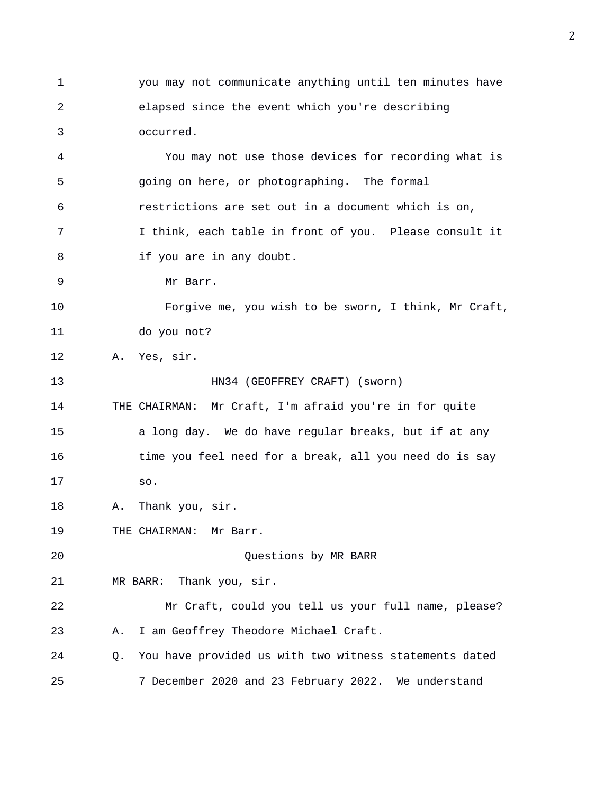1 you may not communicate anything until ten minutes have 2 elapsed since the event which you're describing 3 occurred. 4 You may not use those devices for recording what is 5 going on here, or photographing. The formal 6 restrictions are set out in a document which is on, 7 I think, each table in front of you. Please consult it 8 if you are in any doubt. 9 Mr Barr. 10 Forgive me, you wish to be sworn, I think, Mr Craft, 11 do you not? 12 A. Yes, sir. 13 HN34 (GEOFFREY CRAFT) (sworn) 14 THE CHAIRMAN: Mr Craft, I'm afraid you're in for quite 15 a long day. We do have regular breaks, but if at any 16 time you feel need for a break, all you need do is say 17 so. 18 A. Thank you, sir. 19 THE CHAIRMAN: Mr Barr. 20 Questions by MR BARR 21 MR BARR: Thank you, sir. 22 Mr Craft, could you tell us your full name, please? 23 A. I am Geoffrey Theodore Michael Craft. 24 Q. You have provided us with two witness statements dated 25 7 December 2020 and 23 February 2022. We understand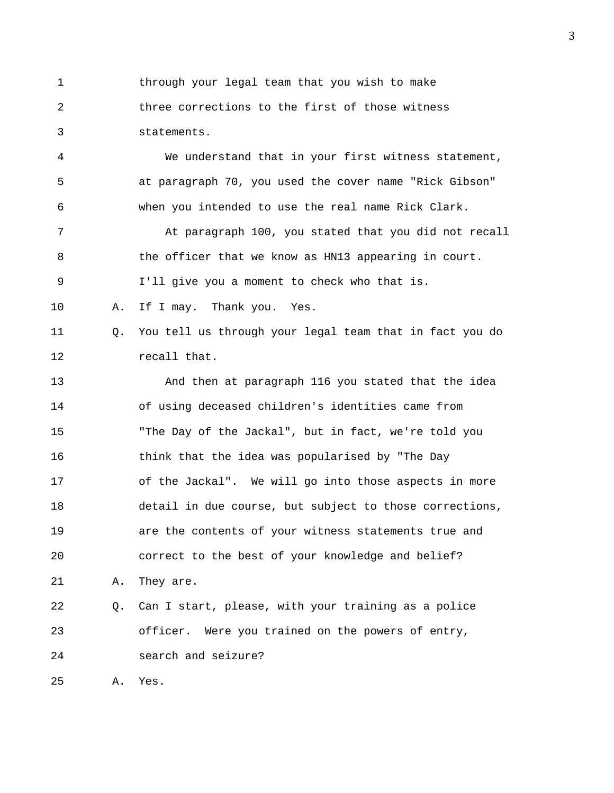1 through your legal team that you wish to make 2 three corrections to the first of those witness 3 statements.

4 We understand that in your first witness statement, 5 at paragraph 70, you used the cover name "Rick Gibson" 6 when you intended to use the real name Rick Clark.

7 At paragraph 100, you stated that you did not recall 8 the officer that we know as HN13 appearing in court. 9 I'll give you a moment to check who that is.

10 A. If I may. Thank you. Yes.

11 Q. You tell us through your legal team that in fact you do 12 recall that.

13 And then at paragraph 116 you stated that the idea 14 of using deceased children's identities came from 15 "The Day of the Jackal", but in fact, we're told you 16 think that the idea was popularised by "The Day 17 of the Jackal". We will go into those aspects in more 18 detail in due course, but subject to those corrections, 19 are the contents of your witness statements true and 20 correct to the best of your knowledge and belief? 21 A. They are. 22 Q. Can I start, please, with your training as a police

23 officer. Were you trained on the powers of entry, 24 search and seizure?

25 A. Yes.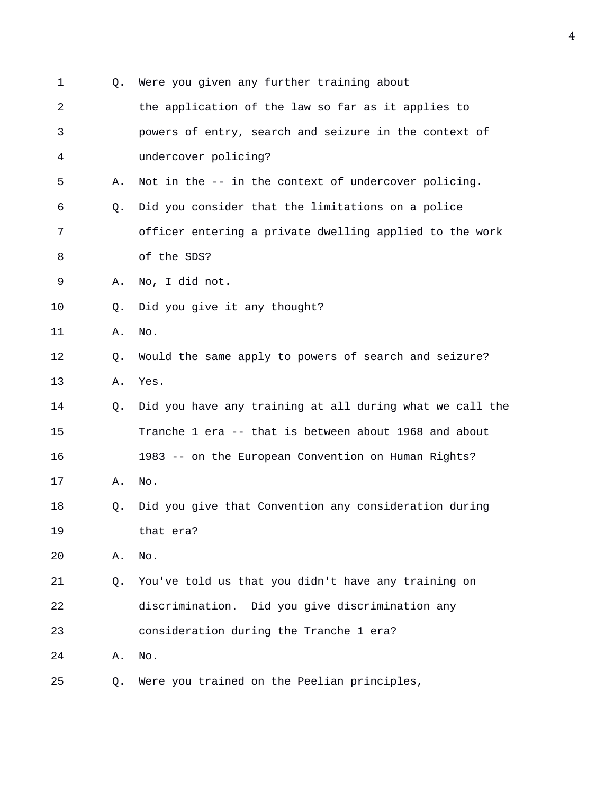| $\mathbf 1$ | 0. | Were you given any further training about                |
|-------------|----|----------------------------------------------------------|
| 2           |    | the application of the law so far as it applies to       |
| 3           |    | powers of entry, search and seizure in the context of    |
| 4           |    | undercover policing?                                     |
| 5           | Α. | Not in the -- in the context of undercover policing.     |
| 6           | Q. | Did you consider that the limitations on a police        |
| 7           |    | officer entering a private dwelling applied to the work  |
| 8           |    | of the SDS?                                              |
| 9           | Α. | No, I did not.                                           |
| 10          | O. | Did you give it any thought?                             |
| 11          | Α. | No.                                                      |
| 12          | Q. | Would the same apply to powers of search and seizure?    |
| 13          | Α. | Yes.                                                     |
| 14          | Q. | Did you have any training at all during what we call the |
| 15          |    | Tranche 1 era -- that is between about 1968 and about    |
| 16          |    | 1983 -- on the European Convention on Human Rights?      |
| 17          | Α. | No.                                                      |
| 18          | Q. | Did you give that Convention any consideration during    |
| 19          |    | that era?                                                |
| 20          | Α. | No.                                                      |
| 21          | Q. | You've told us that you didn't have any training on      |
| 22          |    | discrimination. Did you give discrimination any          |
| 23          |    | consideration during the Tranche 1 era?                  |
| 24          | Α. | No.                                                      |
| 25          | Q. | Were you trained on the Peelian principles,              |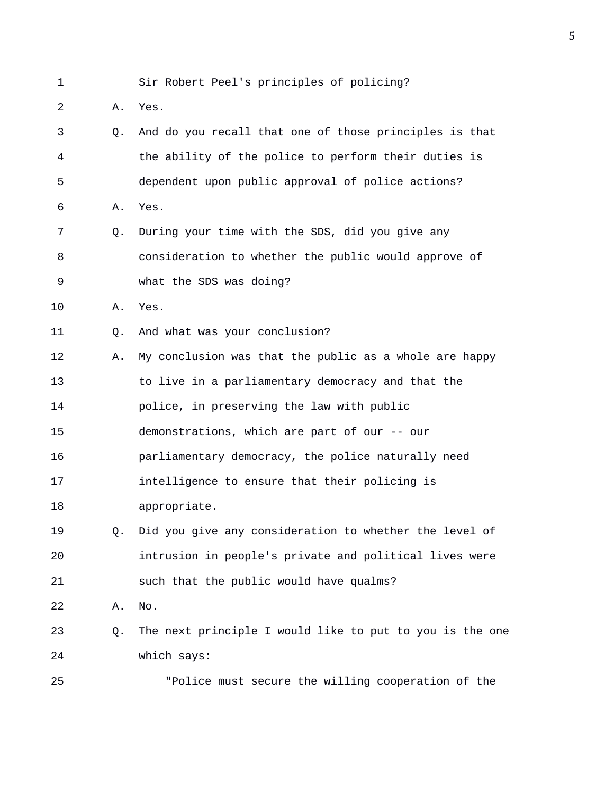1 Sir Robert Peel's principles of policing?

- 2 A. Yes.
- 3 Q. And do you recall that one of those principles is that 4 the ability of the police to perform their duties is 5 dependent upon public approval of police actions? 6 A. Yes. 7 Q. During your time with the SDS, did you give any 8 consideration to whether the public would approve of 9 what the SDS was doing? 10 A. Yes. 11 Q. And what was your conclusion? 12 A. My conclusion was that the public as a whole are happy 13 to live in a parliamentary democracy and that the 14 police, in preserving the law with public 15 demonstrations, which are part of our -- our 16 parliamentary democracy, the police naturally need 17 intelligence to ensure that their policing is 18 appropriate. 19 Q. Did you give any consideration to whether the level of 20 intrusion in people's private and political lives were 21 such that the public would have qualms? 22 A. No. 23 Q. The next principle I would like to put to you is the one 24 which says: 25 "Police must secure the willing cooperation of the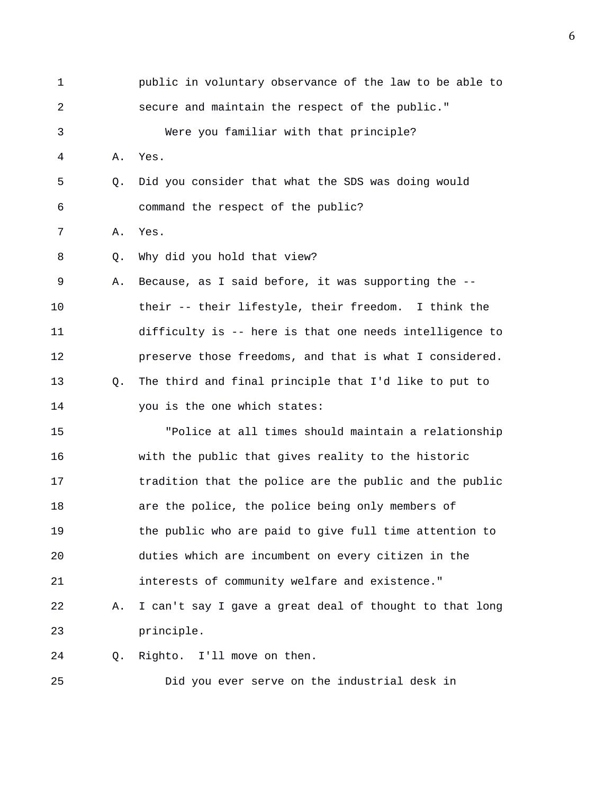| 1              |    | public in voluntary observance of the law to be able to |
|----------------|----|---------------------------------------------------------|
| $\overline{a}$ |    | secure and maintain the respect of the public."         |
| 3              |    | Were you familiar with that principle?                  |
| 4              | Α. | Yes.                                                    |
| 5              | Q. | Did you consider that what the SDS was doing would      |
| 6              |    | command the respect of the public?                      |
| 7              | Α. | Yes.                                                    |
| 8              | Q. | Why did you hold that view?                             |
| 9              | Α. | Because, as I said before, it was supporting the --     |
| 10             |    | their -- their lifestyle, their freedom. I think the    |
| 11             |    | difficulty is -- here is that one needs intelligence to |
| 12             |    | preserve those freedoms, and that is what I considered. |
| 13             | O. | The third and final principle that I'd like to put to   |
| 14             |    | you is the one which states:                            |
| 15             |    | "Police at all times should maintain a relationship     |
| 16             |    | with the public that gives reality to the historic      |
| 17             |    | tradition that the police are the public and the public |
| 18             |    | are the police, the police being only members of        |
| 19             |    | the public who are paid to give full time attention to  |
| 20             |    | duties which are incumbent on every citizen in the      |
| 21             |    | interests of community welfare and existence."          |
| 22             | Α. | I can't say I gave a great deal of thought to that long |
| 23             |    | principle.                                              |
| 24             | Q. | Righto. I'll move on then.                              |
| 25             |    | Did you ever serve on the industrial desk in            |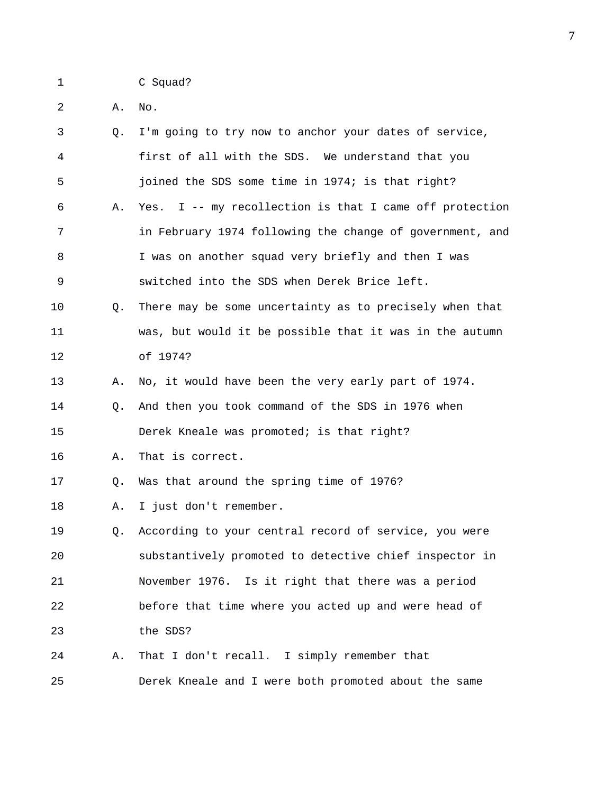1 C Squad?

2 A. No.

| $\mathbf{3}$   | 0. | I'm going to try now to anchor your dates of service,    |
|----------------|----|----------------------------------------------------------|
| $\overline{4}$ |    | first of all with the SDS. We understand that you        |
| 5              |    | joined the SDS some time in 1974; is that right?         |
| 6              | Α. | Yes. I -- my recollection is that I came off protection  |
| 7              |    | in February 1974 following the change of government, and |
| 8              |    | I was on another squad very briefly and then I was       |
| 9              |    | switched into the SDS when Derek Brice left.             |
| 10             | Q. | There may be some uncertainty as to precisely when that  |
| 11             |    | was, but would it be possible that it was in the autumn  |
| 12             |    | of 1974?                                                 |
| 13             | Α. | No, it would have been the very early part of 1974.      |
| 14             | O. | And then you took command of the SDS in 1976 when        |
| 15             |    | Derek Kneale was promoted; is that right?                |
| 16             | Α. | That is correct.                                         |
| 17             | Q. | Was that around the spring time of 1976?                 |
| 18             | Α. | I just don't remember.                                   |
| 19             | Q. | According to your central record of service, you were    |
| 20             |    | substantively promoted to detective chief inspector in   |
| 21             |    | November 1976. Is it right that there was a period       |
| 22             |    | before that time where you acted up and were head of     |
| 23             |    | the SDS?                                                 |
| 24             | Α. | That I don't recall. I simply remember that              |
| 25             |    | Derek Kneale and I were both promoted about the same     |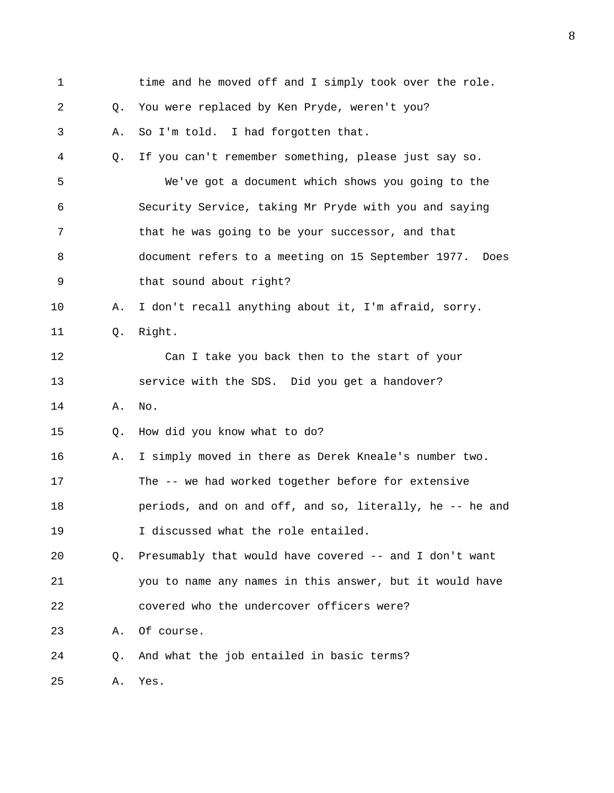| $\mathbf 1$ |    | time and he moved off and I simply took over the role.     |
|-------------|----|------------------------------------------------------------|
| 2           | Q. | You were replaced by Ken Pryde, weren't you?               |
| 3           | Α. | So I'm told. I had forgotten that.                         |
| 4           | Q. | If you can't remember something, please just say so.       |
| 5           |    | We've got a document which shows you going to the          |
| 6           |    | Security Service, taking Mr Pryde with you and saying      |
| 7           |    | that he was going to be your successor, and that           |
| 8           |    | document refers to a meeting on 15 September 1977.<br>Does |
| 9           |    | that sound about right?                                    |
| 10          | Α. | I don't recall anything about it, I'm afraid, sorry.       |
| 11          | Q. | Right.                                                     |
| 12          |    | Can I take you back then to the start of your              |
| 13          |    | service with the SDS. Did you get a handover?              |
| 14          | Α. | No.                                                        |
| 15          | Q. | How did you know what to do?                               |
| 16          | Α. | I simply moved in there as Derek Kneale's number two.      |
| 17          |    | The -- we had worked together before for extensive         |
| 18          |    | periods, and on and off, and so, literally, he -- he and   |
| 19          |    | I discussed what the role entailed.                        |
| 20          | Q. | Presumably that would have covered -- and I don't want     |
| 21          |    | you to name any names in this answer, but it would have    |
| 22          |    | covered who the undercover officers were?                  |
| 23          | Α. | Of course.                                                 |
| 24          | Q. | And what the job entailed in basic terms?                  |
| 25          | Α. | Yes.                                                       |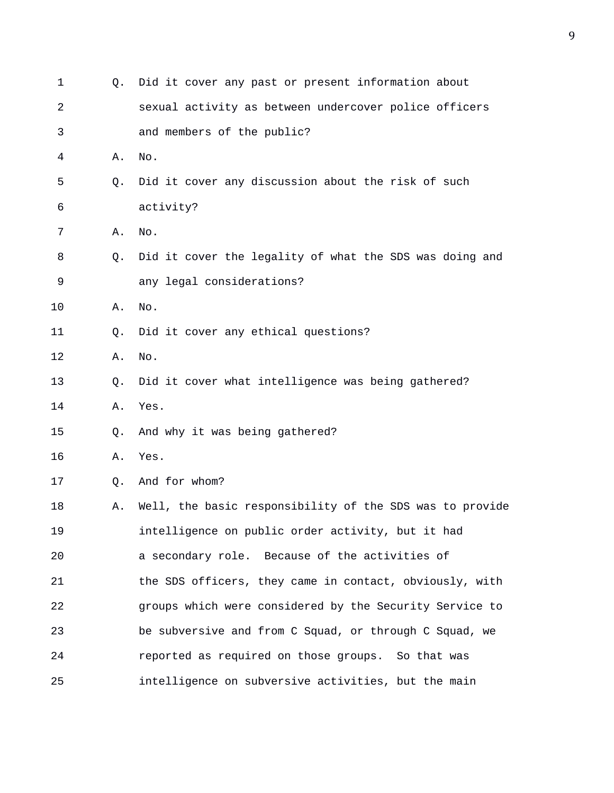| 1  | Q. | Did it cover any past or present information about       |
|----|----|----------------------------------------------------------|
| 2  |    | sexual activity as between undercover police officers    |
| 3  |    | and members of the public?                               |
| 4  | Α. | No.                                                      |
| 5  | Q. | Did it cover any discussion about the risk of such       |
| 6  |    | activity?                                                |
| 7  | Α. | No.                                                      |
| 8  | Q. | Did it cover the legality of what the SDS was doing and  |
| 9  |    | any legal considerations?                                |
| 10 | Α. | No.                                                      |
| 11 | Q. | Did it cover any ethical questions?                      |
| 12 | Α. | No.                                                      |
| 13 | Q. | Did it cover what intelligence was being gathered?       |
| 14 | Α. | Yes.                                                     |
| 15 | Q. | And why it was being gathered?                           |
| 16 | Α. | Yes.                                                     |
| 17 | Q. | And for whom?                                            |
| 18 | Α. | Well, the basic responsibility of the SDS was to provide |
| 19 |    | intelligence on public order activity, but it had        |
| 20 |    | a secondary role. Because of the activities of           |
| 21 |    | the SDS officers, they came in contact, obviously, with  |
| 22 |    | groups which were considered by the Security Service to  |
| 23 |    | be subversive and from C Squad, or through C Squad, we   |
| 24 |    | reported as required on those groups. So that was        |
| 25 |    | intelligence on subversive activities, but the main      |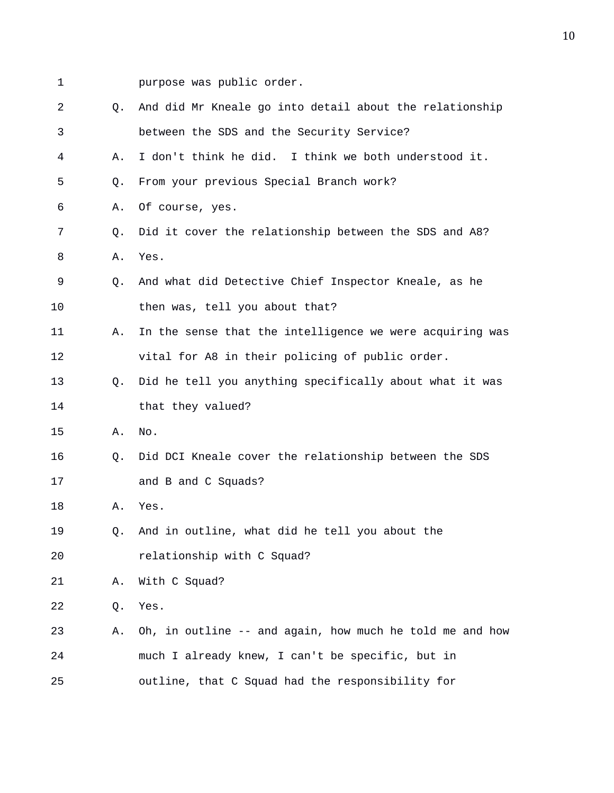- 
- 1 purpose was public order.

| $\overline{2}$ | Q.             | And did Mr Kneale go into detail about the relationship  |
|----------------|----------------|----------------------------------------------------------|
| 3              |                | between the SDS and the Security Service?                |
| 4              | Α.             | I don't think he did. I think we both understood it.     |
| 5              | Q.             | From your previous Special Branch work?                  |
| 6              | Α.             | Of course, yes.                                          |
| 7              | Q.             | Did it cover the relationship between the SDS and A8?    |
| 8              | Α.             | Yes.                                                     |
| 9              | Q.             | And what did Detective Chief Inspector Kneale, as he     |
| 10             |                | then was, tell you about that?                           |
| 11             | Α.             | In the sense that the intelligence we were acquiring was |
| 12             |                | vital for A8 in their policing of public order.          |
| 13             | Q.             | Did he tell you anything specifically about what it was  |
| 14             |                | that they valued?                                        |
| 15             | Α.             | No.                                                      |
| 16             | Q <sub>z</sub> | Did DCI Kneale cover the relationship between the SDS    |
| 17             |                | and B and C Squads?                                      |
| 18             | Α.             | Yes.                                                     |
| 19             | Q.             | And in outline, what did he tell you about the           |
| 20             |                | relationship with C Squad?                               |
| 21             | Α.             | With C Squad?                                            |
| 22             | Q.             | Yes.                                                     |
| 23             | Α.             | Oh, in outline -- and again, how much he told me and how |
| 24             |                | much I already knew, I can't be specific, but in         |
| 25             |                | outline, that C Squad had the responsibility for         |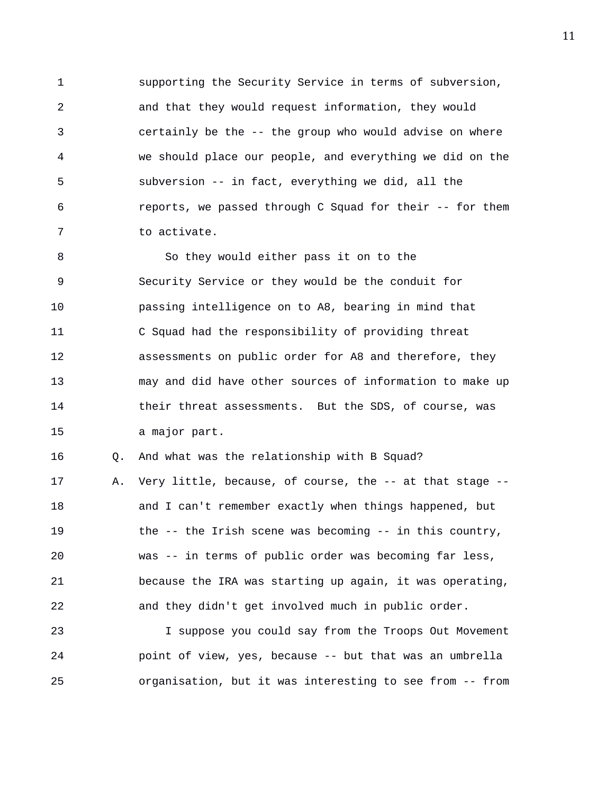1 supporting the Security Service in terms of subversion, 2 and that they would request information, they would 3 certainly be the -- the group who would advise on where 4 we should place our people, and everything we did on the 5 subversion -- in fact, everything we did, all the 6 reports, we passed through C Squad for their -- for them 7 to activate.

8 So they would either pass it on to the 9 Security Service or they would be the conduit for 10 passing intelligence on to A8, bearing in mind that 11 C Squad had the responsibility of providing threat 12 assessments on public order for A8 and therefore, they 13 may and did have other sources of information to make up 14 their threat assessments. But the SDS, of course, was 15 a major part.

16 Q. And what was the relationship with B Squad?

17 A. Very little, because, of course, the -- at that stage -- 18 and I can't remember exactly when things happened, but 19 the -- the Irish scene was becoming -- in this country, 20 was -- in terms of public order was becoming far less, 21 because the IRA was starting up again, it was operating, 22 and they didn't get involved much in public order.

23 I suppose you could say from the Troops Out Movement 24 point of view, yes, because -- but that was an umbrella 25 organisation, but it was interesting to see from -- from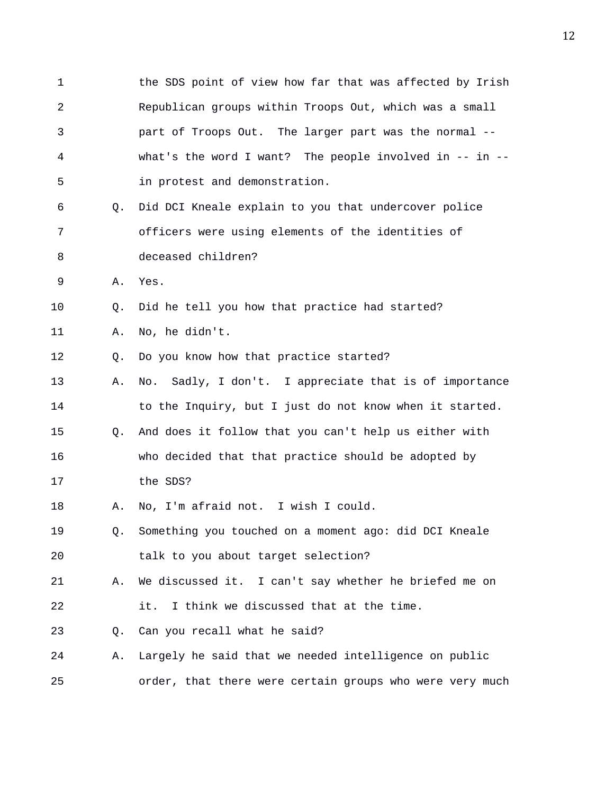1 the SDS point of view how far that was affected by Irish 2 Republican groups within Troops Out, which was a small 3 part of Troops Out. The larger part was the normal -- 4 what's the word I want? The people involved in -- in -- 5 in protest and demonstration. 6 Q. Did DCI Kneale explain to you that undercover police 7 officers were using elements of the identities of 8 deceased children? 9 A. Yes. 10 Q. Did he tell you how that practice had started? 11 A. No, he didn't. 12 Q. Do you know how that practice started? 13 A. No. Sadly, I don't. I appreciate that is of importance 14 to the Inquiry, but I just do not know when it started. 15 Q. And does it follow that you can't help us either with 16 who decided that that practice should be adopted by 17 the SDS? 18 A. No, I'm afraid not. I wish I could. 19 Q. Something you touched on a moment ago: did DCI Kneale 20 talk to you about target selection? 21 A. We discussed it. I can't say whether he briefed me on 22 it. I think we discussed that at the time. 23 Q. Can you recall what he said? 24 A. Largely he said that we needed intelligence on public 25 order, that there were certain groups who were very much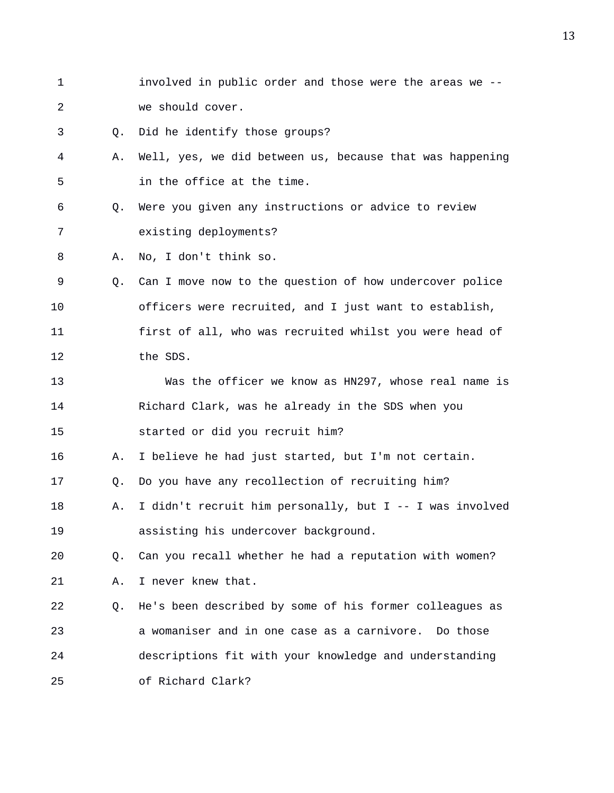1 involved in public order and those were the areas we -- 2 we should cover. 3 Q. Did he identify those groups? 4 A. Well, yes, we did between us, because that was happening 5 in the office at the time. 6 Q. Were you given any instructions or advice to review 7 existing deployments? 8 A. No, I don't think so. 9 Q. Can I move now to the question of how undercover police 10 officers were recruited, and I just want to establish, 11 first of all, who was recruited whilst you were head of 12 the SDS. 13 Was the officer we know as HN297, whose real name is 14 Richard Clark, was he already in the SDS when you 15 started or did you recruit him? 16 A. I believe he had just started, but I'm not certain. 17 Q. Do you have any recollection of recruiting him? 18 A. I didn't recruit him personally, but I -- I was involved 19 assisting his undercover background. 20 Q. Can you recall whether he had a reputation with women? 21 A. I never knew that. 22 Q. He's been described by some of his former colleagues as 23 a womaniser and in one case as a carnivore. Do those 24 descriptions fit with your knowledge and understanding 25 of Richard Clark?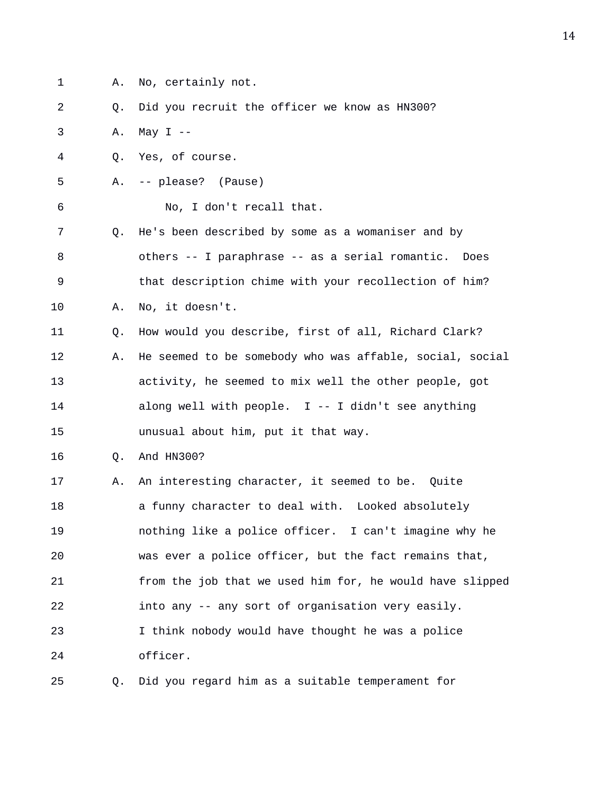1 A. No, certainly not.

2 Q. Did you recruit the officer we know as HN300?

3 A. May I --

- 4 Q. Yes, of course.
- 5 A. -- please? (Pause)

6 No, I don't recall that.

7 Q. He's been described by some as a womaniser and by 8 others -- I paraphrase -- as a serial romantic. Does 9 that description chime with your recollection of him? 10 A. No, it doesn't.

11 Q. How would you describe, first of all, Richard Clark? 12 A. He seemed to be somebody who was affable, social, social 13 activity, he seemed to mix well the other people, got 14 along well with people. I -- I didn't see anything 15 unusual about him, put it that way.

16 Q. And HN300?

17 A. An interesting character, it seemed to be. Quite 18 **a** funny character to deal with. Looked absolutely 19 nothing like a police officer. I can't imagine why he 20 was ever a police officer, but the fact remains that, 21 from the job that we used him for, he would have slipped 22 into any -- any sort of organisation very easily. 23 I think nobody would have thought he was a police 24 officer.

25 Q. Did you regard him as a suitable temperament for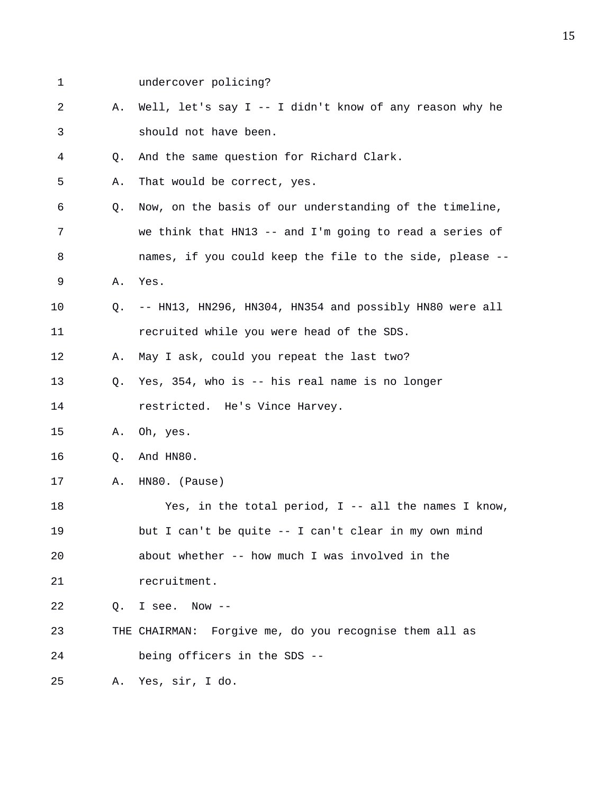| 1  |             | undercover policing?                                       |
|----|-------------|------------------------------------------------------------|
| 2  | Α.          | Well, let's say I -- I didn't know of any reason why he    |
| 3  |             | should not have been.                                      |
| 4  | $Q_{\star}$ | And the same question for Richard Clark.                   |
| 5  | Α.          | That would be correct, yes.                                |
| 6  | Q.          | Now, on the basis of our understanding of the timeline,    |
| 7  |             | we think that $H N13$ -- and I'm going to read a series of |
| 8  |             | names, if you could keep the file to the side, please --   |
| 9  | Α.          | Yes.                                                       |
| 10 | Q.          | -- HN13, HN296, HN304, HN354 and possibly HN80 were all    |
| 11 |             | recruited while you were head of the SDS.                  |
| 12 | Α.          | May I ask, could you repeat the last two?                  |
| 13 | Q.          | Yes, 354, who is -- his real name is no longer             |
| 14 |             | restricted. He's Vince Harvey.                             |
| 15 | Α.          | Oh, yes.                                                   |
| 16 | Q.          | And HN80.                                                  |
| 17 | Α.          | HN80. (Pause)                                              |
| 18 |             | Yes, in the total period, $I$ -- all the names I know,     |
| 19 |             | but I can't be quite -- I can't clear in my own mind       |
| 20 |             | about whether -- how much I was involved in the            |
| 21 |             | recruitment.                                               |
| 22 | O.          | I see.<br>Now $--$                                         |
| 23 |             | Forgive me, do you recognise them all as<br>THE CHAIRMAN:  |
| 24 |             | being officers in the SDS --                               |
| 25 | Α.          | Yes, sir, I do.                                            |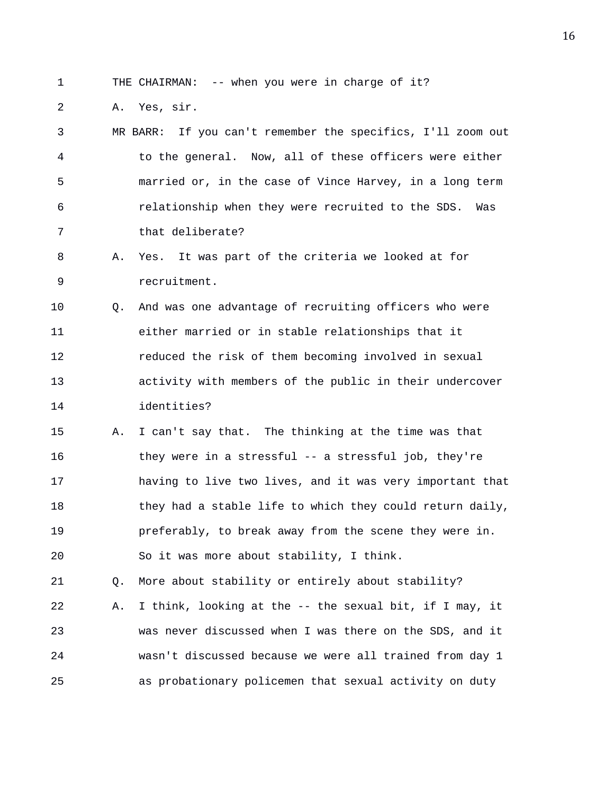1 THE CHAIRMAN: -- when you were in charge of it?

2 A. Yes, sir.

3 MR BARR: If you can't remember the specifics, I'll zoom out 4 to the general. Now, all of these officers were either 5 married or, in the case of Vince Harvey, in a long term 6 relationship when they were recruited to the SDS. Was 7 that deliberate?

8 A. Yes. It was part of the criteria we looked at for 9 recruitment.

10 Q. And was one advantage of recruiting officers who were 11 either married or in stable relationships that it 12 reduced the risk of them becoming involved in sexual 13 activity with members of the public in their undercover 14 identities?

15 A. I can't say that. The thinking at the time was that 16 they were in a stressful -- a stressful job, they're 17 having to live two lives, and it was very important that 18 they had a stable life to which they could return daily, 19 preferably, to break away from the scene they were in. 20 So it was more about stability, I think.

21 Q. More about stability or entirely about stability?

22 A. I think, looking at the -- the sexual bit, if I may, it 23 was never discussed when I was there on the SDS, and it 24 wasn't discussed because we were all trained from day 1 25 as probationary policemen that sexual activity on duty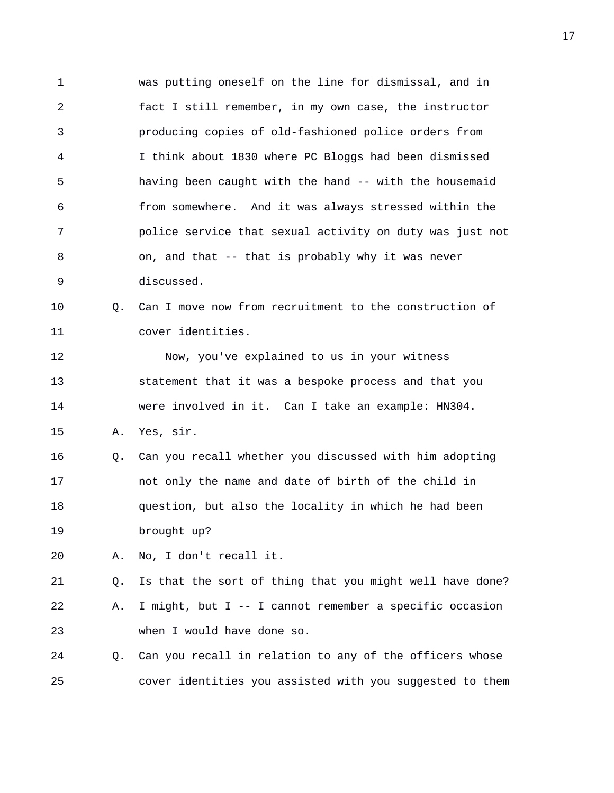1 was putting oneself on the line for dismissal, and in 2 fact I still remember, in my own case, the instructor 3 producing copies of old-fashioned police orders from 4 I think about 1830 where PC Bloggs had been dismissed 5 having been caught with the hand -- with the housemaid 6 from somewhere. And it was always stressed within the 7 police service that sexual activity on duty was just not 8 on, and that -- that is probably why it was never 9 discussed. 10 0. Can I move now from recruitment to the construction of 11 cover identities.

12 Now, you've explained to us in your witness 13 statement that it was a bespoke process and that you 14 were involved in it. Can I take an example: HN304.

15 A. Yes, sir.

16 Q. Can you recall whether you discussed with him adopting 17 not only the name and date of birth of the child in 18 question, but also the locality in which he had been 19 brought up?

20 A. No, I don't recall it.

21 Q. Is that the sort of thing that you might well have done? 22 A. I might, but I -- I cannot remember a specific occasion 23 when I would have done so.

24 Q. Can you recall in relation to any of the officers whose 25 cover identities you assisted with you suggested to them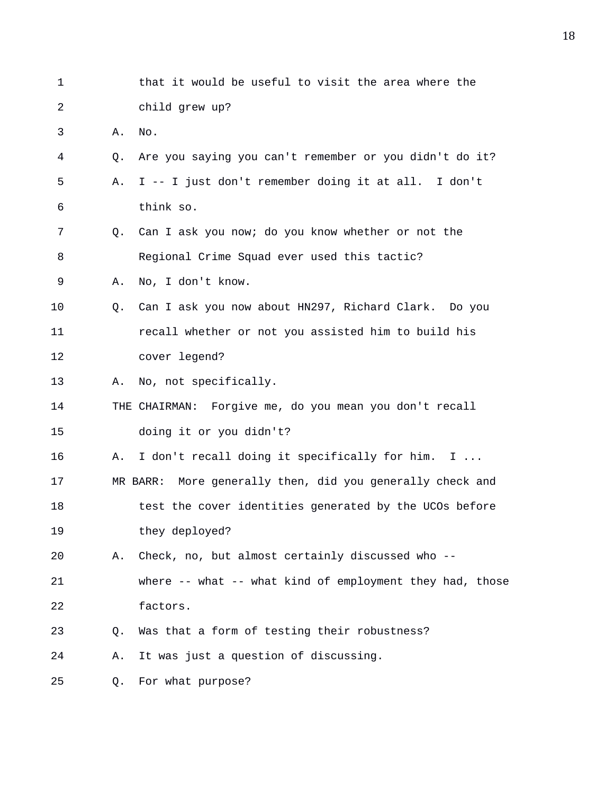| 1  |    | that it would be useful to visit the area where the       |
|----|----|-----------------------------------------------------------|
| 2  |    | child grew up?                                            |
| 3  | Α. | No.                                                       |
| 4  | Q. | Are you saying you can't remember or you didn't do it?    |
| 5  | Α. | I -- I just don't remember doing it at all. I don't       |
| 6  |    | think so.                                                 |
| 7  | Q. | Can I ask you now; do you know whether or not the         |
| 8  |    | Regional Crime Squad ever used this tactic?               |
| 9  | Α. | No, I don't know.                                         |
| 10 | Q. | Can I ask you now about HN297, Richard Clark. Do you      |
| 11 |    | recall whether or not you assisted him to build his       |
| 12 |    | cover legend?                                             |
| 13 | Α. | No, not specifically.                                     |
| 14 |    | THE CHAIRMAN: Forgive me, do you mean you don't recall    |
| 15 |    | doing it or you didn't?                                   |
| 16 | Α. | I don't recall doing it specifically for him. I           |
| 17 |    | MR BARR: More generally then, did you generally check and |
| 18 |    | test the cover identities generated by the UCOs before    |
| 19 |    | they deployed?                                            |
| 20 | Α. | Check, no, but almost certainly discussed who --          |
| 21 |    | where -- what -- what kind of employment they had, those  |
| 22 |    | factors.                                                  |
| 23 | O. | Was that a form of testing their robustness?              |
| 24 | Α. | It was just a question of discussing.                     |
| 25 | О. | For what purpose?                                         |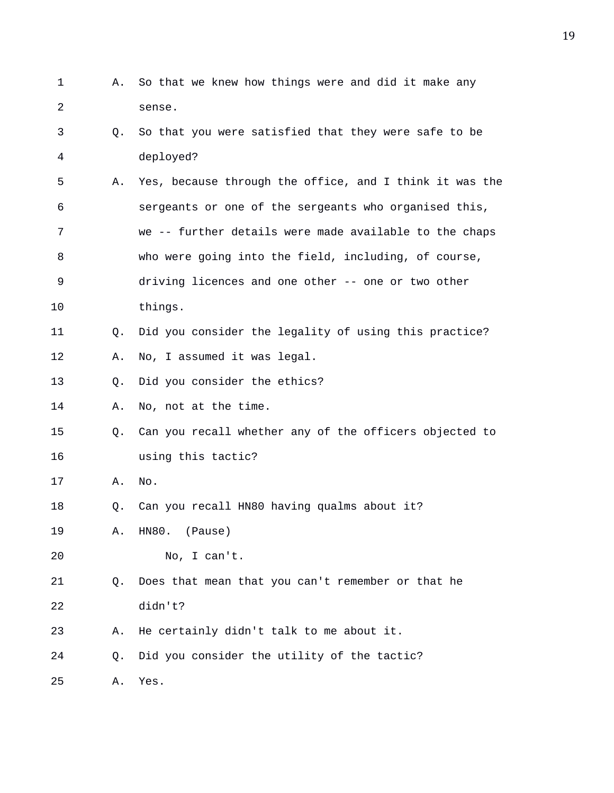1 A. So that we knew how things were and did it make any 2 sense. 3 Q. So that you were satisfied that they were safe to be 4 deployed? 5 A. Yes, because through the office, and I think it was the 6 sergeants or one of the sergeants who organised this, 7 we -- further details were made available to the chaps 8 who were going into the field, including, of course, 9 driving licences and one other -- one or two other 10 things. 11 Q. Did you consider the legality of using this practice? 12 A. No, I assumed it was legal. 13 Q. Did you consider the ethics? 14 A. No, not at the time. 15 Q. Can you recall whether any of the officers objected to 16 using this tactic? 17 A. No. 18 Q. Can you recall HN80 having qualms about it? 19 A. HN80. (Pause) 20 No, I can't. 21 Q. Does that mean that you can't remember or that he 22 didn't? 23 A. He certainly didn't talk to me about it. 24 Q. Did you consider the utility of the tactic? 25 A. Yes.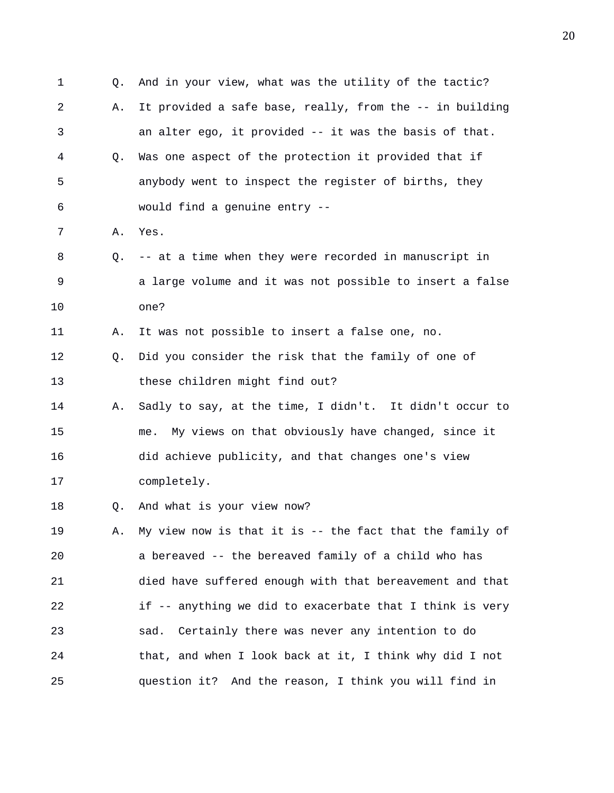1 Q. And in your view, what was the utility of the tactic? 2 A. It provided a safe base, really, from the -- in building 3 an alter ego, it provided -- it was the basis of that. 4 Q. Was one aspect of the protection it provided that if 5 anybody went to inspect the register of births, they 6 would find a genuine entry -- 7 A. Yes. 8 Q. -- at a time when they were recorded in manuscript in 9 a large volume and it was not possible to insert a false 10 one? 11 A. It was not possible to insert a false one, no. 12 Q. Did you consider the risk that the family of one of 13 these children might find out? 14 A. Sadly to say, at the time, I didn't. It didn't occur to 15 me. My views on that obviously have changed, since it 16 did achieve publicity, and that changes one's view 17 completely. 18 Q. And what is your view now? 19 A. My view now is that it is -- the fact that the family of 20 a bereaved -- the bereaved family of a child who has 21 died have suffered enough with that bereavement and that 22 if -- anything we did to exacerbate that I think is very 23 sad. Certainly there was never any intention to do 24 that, and when I look back at it, I think why did I not 25 question it? And the reason, I think you will find in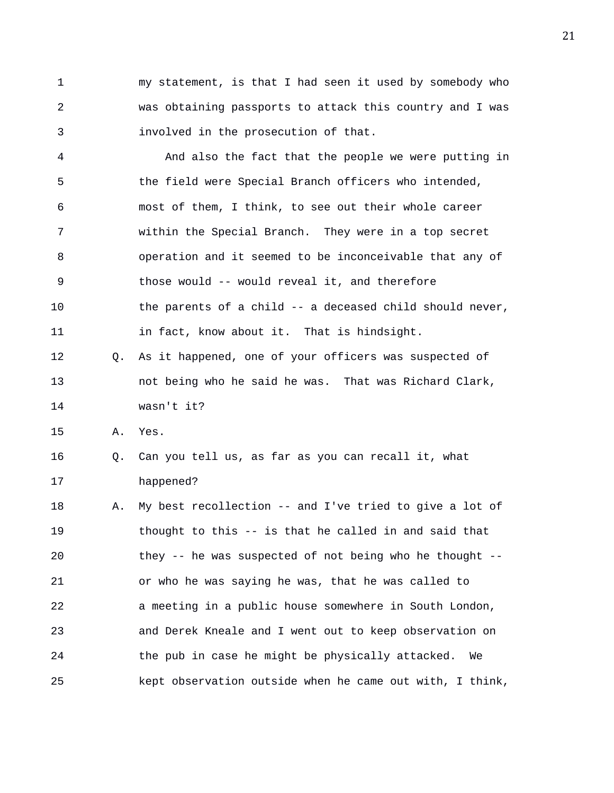1 my statement, is that I had seen it used by somebody who 2 was obtaining passports to attack this country and I was 3 involved in the prosecution of that.

4 And also the fact that the people we were putting in 5 the field were Special Branch officers who intended, 6 most of them, I think, to see out their whole career 7 within the Special Branch. They were in a top secret 8 operation and it seemed to be inconceivable that any of 9 those would -- would reveal it, and therefore 10 the parents of a child -- a deceased child should never, 11 in fact, know about it. That is hindsight.

12 Q. As it happened, one of your officers was suspected of 13 not being who he said he was. That was Richard Clark, 14 wasn't it?

15 A. Yes.

16 Q. Can you tell us, as far as you can recall it, what 17 happened?

18 A. My best recollection -- and I've tried to give a lot of 19 thought to this -- is that he called in and said that 20 they -- he was suspected of not being who he thought -- 21 or who he was saying he was, that he was called to 22 a meeting in a public house somewhere in South London, 23 and Derek Kneale and I went out to keep observation on 24 the pub in case he might be physically attacked. We 25 kept observation outside when he came out with, I think,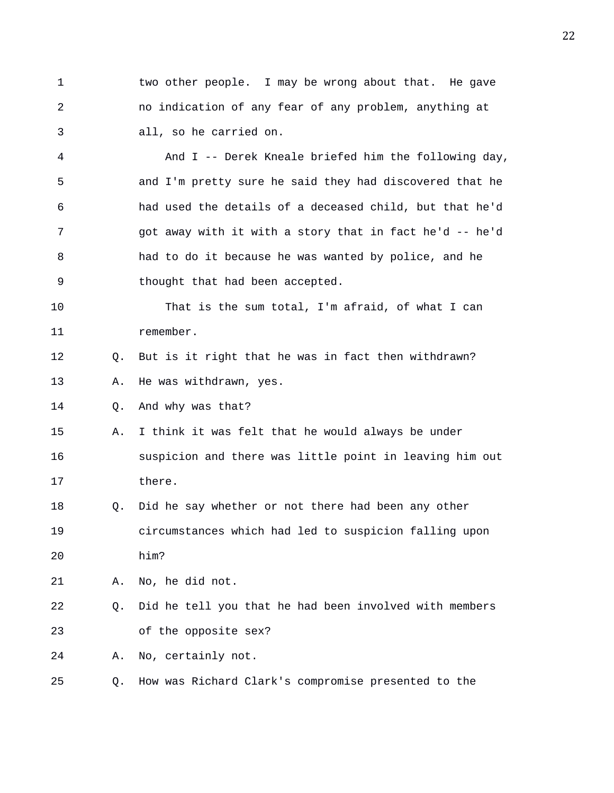1 two other people. I may be wrong about that. He gave 2 no indication of any fear of any problem, anything at 3 all, so he carried on.

4 And I -- Derek Kneale briefed him the following day, 5 and I'm pretty sure he said they had discovered that he 6 had used the details of a deceased child, but that he'd 7 got away with it with a story that in fact he'd -- he'd 8 had to do it because he was wanted by police, and he 9 thought that had been accepted.

10 That is the sum total, I'm afraid, of what I can 11 remember.

12 Q. But is it right that he was in fact then withdrawn?

13 A. He was withdrawn, yes.

14 Q. And why was that?

- 15 A. I think it was felt that he would always be under 16 suspicion and there was little point in leaving him out 17 there.
- 18 Q. Did he say whether or not there had been any other 19 circumstances which had led to suspicion falling upon 20 him?

21 A. No, he did not.

22 Q. Did he tell you that he had been involved with members 23 of the opposite sex?

24 A. No, certainly not.

25 Q. How was Richard Clark's compromise presented to the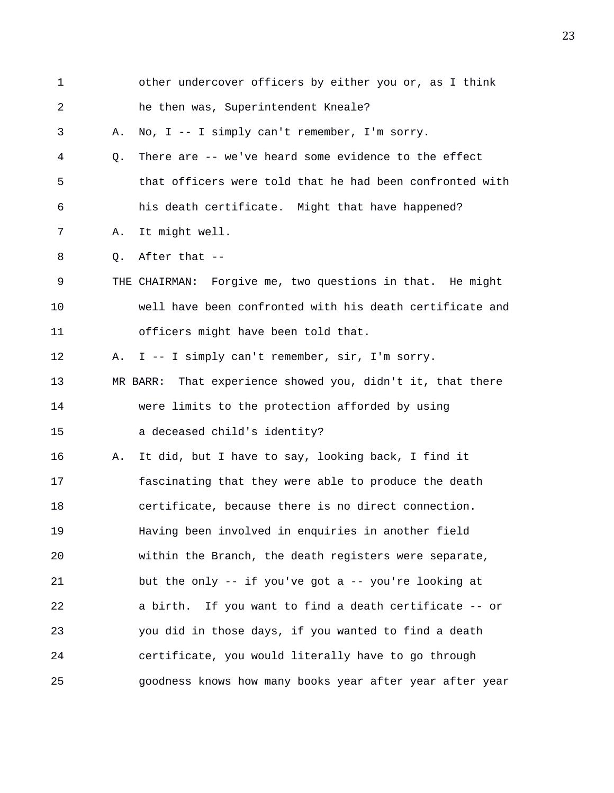| $\mathbf 1$ |    | other undercover officers by either you or, as I think     |
|-------------|----|------------------------------------------------------------|
| 2           |    | he then was, Superintendent Kneale?                        |
| 3           | Α. | No, I -- I simply can't remember, I'm sorry.               |
| 4           | Q. | There are -- we've heard some evidence to the effect       |
| 5           |    | that officers were told that he had been confronted with   |
| 6           |    | his death certificate. Might that have happened?           |
| 7           | Α. | It might well.                                             |
| 8           | Q. | After that --                                              |
| $\mathsf 9$ |    | THE CHAIRMAN: Forgive me, two questions in that. He might  |
| 10          |    | well have been confronted with his death certificate and   |
| 11          |    | officers might have been told that.                        |
| 12          | Α. | I -- I simply can't remember, sir, I'm sorry.              |
| 13          |    | MR BARR: That experience showed you, didn't it, that there |
| 14          |    | were limits to the protection afforded by using            |
| 15          |    | a deceased child's identity?                               |
| 16          | Α. | It did, but I have to say, looking back, I find it         |
| 17          |    | fascinating that they were able to produce the death       |
| 18          |    | certificate, because there is no direct connection.        |
| 19          |    | Having been involved in enquiries in another field         |
| 20          |    | within the Branch, the death registers were separate,      |
| 21          |    | but the only $-$ - if you've got a $-$ - you're looking at |
| 22          |    | a birth.<br>If you want to find a death certificate -- or  |
| 23          |    | you did in those days, if you wanted to find a death       |
| 24          |    | certificate, you would literally have to go through        |
| 25          |    | goodness knows how many books year after year after year   |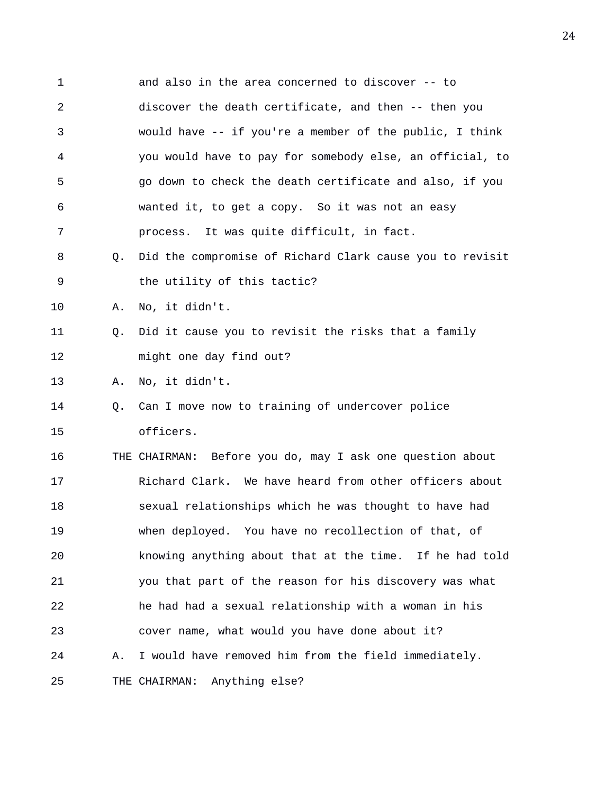1 and also in the area concerned to discover -- to 2 discover the death certificate, and then -- then you 3 would have -- if you're a member of the public, I think 4 you would have to pay for somebody else, an official, to 5 go down to check the death certificate and also, if you 6 wanted it, to get a copy. So it was not an easy 7 process. It was quite difficult, in fact. 8 Q. Did the compromise of Richard Clark cause you to revisit 9 the utility of this tactic? 10 A. No, it didn't. 11 Q. Did it cause you to revisit the risks that a family 12 might one day find out? 13 A. No, it didn't. 14 Q. Can I move now to training of undercover police 15 officers. 16 THE CHAIRMAN: Before you do, may I ask one question about 17 Richard Clark. We have heard from other officers about 18 sexual relationships which he was thought to have had 19 when deployed. You have no recollection of that, of 20 knowing anything about that at the time. If he had told 21 you that part of the reason for his discovery was what 22 he had had a sexual relationship with a woman in his 23 cover name, what would you have done about it? 24 A. I would have removed him from the field immediately. 25 THE CHAIRMAN: Anything else?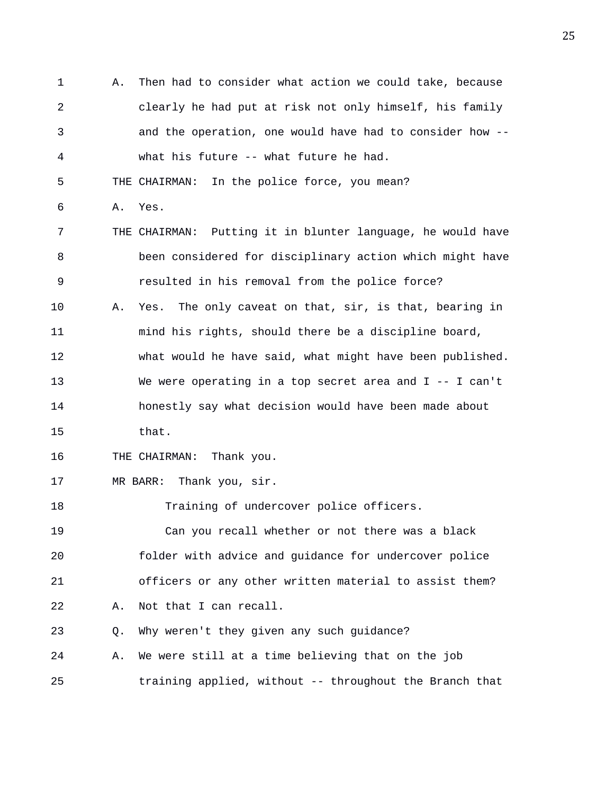1 A. Then had to consider what action we could take, because 2 clearly he had put at risk not only himself, his family 3 and the operation, one would have had to consider how -- 4 what his future -- what future he had. 5 THE CHAIRMAN: In the police force, you mean? 6 A. Yes. 7 THE CHAIRMAN: Putting it in blunter language, he would have 8 been considered for disciplinary action which might have 9 resulted in his removal from the police force? 10 A. Yes. The only caveat on that, sir, is that, bearing in 11 mind his rights, should there be a discipline board, 12 what would he have said, what might have been published. 13 We were operating in a top secret area and I -- I can't 14 honestly say what decision would have been made about 15 that. 16 THE CHAIRMAN: Thank you. 17 MR BARR: Thank you, sir. 18 Training of undercover police officers. 19 Can you recall whether or not there was a black 20 folder with advice and guidance for undercover police 21 officers or any other written material to assist them? 22 A. Not that I can recall. 23 Q. Why weren't they given any such guidance? 24 A. We were still at a time believing that on the job 25 training applied, without -- throughout the Branch that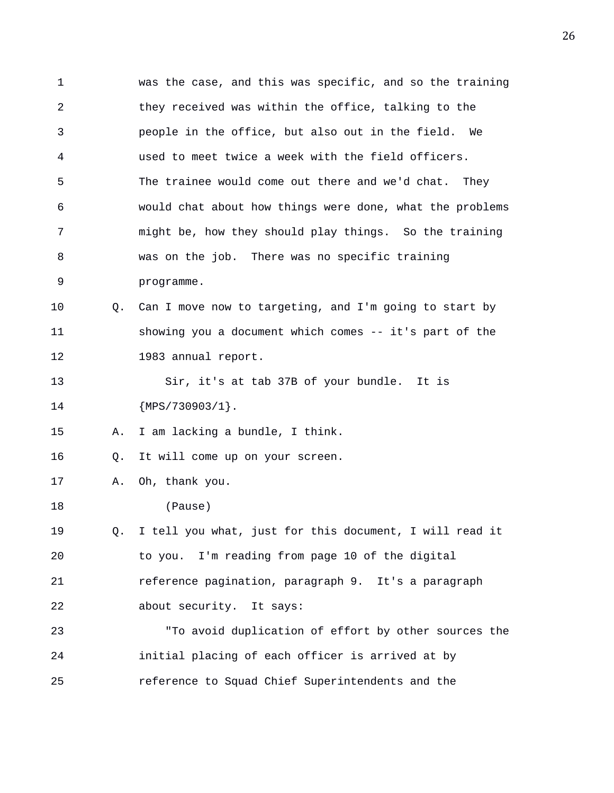1 was the case, and this was specific, and so the training 2 they received was within the office, talking to the 3 people in the office, but also out in the field. We 4 used to meet twice a week with the field officers. 5 The trainee would come out there and we'd chat. They 6 would chat about how things were done, what the problems 7 might be, how they should play things. So the training 8 was on the job. There was no specific training 9 programme. 10 Q. Can I move now to targeting, and I'm going to start by 11 showing you a document which comes -- it's part of the 12 1983 annual report. 13 Sir, it's at tab 37B of your bundle. It is 14 {MPS/730903/1}. 15 A. I am lacking a bundle, I think. 16 Q. It will come up on your screen. 17 A. Oh, thank you. 18 (Pause) 19 Q. I tell you what, just for this document, I will read it 20 to you. I'm reading from page 10 of the digital 21 reference pagination, paragraph 9. It's a paragraph 22 about security. It says: 23 "To avoid duplication of effort by other sources the 24 initial placing of each officer is arrived at by 25 reference to Squad Chief Superintendents and the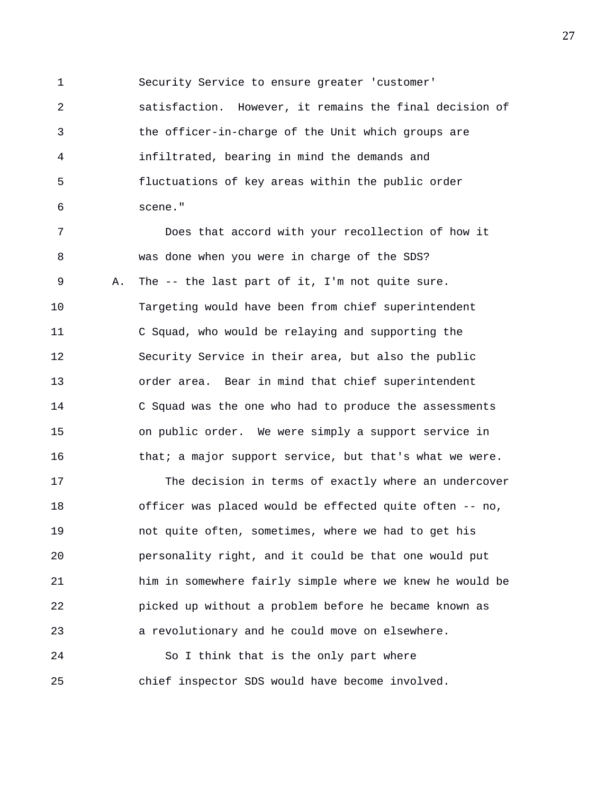1 Security Service to ensure greater 'customer'

2 satisfaction. However, it remains the final decision of 3 the officer-in-charge of the Unit which groups are 4 infiltrated, bearing in mind the demands and 5 fluctuations of key areas within the public order 6 scene."

7 Does that accord with your recollection of how it 8 was done when you were in charge of the SDS? 9 A. The -- the last part of it, I'm not quite sure. 10 Targeting would have been from chief superintendent 11 C Squad, who would be relaying and supporting the 12 Security Service in their area, but also the public 13 order area. Bear in mind that chief superintendent 14 C Squad was the one who had to produce the assessments 15 on public order. We were simply a support service in 16 that; a major support service, but that's what we were.

17 The decision in terms of exactly where an undercover 18 officer was placed would be effected quite often -- no, 19 not quite often, sometimes, where we had to get his 20 personality right, and it could be that one would put 21 him in somewhere fairly simple where we knew he would be 22 picked up without a problem before he became known as 23 a revolutionary and he could move on elsewhere.

24 So I think that is the only part where 25 chief inspector SDS would have become involved.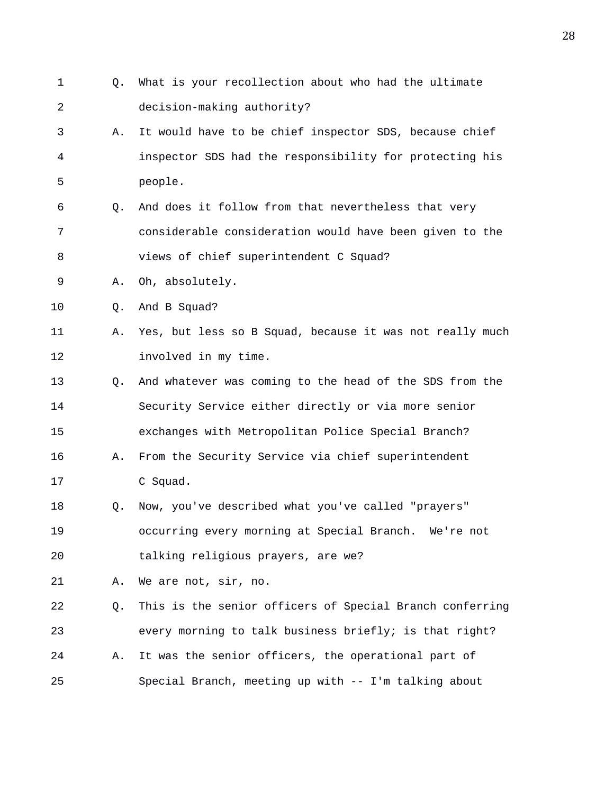1 Q. What is your recollection about who had the ultimate 2 decision-making authority? 3 A. It would have to be chief inspector SDS, because chief 4 inspector SDS had the responsibility for protecting his 5 people. 6 Q. And does it follow from that nevertheless that very 7 considerable consideration would have been given to the 8 views of chief superintendent C Squad? 9 A. Oh, absolutely. 10 Q. And B Squad? 11 A. Yes, but less so B Squad, because it was not really much 12 involved in my time. 13 Q. And whatever was coming to the head of the SDS from the 14 Security Service either directly or via more senior 15 exchanges with Metropolitan Police Special Branch? 16 A. From the Security Service via chief superintendent 17 C Squad. 18 Q. Now, you've described what you've called "prayers" 19 occurring every morning at Special Branch. We're not 20 talking religious prayers, are we? 21 A. We are not, sir, no. 22 Q. This is the senior officers of Special Branch conferring 23 every morning to talk business briefly; is that right? 24 A. It was the senior officers, the operational part of 25 Special Branch, meeting up with -- I'm talking about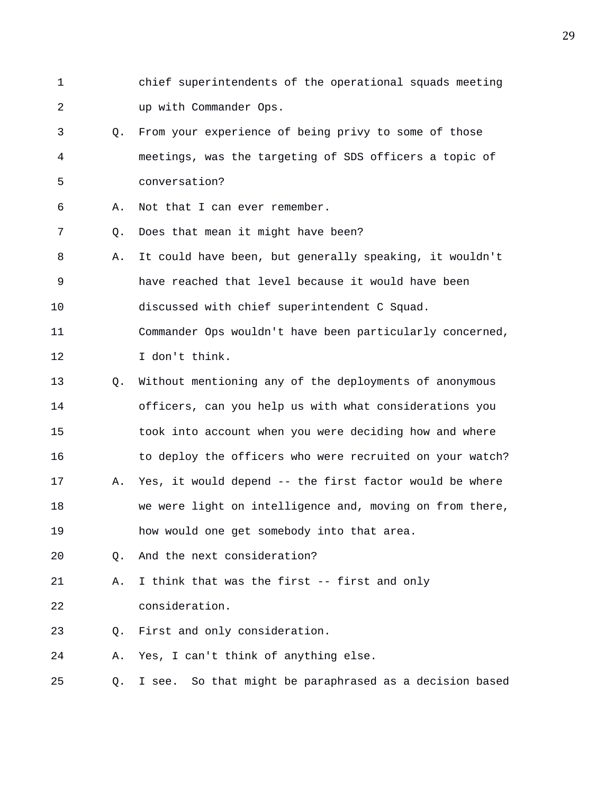- 1 chief superintendents of the operational squads meeting 2 up with Commander Ops.
- 3 Q. From your experience of being privy to some of those 4 meetings, was the targeting of SDS officers a topic of 5 conversation?
- 6 A. Not that I can ever remember.
- 7 Q. Does that mean it might have been?
- 8 A. It could have been, but generally speaking, it wouldn't 9 have reached that level because it would have been 10 discussed with chief superintendent C Squad.
- 11 Commander Ops wouldn't have been particularly concerned, 12 I don't think.
- 13 Q. Without mentioning any of the deployments of anonymous 14 officers, can you help us with what considerations you 15 took into account when you were deciding how and where 16 to deploy the officers who were recruited on your watch? 17 A. Yes, it would depend -- the first factor would be where 18 we were light on intelligence and, moving on from there,
- 19 how would one get somebody into that area.
- 20 Q. And the next consideration?
- 21 A. I think that was the first -- first and only 22 consideration.
- 23 Q. First and only consideration.
- 24 A. Yes, I can't think of anything else.
- 25 Q. I see. So that might be paraphrased as a decision based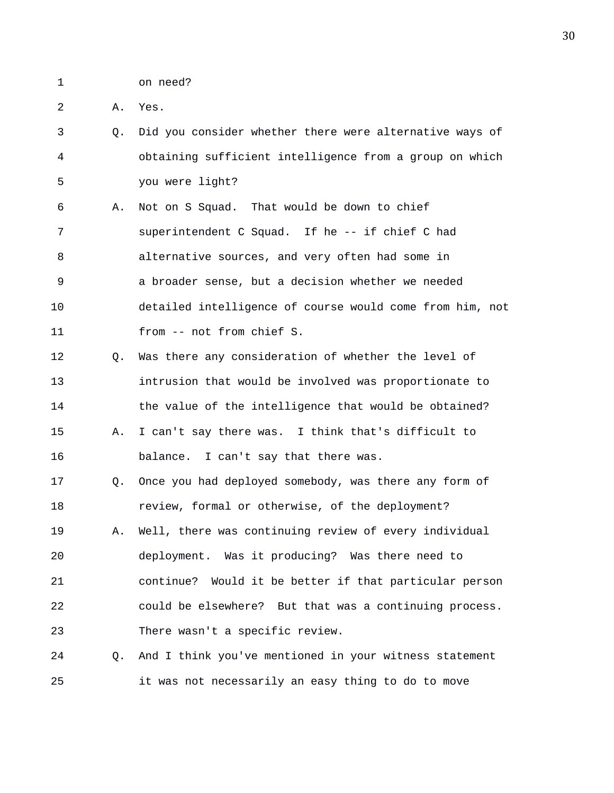- 1 on need?
- 2 A. Yes.
- 3 Q. Did you consider whether there were alternative ways of 4 obtaining sufficient intelligence from a group on which 5 you were light?
- 6 A. Not on S Squad. That would be down to chief 7 superintendent C Squad. If he -- if chief C had 8 alternative sources, and very often had some in 9 a broader sense, but a decision whether we needed 10 detailed intelligence of course would come from him, not 11 from -- not from chief S.
- 12 Q. Was there any consideration of whether the level of 13 intrusion that would be involved was proportionate to 14 the value of the intelligence that would be obtained? 15 A. I can't say there was. I think that's difficult to 16 balance. I can't say that there was.
- 17 Q. Once you had deployed somebody, was there any form of 18 review, formal or otherwise, of the deployment? 19 A. Well, there was continuing review of every individual 20 deployment. Was it producing? Was there need to 21 continue? Would it be better if that particular person 22 could be elsewhere? But that was a continuing process. 23 There wasn't a specific review.
- 24 Q. And I think you've mentioned in your witness statement 25 it was not necessarily an easy thing to do to move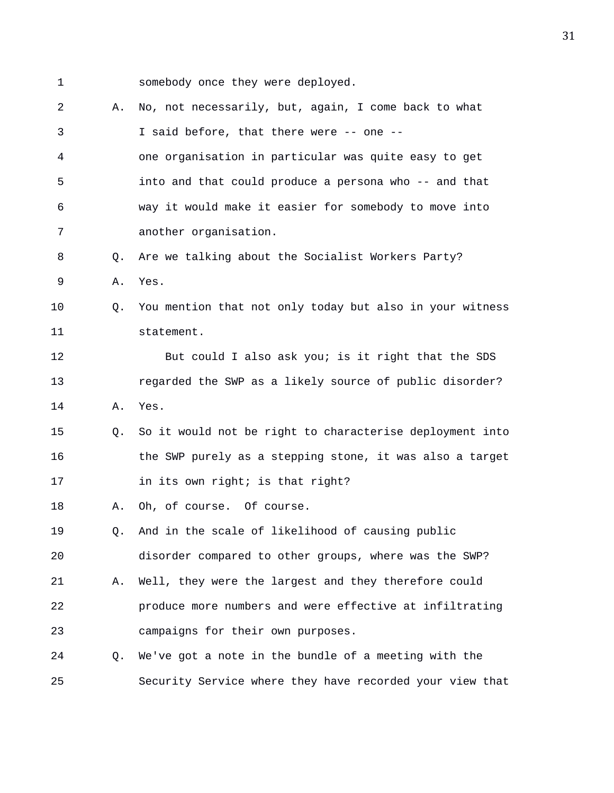1 somebody once they were deployed. 2 A. No, not necessarily, but, again, I come back to what 3 I said before, that there were -- one -- 4 one organisation in particular was quite easy to get 5 into and that could produce a persona who -- and that 6 way it would make it easier for somebody to move into 7 another organisation. 8 Q. Are we talking about the Socialist Workers Party? 9 A. Yes. 10 Q. You mention that not only today but also in your witness 11 statement. 12 But could I also ask you; is it right that the SDS 13 regarded the SWP as a likely source of public disorder? 14 A. Yes. 15 Q. So it would not be right to characterise deployment into 16 the SWP purely as a stepping stone, it was also a target 17 in its own right; is that right? 18 A. Oh, of course. Of course. 19 Q. And in the scale of likelihood of causing public 20 disorder compared to other groups, where was the SWP? 21 A. Well, they were the largest and they therefore could 22 produce more numbers and were effective at infiltrating 23 campaigns for their own purposes. 24 Q. We've got a note in the bundle of a meeting with the 25 Security Service where they have recorded your view that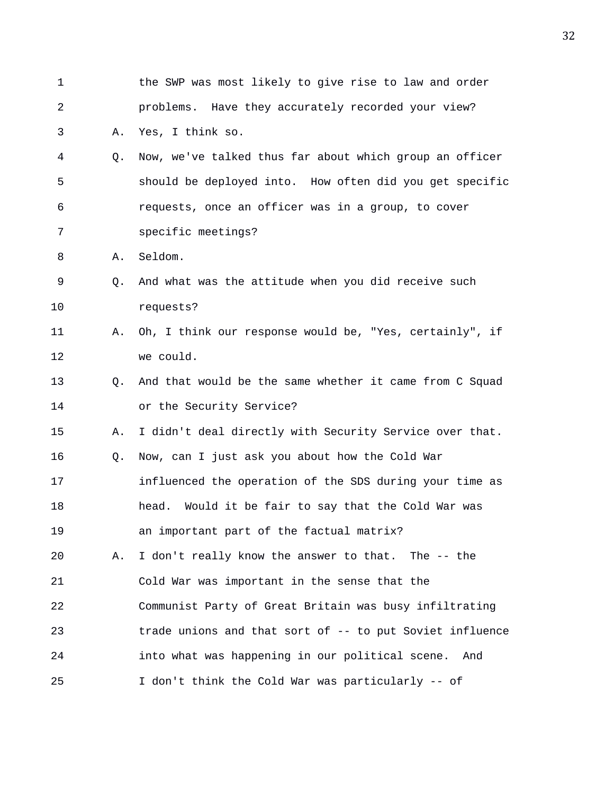| $\mathbf 1$ |                | the SWP was most likely to give rise to law and order    |
|-------------|----------------|----------------------------------------------------------|
| 2           |                | problems. Have they accurately recorded your view?       |
| 3           | Α.             | Yes, I think so.                                         |
| 4           | Q.             | Now, we've talked thus far about which group an officer  |
| 5           |                | should be deployed into. How often did you get specific  |
| 6           |                | requests, once an officer was in a group, to cover       |
| 7           |                | specific meetings?                                       |
| 8           | Α.             | Seldom.                                                  |
| 9           | Q <sub>z</sub> | And what was the attitude when you did receive such      |
| 10          |                | requests?                                                |
| 11          | Α.             | Oh, I think our response would be, "Yes, certainly", if  |
| 12          |                | we could.                                                |
| 13          | О.             | And that would be the same whether it came from C Squad  |
| 14          |                | or the Security Service?                                 |
| 15          | Α.             | I didn't deal directly with Security Service over that.  |
| 16          | Q.             | Now, can I just ask you about how the Cold War           |
| 17          |                | influenced the operation of the SDS during your time as  |
| 18          |                | Would it be fair to say that the Cold War was<br>head.   |
| 19          |                | an important part of the factual matrix?                 |
| 20          | Α.             | I don't really know the answer to that. The -- the       |
| 21          |                | Cold War was important in the sense that the             |
| 22          |                | Communist Party of Great Britain was busy infiltrating   |
| 23          |                | trade unions and that sort of -- to put Soviet influence |
| 24          |                | into what was happening in our political scene.<br>And   |
| 25          |                | I don't think the Cold War was particularly -- of        |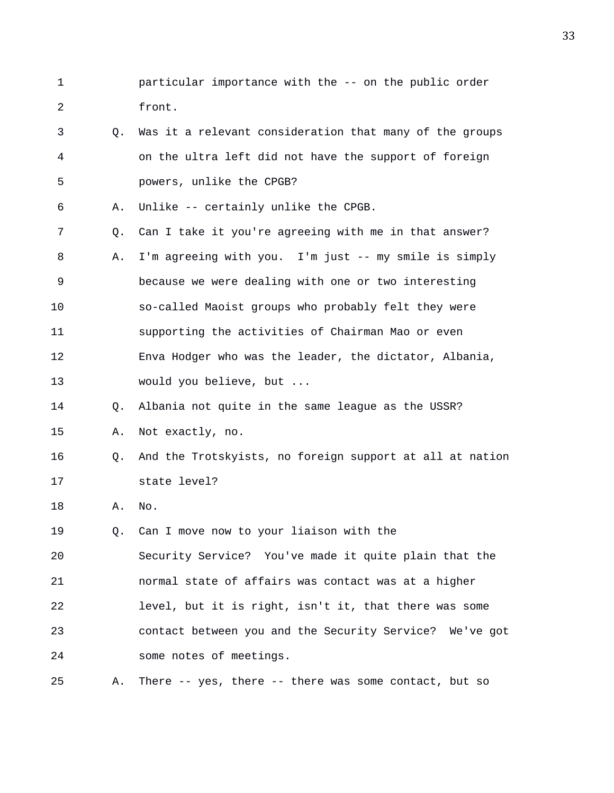- 1 particular importance with the -- on the public order 2 front.
- 3 Q. Was it a relevant consideration that many of the groups 4 on the ultra left did not have the support of foreign 5 powers, unlike the CPGB?
- 6 A. Unlike -- certainly unlike the CPGB.
- 7 Q. Can I take it you're agreeing with me in that answer? 8 A. I'm agreeing with you. I'm just -- my smile is simply 9 because we were dealing with one or two interesting 10 so-called Maoist groups who probably felt they were 11 supporting the activities of Chairman Mao or even 12 Enva Hodger who was the leader, the dictator, Albania, 13 would you believe, but ...

## 14 Q. Albania not quite in the same league as the USSR?

- 15 A. Not exactly, no.
- 16 Q. And the Trotskyists, no foreign support at all at nation 17 state level?
- 18 A. No.

19 Q. Can I move now to your liaison with the

20 Security Service? You've made it quite plain that the 21 normal state of affairs was contact was at a higher 22 level, but it is right, isn't it, that there was some 23 contact between you and the Security Service? We've got 24 some notes of meetings.

25 A. There -- yes, there -- there was some contact, but so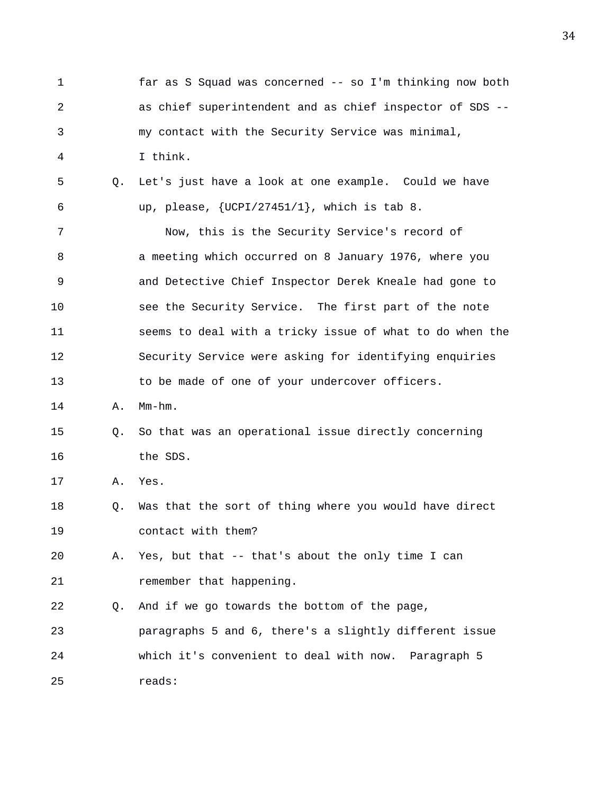1 far as S Squad was concerned -- so I'm thinking now both 2 as chief superintendent and as chief inspector of SDS -- 3 my contact with the Security Service was minimal, 4 I think. 5 Q. Let's just have a look at one example. Could we have 6  $up,$  please,  $\{UCPI/27451/1\}$ , which is tab 8. 7 Now, this is the Security Service's record of 8 a meeting which occurred on 8 January 1976, where you 9 and Detective Chief Inspector Derek Kneale had gone to 10 see the Security Service. The first part of the note 11 seems to deal with a tricky issue of what to do when the 12 Security Service were asking for identifying enquiries 13 to be made of one of your undercover officers. 14 A. Mm-hm. 15 Q. So that was an operational issue directly concerning 16 the SDS. 17 A. Yes. 18 Q. Was that the sort of thing where you would have direct 19 contact with them? 20 A. Yes, but that -- that's about the only time I can 21 remember that happening. 22 Q. And if we go towards the bottom of the page, 23 paragraphs 5 and 6, there's a slightly different issue 24 which it's convenient to deal with now. Paragraph 5 25 reads: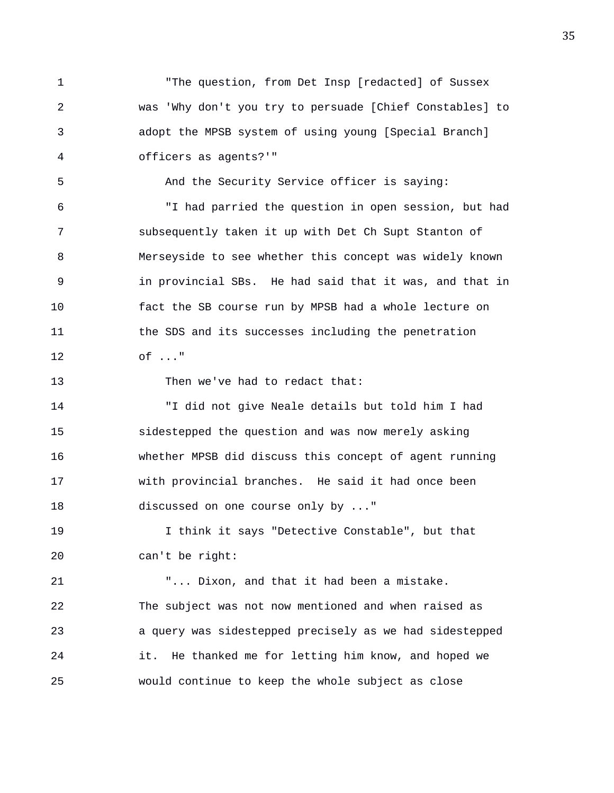1 "The question, from Det Insp [redacted] of Sussex 2 was 'Why don't you try to persuade [Chief Constables] to 3 adopt the MPSB system of using young [Special Branch] 4 officers as agents?'"

5 And the Security Service officer is saying:

6 "I had parried the question in open session, but had 7 subsequently taken it up with Det Ch Supt Stanton of 8 Merseyside to see whether this concept was widely known 9 in provincial SBs. He had said that it was, and that in 10 fact the SB course run by MPSB had a whole lecture on 11 the SDS and its successes including the penetration 12 of ..."

13 Then we've had to redact that:

14 "I did not give Neale details but told him I had 15 sidestepped the question and was now merely asking 16 whether MPSB did discuss this concept of agent running 17 with provincial branches. He said it had once been 18 discussed on one course only by ..."

19 I think it says "Detective Constable", but that 20 can't be right:

21 "... Dixon, and that it had been a mistake. 22 The subject was not now mentioned and when raised as 23 a query was sidestepped precisely as we had sidestepped 24 it. He thanked me for letting him know, and hoped we 25 would continue to keep the whole subject as close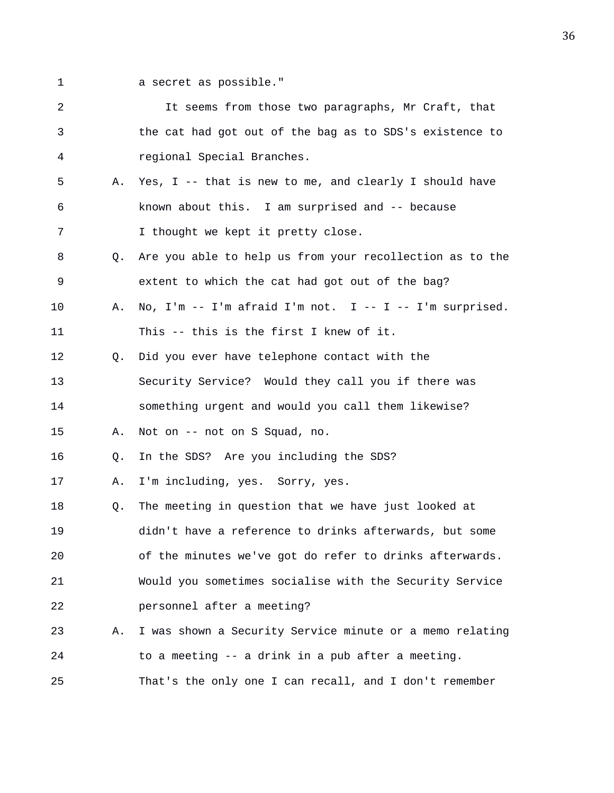- 
- 1 a secret as possible."

| 2  |    | It seems from those two paragraphs, Mr Craft, that           |
|----|----|--------------------------------------------------------------|
| 3  |    | the cat had got out of the bag as to SDS's existence to      |
| 4  |    | regional Special Branches.                                   |
| 5  | Α. | Yes, I -- that is new to me, and clearly I should have       |
| 6  |    | known about this. I am surprised and -- because              |
| 7  |    | I thought we kept it pretty close.                           |
| 8  | Q. | Are you able to help us from your recollection as to the     |
| 9  |    | extent to which the cat had got out of the bag?              |
| 10 | Α. | No, $I'm - I'm$ afraid $I'm$ not. $I - - I - I'm$ surprised. |
| 11 |    | This -- this is the first I knew of it.                      |
| 12 | Q. | Did you ever have telephone contact with the                 |
| 13 |    | Security Service? Would they call you if there was           |
| 14 |    | something urgent and would you call them likewise?           |
| 15 | Α. | Not on -- not on S Squad, no.                                |
| 16 | Q. | In the SDS? Are you including the SDS?                       |
| 17 | Α. | I'm including, yes. Sorry, yes.                              |
| 18 | Q. | The meeting in question that we have just looked at          |
| 19 |    | didn't have a reference to drinks afterwards, but some       |
| 20 |    | of the minutes we've got do refer to drinks afterwards.      |
| 21 |    | Would you sometimes socialise with the Security Service      |
| 22 |    | personnel after a meeting?                                   |
| 23 | Α. | I was shown a Security Service minute or a memo relating     |
| 24 |    | to a meeting -- a drink in a pub after a meeting.            |
| 25 |    | That's the only one I can recall, and I don't remember       |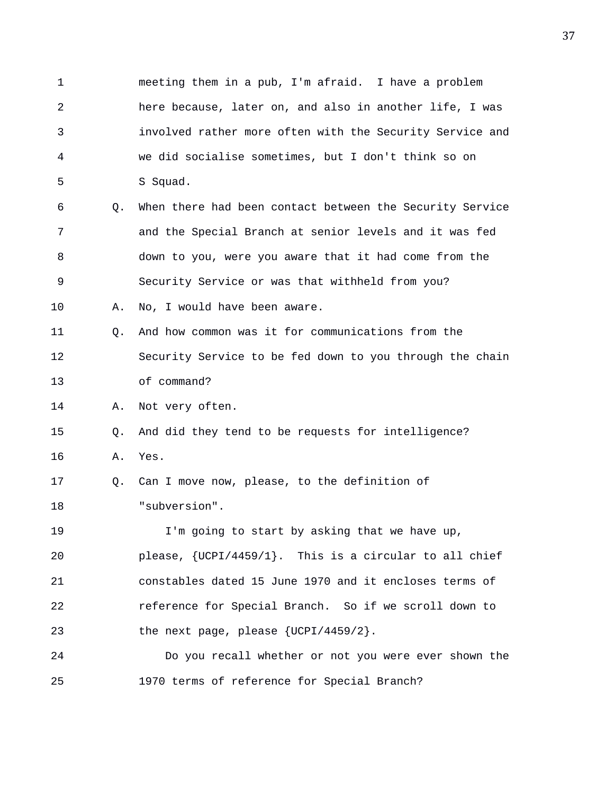1 meeting them in a pub, I'm afraid. I have a problem 2 here because, later on, and also in another life, I was 3 involved rather more often with the Security Service and 4 we did socialise sometimes, but I don't think so on 5 S Squad. 6 Q. When there had been contact between the Security Service 7 and the Special Branch at senior levels and it was fed 8 down to you, were you aware that it had come from the 9 Security Service or was that withheld from you? 10 A. No, I would have been aware. 11 Q. And how common was it for communications from the 12 Security Service to be fed down to you through the chain 13 of command? 14 A. Not very often. 15 Q. And did they tend to be requests for intelligence? 16 A. Yes. 17 Q. Can I move now, please, to the definition of 18 "subversion". 19 I'm going to start by asking that we have up, 20 please, {UCPI/4459/1}. This is a circular to all chief 21 constables dated 15 June 1970 and it encloses terms of 22 reference for Special Branch. So if we scroll down to 23 the next page, please {UCPI/4459/2}. 24 Do you recall whether or not you were ever shown the 25 1970 terms of reference for Special Branch?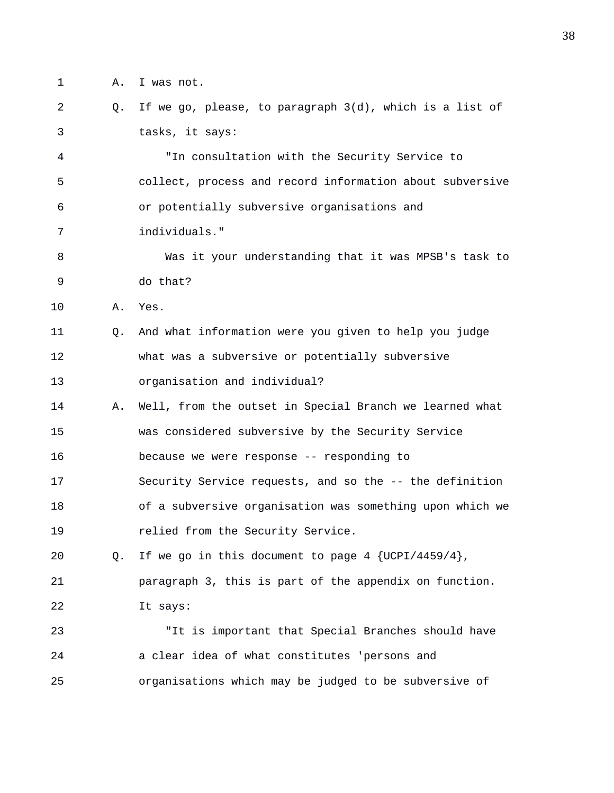- 1 A. I was not.
- 2 Q. If we go, please, to paragraph 3(d), which is a list of 3 tasks, it says:

4 "In consultation with the Security Service to 5 collect, process and record information about subversive 6 or potentially subversive organisations and 7 individuals."

- 8 Was it your understanding that it was MPSB's task to 9 do that?
- 10 A. Yes.
- 11 Q. And what information were you given to help you judge 12 what was a subversive or potentially subversive 13 organisation and individual?
- 14 A. Well, from the outset in Special Branch we learned what 15 was considered subversive by the Security Service
- 16 because we were response -- responding to
- 17 Security Service requests, and so the -- the definition
- 18 of a subversive organisation was something upon which we 19 relied from the Security Service.
- 20 Q. If we go in this document to page 4 {UCPI/4459/4}, 21 paragraph 3, this is part of the appendix on function. 22 It says:

23 "It is important that Special Branches should have 24 a clear idea of what constitutes 'persons and 25 organisations which may be judged to be subversive of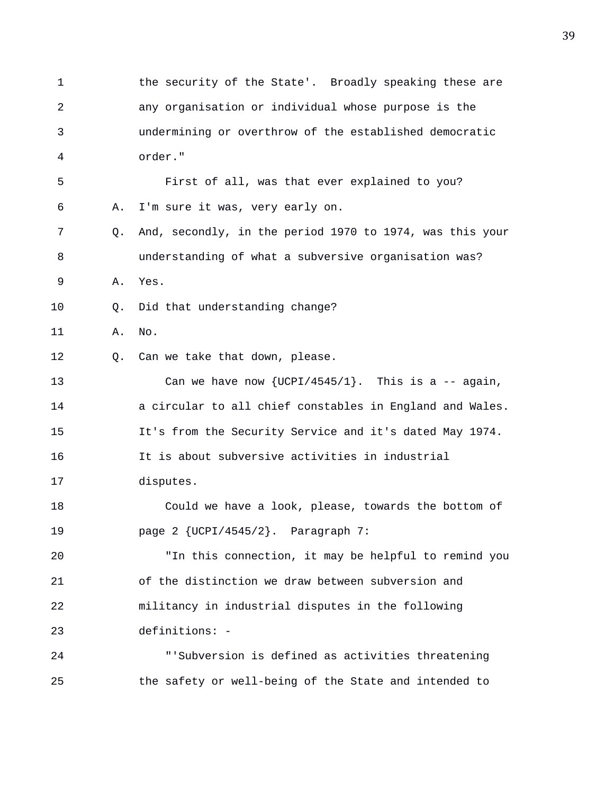1 the security of the State'. Broadly speaking these are 2 any organisation or individual whose purpose is the 3 undermining or overthrow of the established democratic 4 order." 5 First of all, was that ever explained to you? 6 A. I'm sure it was, very early on. 7 Q. And, secondly, in the period 1970 to 1974, was this your 8 understanding of what a subversive organisation was? 9 A. Yes. 10 Q. Did that understanding change? 11 A. No. 12 Q. Can we take that down, please. 13 Can we have now {UCPI/4545/1}. This is a -- again, 14 a circular to all chief constables in England and Wales. 15 It's from the Security Service and it's dated May 1974. 16 It is about subversive activities in industrial 17 disputes. 18 Could we have a look, please, towards the bottom of 19 page 2 {UCPI/4545/2}. Paragraph 7: 20 "In this connection, it may be helpful to remind you 21 of the distinction we draw between subversion and 22 militancy in industrial disputes in the following 23 definitions: - 24 "'Subversion is defined as activities threatening 25 the safety or well-being of the State and intended to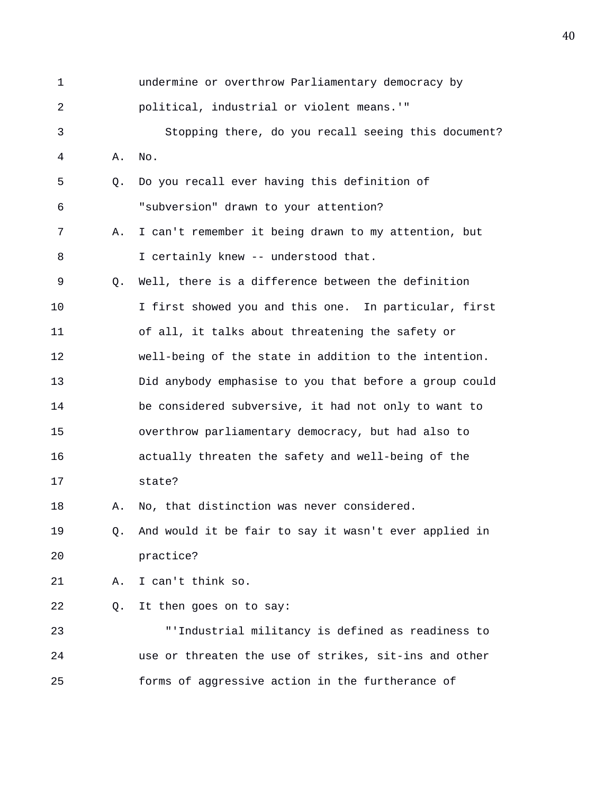| 1  |             | undermine or overthrow Parliamentary democracy by      |
|----|-------------|--------------------------------------------------------|
| 2  |             | political, industrial or violent means.'"              |
| 3  |             | Stopping there, do you recall seeing this document?    |
| 4  | Α.          | No.                                                    |
| 5  | Q.          | Do you recall ever having this definition of           |
| 6  |             | "subversion" drawn to your attention?                  |
| 7  | Α.          | I can't remember it being drawn to my attention, but   |
| 8  |             | I certainly knew -- understood that.                   |
| 9  | $Q_{\star}$ | Well, there is a difference between the definition     |
| 10 |             | I first showed you and this one. In particular, first  |
| 11 |             | of all, it talks about threatening the safety or       |
| 12 |             | well-being of the state in addition to the intention.  |
| 13 |             | Did anybody emphasise to you that before a group could |
| 14 |             | be considered subversive, it had not only to want to   |
| 15 |             | overthrow parliamentary democracy, but had also to     |
| 16 |             | actually threaten the safety and well-being of the     |
| 17 |             | state?                                                 |
| 18 | Α.          | No, that distinction was never considered.             |
| 19 | Q.          | And would it be fair to say it wasn't ever applied in  |
| 20 |             | practice?                                              |
| 21 | Α.          | I can't think so.                                      |
| 22 | Q.          | It then goes on to say:                                |
| 23 |             | "'Industrial militancy is defined as readiness to      |
| 24 |             | use or threaten the use of strikes, sit-ins and other  |
| 25 |             | forms of aggressive action in the furtherance of       |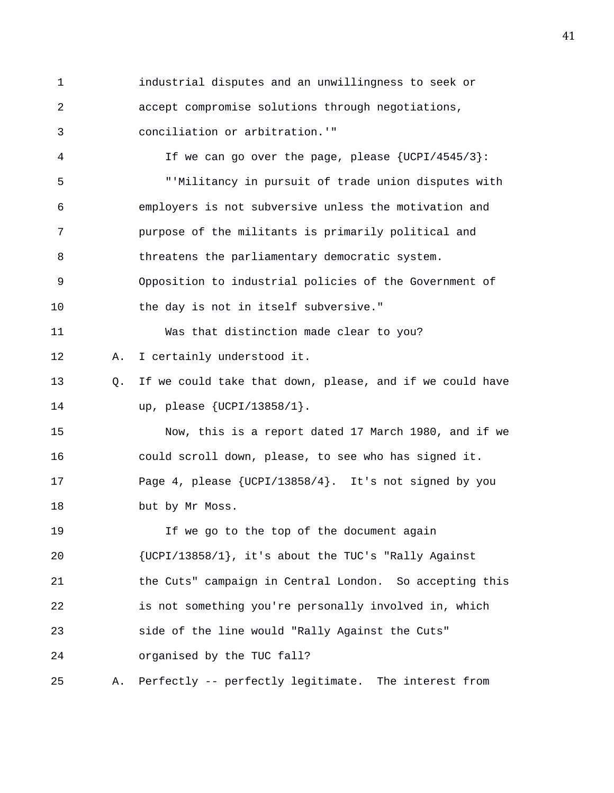1 industrial disputes and an unwillingness to seek or 2 accept compromise solutions through negotiations, 3 conciliation or arbitration.'" 4 If we can go over the page, please {UCPI/4545/3}: 5 "'Militancy in pursuit of trade union disputes with 6 employers is not subversive unless the motivation and 7 purpose of the militants is primarily political and 8 threatens the parliamentary democratic system. 9 Opposition to industrial policies of the Government of 10 the day is not in itself subversive." 11 Was that distinction made clear to you? 12 A. I certainly understood it. 13 Q. If we could take that down, please, and if we could have 14 up, please {UCPI/13858/1}. 15 Now, this is a report dated 17 March 1980, and if we 16 could scroll down, please, to see who has signed it. 17 Page 4, please {UCPI/13858/4}. It's not signed by you 18 but by Mr Moss. 19 If we go to the top of the document again 20 {UCPI/13858/1}, it's about the TUC's "Rally Against 21 the Cuts" campaign in Central London. So accepting this 22 is not something you're personally involved in, which 23 side of the line would "Rally Against the Cuts" 24 organised by the TUC fall? 25 A. Perfectly -- perfectly legitimate. The interest from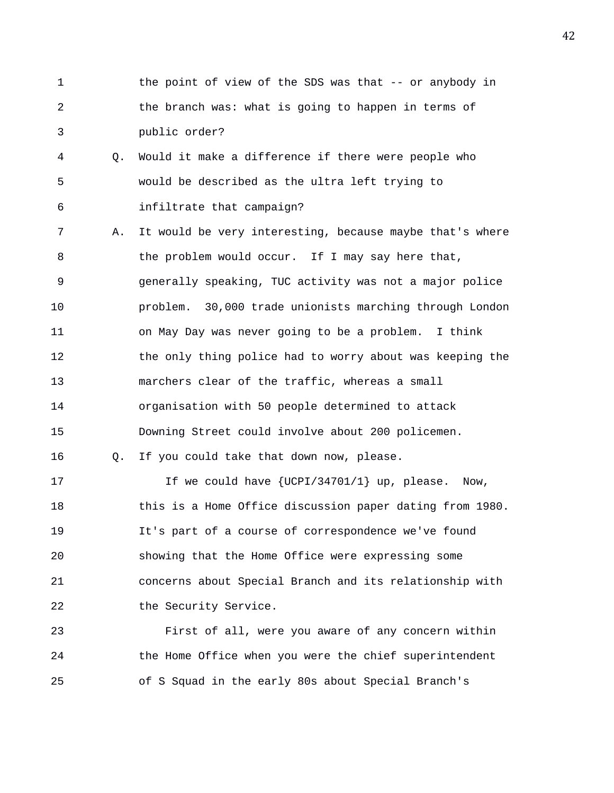- 1 the point of view of the SDS was that -- or anybody in 2 the branch was: what is going to happen in terms of 3 public order?
- 4 Q. Would it make a difference if there were people who 5 would be described as the ultra left trying to 6 infiltrate that campaign?
- 7 A. It would be very interesting, because maybe that's where 8 the problem would occur. If I may say here that, 9 generally speaking, TUC activity was not a major police 10 problem. 30,000 trade unionists marching through London 11 on May Day was never going to be a problem. I think 12 the only thing police had to worry about was keeping the 13 marchers clear of the traffic, whereas a small 14 organisation with 50 people determined to attack 15 Downing Street could involve about 200 policemen.

16 Q. If you could take that down now, please.

17 17 If we could have {UCPI/34701/1} up, please. Now, 18 this is a Home Office discussion paper dating from 1980. 19 It's part of a course of correspondence we've found 20 showing that the Home Office were expressing some 21 concerns about Special Branch and its relationship with 22 the Security Service.

23 First of all, were you aware of any concern within 24 the Home Office when you were the chief superintendent 25 of S Squad in the early 80s about Special Branch's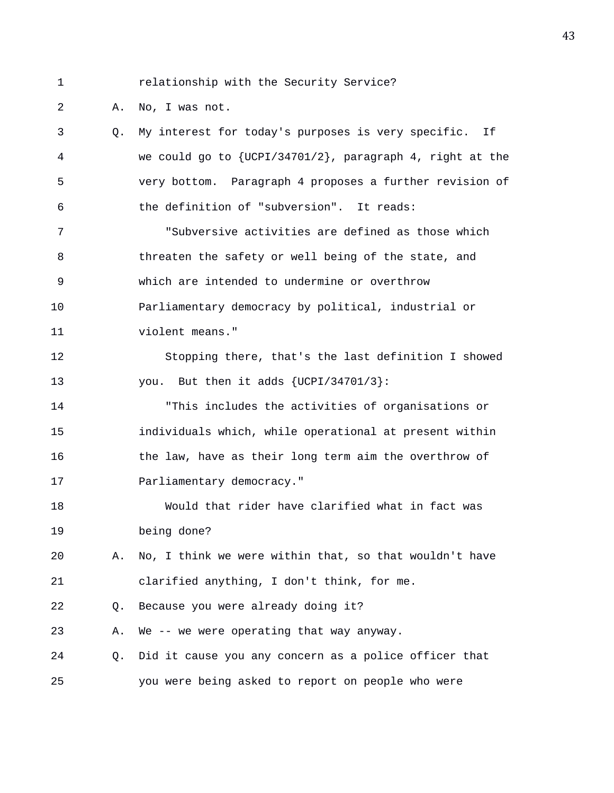1 relationship with the Security Service?

2 A. No, I was not.

3 Q. My interest for today's purposes is very specific. If 4 we could go to {UCPI/34701/2}, paragraph 4, right at the 5 very bottom. Paragraph 4 proposes a further revision of 6 the definition of "subversion". It reads: 7 "Subversive activities are defined as those which 8 threaten the safety or well being of the state, and 9 which are intended to undermine or overthrow 10 Parliamentary democracy by political, industrial or 11 violent means." 12 Stopping there, that's the last definition I showed 13 you. But then it adds  $\{UCPI/34701/3\}$ : 14 "This includes the activities of organisations or 15 individuals which, while operational at present within 16 the law, have as their long term aim the overthrow of 17 **Parliamentary democracy.**" 18 Would that rider have clarified what in fact was 19 being done? 20 A. No, I think we were within that, so that wouldn't have 21 clarified anything, I don't think, for me. 22 Q. Because you were already doing it? 23 A. We -- we were operating that way anyway. 24 Q. Did it cause you any concern as a police officer that 25 you were being asked to report on people who were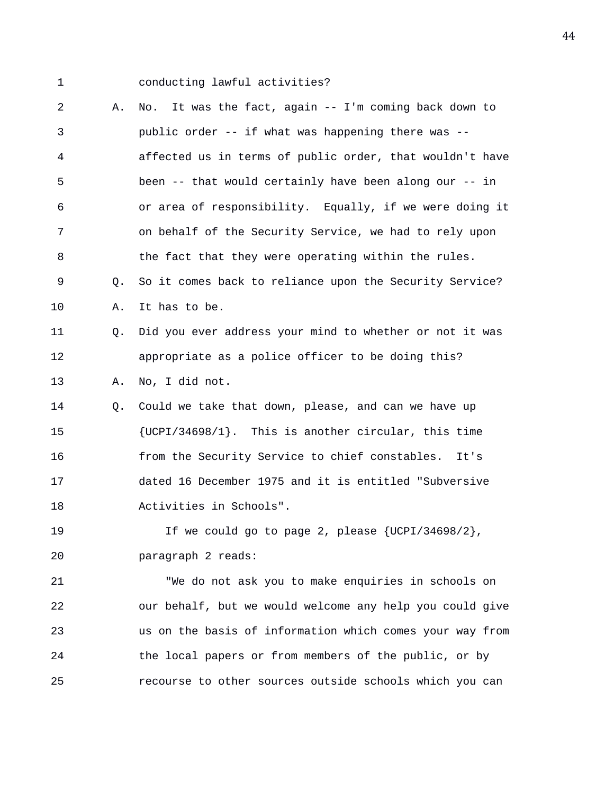1 conducting lawful activities?

2 A. No. It was the fact, again -- I'm coming back down to 3 public order -- if what was happening there was -- 4 affected us in terms of public order, that wouldn't have 5 been -- that would certainly have been along our -- in 6 or area of responsibility. Equally, if we were doing it 7 on behalf of the Security Service, we had to rely upon 8 the fact that they were operating within the rules. 9 Q. So it comes back to reliance upon the Security Service? 10 A. It has to be. 11 Q. Did you ever address your mind to whether or not it was 12 appropriate as a police officer to be doing this? 13 A. No, I did not. 14 Q. Could we take that down, please, and can we have up 15 {UCPI/34698/1}. This is another circular, this time 16 from the Security Service to chief constables. It's 17 dated 16 December 1975 and it is entitled "Subversive 18 Activities in Schools". 19 If we could go to page 2, please {UCPI/34698/2}, 20 paragraph 2 reads: 21 "We do not ask you to make enquiries in schools on 22 our behalf, but we would welcome any help you could give 23 us on the basis of information which comes your way from 24 the local papers or from members of the public, or by 25 recourse to other sources outside schools which you can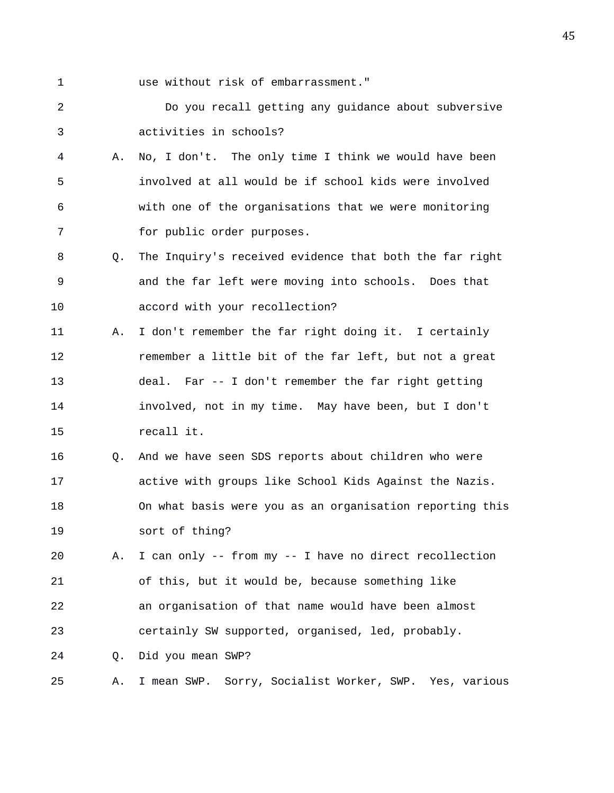1 use without risk of embarrassment."

2 Do you recall getting any guidance about subversive 3 activities in schools?

- 4 A. No, I don't. The only time I think we would have been 5 involved at all would be if school kids were involved 6 with one of the organisations that we were monitoring 7 for public order purposes.
- 8 Q. The Inquiry's received evidence that both the far right 9 and the far left were moving into schools. Does that 10 accord with your recollection?
- 11 A. I don't remember the far right doing it. I certainly 12 remember a little bit of the far left, but not a great 13 deal. Far -- I don't remember the far right getting 14 involved, not in my time. May have been, but I don't 15 recall it.
- 16 Q. And we have seen SDS reports about children who were 17 active with groups like School Kids Against the Nazis. 18 On what basis were you as an organisation reporting this 19 sort of thing?
- 20 A. I can only -- from my -- I have no direct recollection 21 of this, but it would be, because something like 22 an organisation of that name would have been almost 23 certainly SW supported, organised, led, probably.
- 24 Q. Did you mean SWP?
- 25 A. I mean SWP. Sorry, Socialist Worker, SWP. Yes, various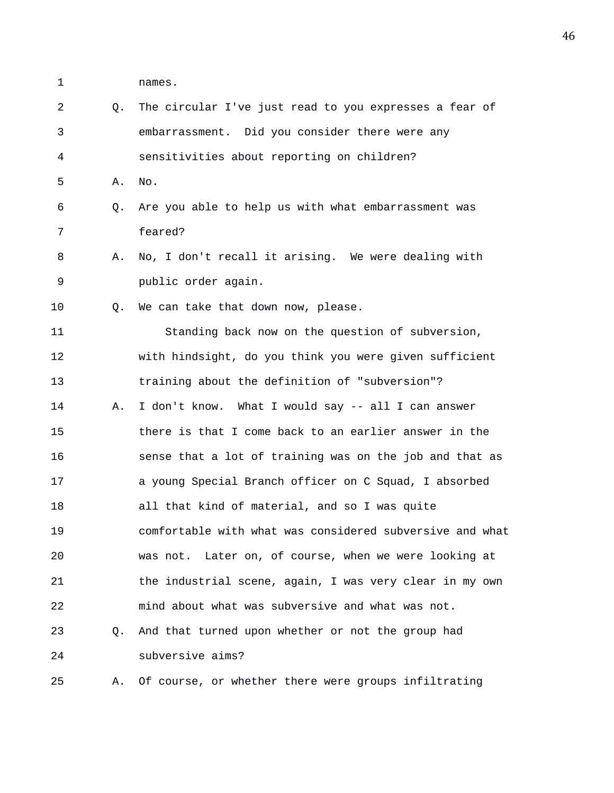1 names.

| 2  | O. | The circular I've just read to you expresses a fear of   |
|----|----|----------------------------------------------------------|
| 3  |    | embarrassment. Did you consider there were any           |
| 4  |    | sensitivities about reporting on children?               |
| 5  | Α. | No.                                                      |
| 6  | Q. | Are you able to help us with what embarrassment was      |
| 7  |    | feared?                                                  |
| 8  | Α. | No, I don't recall it arising. We were dealing with      |
| 9  |    | public order again.                                      |
| 10 | O. | We can take that down now, please.                       |
| 11 |    | Standing back now on the question of subversion,         |
| 12 |    | with hindsight, do you think you were given sufficient   |
| 13 |    | training about the definition of "subversion"?           |
| 14 | Α. | I don't know. What I would say -- all I can answer       |
| 15 |    | there is that I come back to an earlier answer in the    |
| 16 |    | sense that a lot of training was on the job and that as  |
| 17 |    | a young Special Branch officer on C Squad, I absorbed    |
| 18 |    | all that kind of material, and so I was quite            |
| 19 |    | comfortable with what was considered subversive and what |
| 20 |    | was not. Later on, of course, when we were looking at    |
| 21 |    | the industrial scene, again, I was very clear in my own  |
| 22 |    | mind about what was subversive and what was not.         |
| 23 | O. | And that turned upon whether or not the group had        |
| 24 |    | subversive aims?                                         |
| 25 | Α. | Of course, or whether there were groups infiltrating     |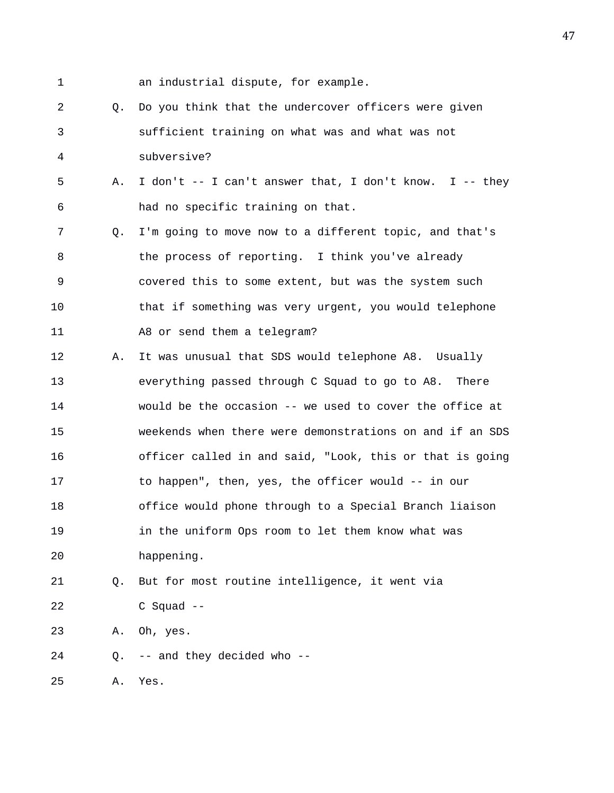1 an industrial dispute, for example. 2 Q. Do you think that the undercover officers were given 3 sufficient training on what was and what was not 4 subversive? 5 A. I don't -- I can't answer that, I don't know. I -- they 6 had no specific training on that. 7 Q. I'm going to move now to a different topic, and that's 8 the process of reporting. I think you've already 9 covered this to some extent, but was the system such 10 that if something was very urgent, you would telephone 11 A8 or send them a telegram? 12 A. It was unusual that SDS would telephone A8. Usually 13 everything passed through C Squad to go to A8. There 14 would be the occasion -- we used to cover the office at 15 weekends when there were demonstrations on and if an SDS 16 officer called in and said, "Look, this or that is going 17 to happen", then, yes, the officer would -- in our 18 office would phone through to a Special Branch liaison 19 in the uniform Ops room to let them know what was 20 happening. 21 Q. But for most routine intelligence, it went via 22 C Squad -- 23 A. Oh, yes.

24 Q. -- and they decided who --

25 A. Yes.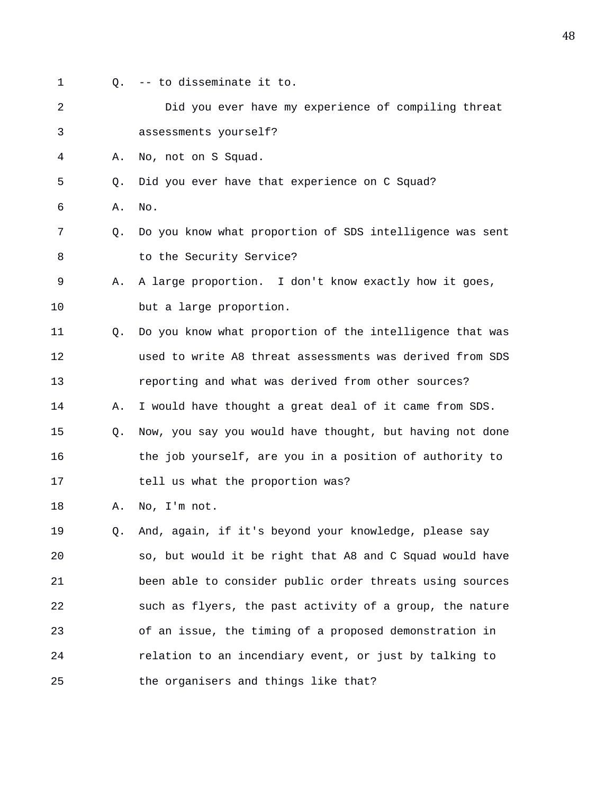- 
- 1 Q. -- to disseminate it to.

|                       |  | Did you ever have my experience of compiling threat |  |  |
|-----------------------|--|-----------------------------------------------------|--|--|
| assessments yourself? |  |                                                     |  |  |

4 A. No, not on S Squad.

5 Q. Did you ever have that experience on C Squad?

6 A. No.

- 7 Q. Do you know what proportion of SDS intelligence was sent 8 to the Security Service?
- 9 A. A large proportion. I don't know exactly how it goes, 10 but a large proportion.
- 11 Q. Do you know what proportion of the intelligence that was 12 used to write A8 threat assessments was derived from SDS 13 reporting and what was derived from other sources? 14 A. I would have thought a great deal of it came from SDS. 15 Q. Now, you say you would have thought, but having not done 16 the job yourself, are you in a position of authority to
- 17 tell us what the proportion was?

18 A. No, I'm not.

19 Q. And, again, if it's beyond your knowledge, please say 20 so, but would it be right that A8 and C Squad would have 21 been able to consider public order threats using sources 22 such as flyers, the past activity of a group, the nature 23 of an issue, the timing of a proposed demonstration in 24 relation to an incendiary event, or just by talking to 25 the organisers and things like that?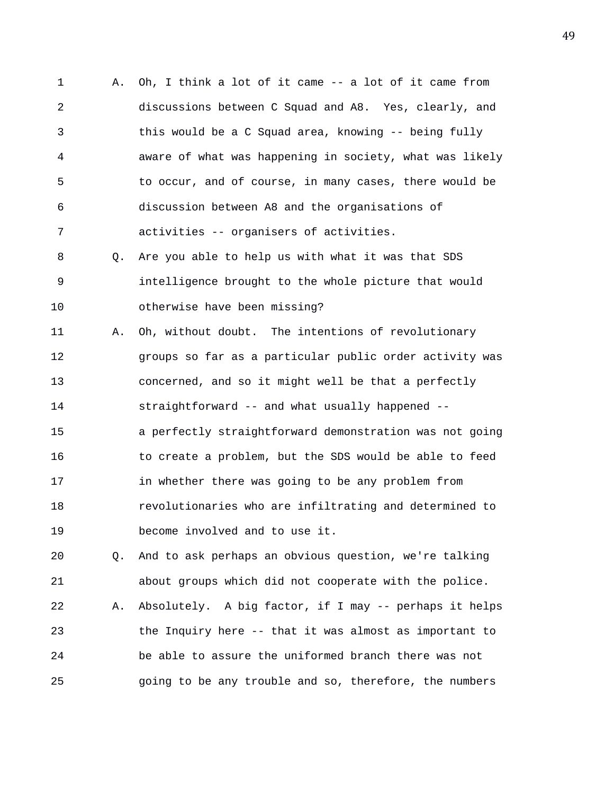1 A. Oh, I think a lot of it came -- a lot of it came from 2 discussions between C Squad and A8. Yes, clearly, and 3 this would be a C Squad area, knowing -- being fully 4 aware of what was happening in society, what was likely 5 to occur, and of course, in many cases, there would be 6 discussion between A8 and the organisations of 7 activities -- organisers of activities.

8 Q. Are you able to help us with what it was that SDS 9 intelligence brought to the whole picture that would 10 otherwise have been missing?

11 A. Oh, without doubt. The intentions of revolutionary 12 groups so far as a particular public order activity was 13 concerned, and so it might well be that a perfectly 14 straightforward -- and what usually happened -- 15 a perfectly straightforward demonstration was not going 16 to create a problem, but the SDS would be able to feed 17 in whether there was going to be any problem from 18 revolutionaries who are infiltrating and determined to 19 become involved and to use it.

20 Q. And to ask perhaps an obvious question, we're talking 21 about groups which did not cooperate with the police. 22 A. Absolutely. A big factor, if I may -- perhaps it helps 23 the Inquiry here -- that it was almost as important to 24 be able to assure the uniformed branch there was not 25 going to be any trouble and so, therefore, the numbers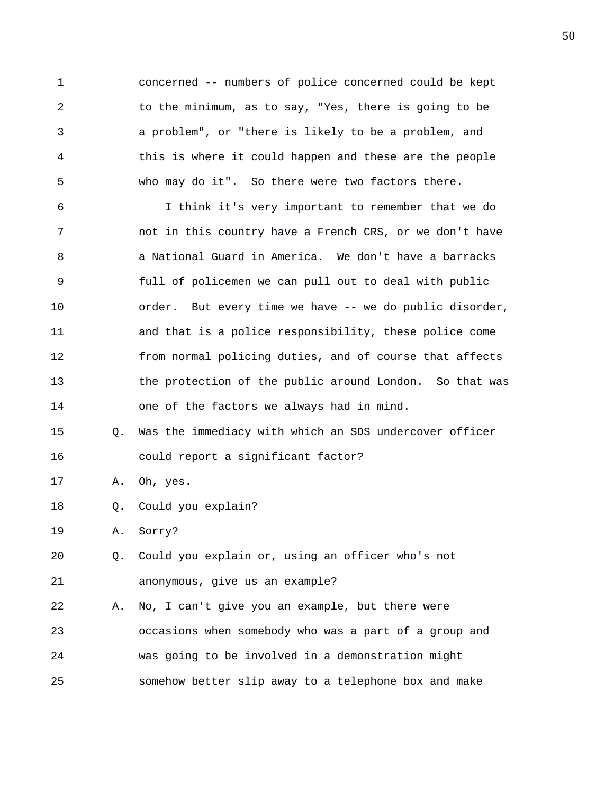1 concerned -- numbers of police concerned could be kept 2 to the minimum, as to say, "Yes, there is going to be 3 a problem", or "there is likely to be a problem, and 4 this is where it could happen and these are the people 5 who may do it". So there were two factors there.

6 I think it's very important to remember that we do 7 not in this country have a French CRS, or we don't have 8 a National Guard in America. We don't have a barracks 9 full of policemen we can pull out to deal with public 10 order. But every time we have -- we do public disorder, 11 and that is a police responsibility, these police come 12 from normal policing duties, and of course that affects 13 the protection of the public around London. So that was 14 one of the factors we always had in mind.

15 Q. Was the immediacy with which an SDS undercover officer 16 could report a significant factor?

17 A. Oh, yes.

18 Q. Could you explain?

19 A. Sorry?

20 Q. Could you explain or, using an officer who's not 21 anonymous, give us an example?

22 A. No, I can't give you an example, but there were 23 occasions when somebody who was a part of a group and 24 was going to be involved in a demonstration might 25 somehow better slip away to a telephone box and make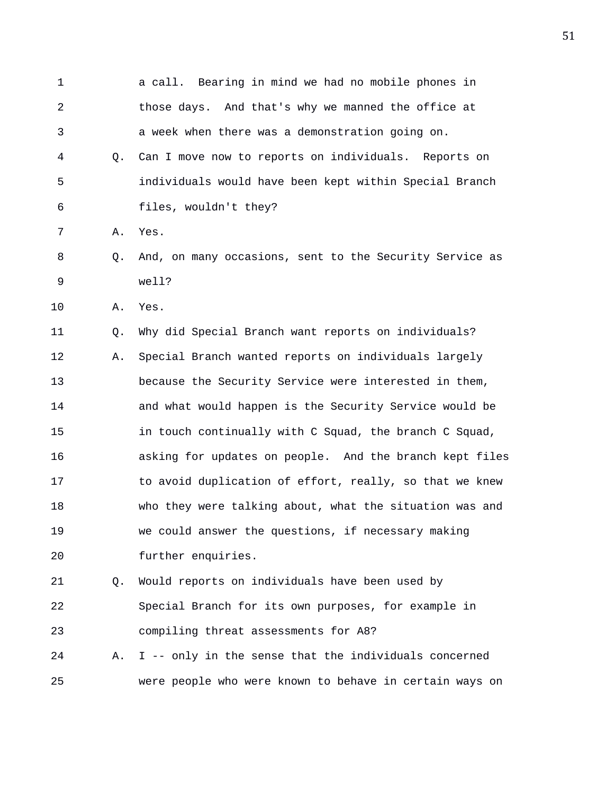1 a call. Bearing in mind we had no mobile phones in 2 those days. And that's why we manned the office at 3 a week when there was a demonstration going on. 4 Q. Can I move now to reports on individuals. Reports on 5 individuals would have been kept within Special Branch 6 files, wouldn't they? 7 A. Yes. 8 Q. And, on many occasions, sent to the Security Service as 9 well? 10 A. Yes. 11 Q. Why did Special Branch want reports on individuals? 12 A. Special Branch wanted reports on individuals largely 13 because the Security Service were interested in them, 14 and what would happen is the Security Service would be 15 in touch continually with C Squad, the branch C Squad, 16 asking for updates on people. And the branch kept files 17 to avoid duplication of effort, really, so that we knew 18 who they were talking about, what the situation was and 19 we could answer the questions, if necessary making 20 further enquiries. 21 Q. Would reports on individuals have been used by 22 Special Branch for its own purposes, for example in 23 compiling threat assessments for A8? 24 A. I -- only in the sense that the individuals concerned 25 were people who were known to behave in certain ways on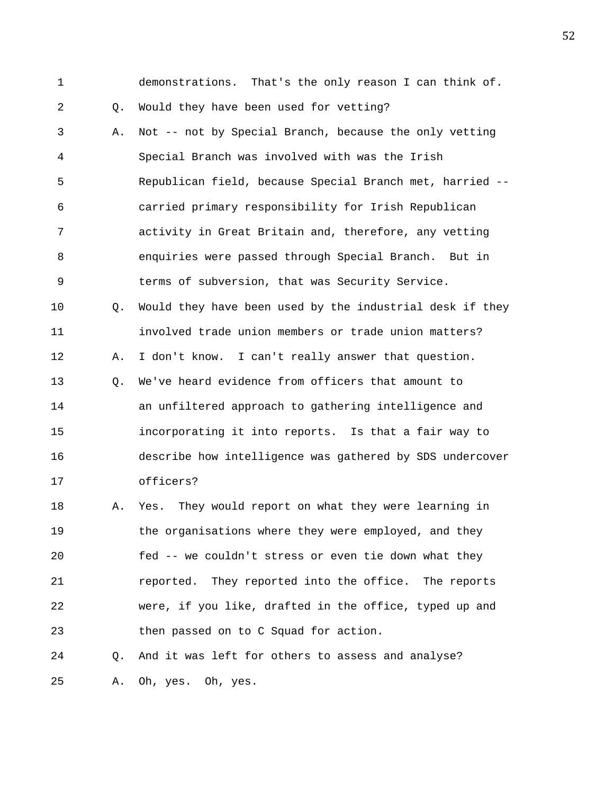1 demonstrations. That's the only reason I can think of. 2 Q. Would they have been used for vetting? 3 A. Not -- not by Special Branch, because the only vetting 4 Special Branch was involved with was the Irish 5 Republican field, because Special Branch met, harried -- 6 carried primary responsibility for Irish Republican 7 activity in Great Britain and, therefore, any vetting 8 enquiries were passed through Special Branch. But in 9 terms of subversion, that was Security Service. 10 Q. Would they have been used by the industrial desk if they 11 involved trade union members or trade union matters? 12 A. I don't know. I can't really answer that question. 13 Q. We've heard evidence from officers that amount to 14 an unfiltered approach to gathering intelligence and 15 incorporating it into reports. Is that a fair way to 16 describe how intelligence was gathered by SDS undercover 17 officers? 18 A. Yes. They would report on what they were learning in 19 the organisations where they were employed, and they 20 fed -- we couldn't stress or even tie down what they 21 reported. They reported into the office. The reports 22 were, if you like, drafted in the office, typed up and 23 then passed on to C Squad for action.

24 Q. And it was left for others to assess and analyse?

25 A. Oh, yes. Oh, yes.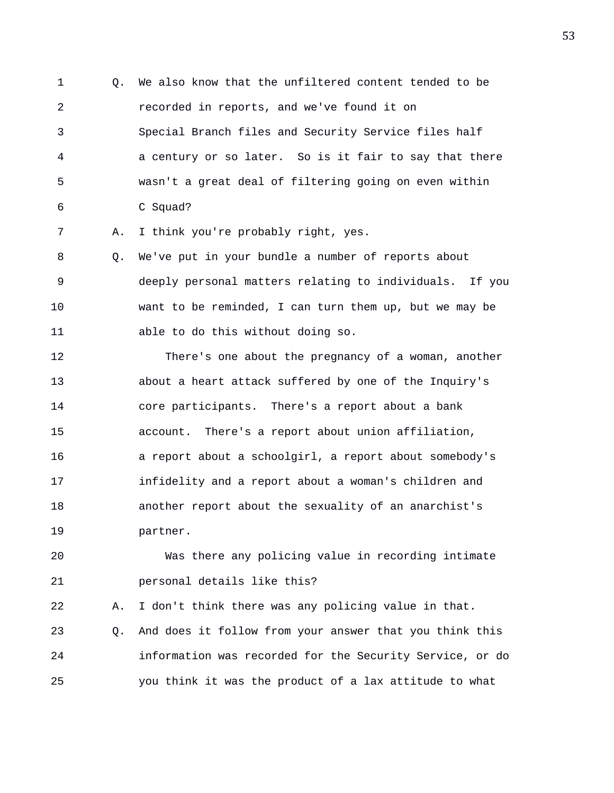1 Q. We also know that the unfiltered content tended to be 2 recorded in reports, and we've found it on 3 Special Branch files and Security Service files half 4 a century or so later. So is it fair to say that there 5 wasn't a great deal of filtering going on even within 6 C Squad?

7 A. I think you're probably right, yes.

8 Q. We've put in your bundle a number of reports about 9 deeply personal matters relating to individuals. If you 10 want to be reminded, I can turn them up, but we may be 11 able to do this without doing so.

12 There's one about the pregnancy of a woman, another 13 about a heart attack suffered by one of the Inquiry's 14 core participants. There's a report about a bank 15 account. There's a report about union affiliation, 16 a report about a schoolgirl, a report about somebody's 17 infidelity and a report about a woman's children and 18 another report about the sexuality of an anarchist's 19 partner.

20 Was there any policing value in recording intimate 21 personal details like this?

22 A. I don't think there was any policing value in that. 23 Q. And does it follow from your answer that you think this 24 information was recorded for the Security Service, or do 25 you think it was the product of a lax attitude to what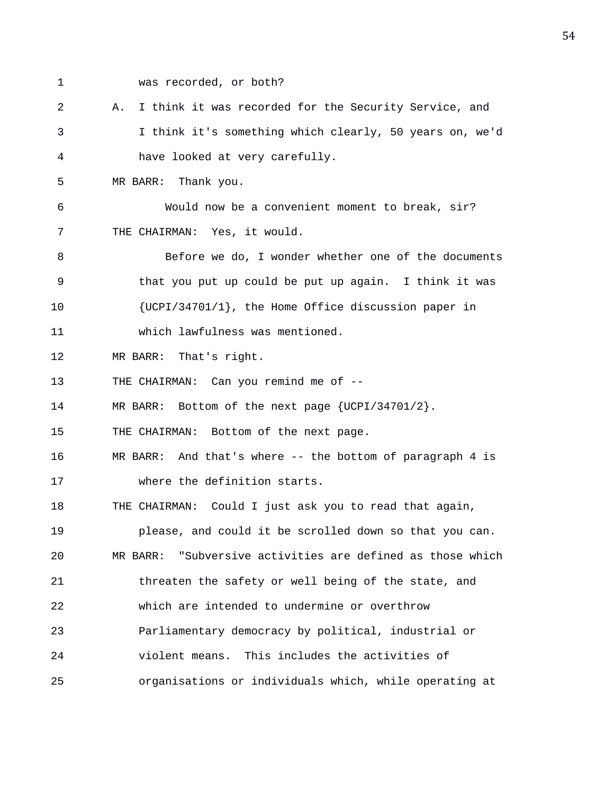- 
- 1 was recorded, or both?

2 A. I think it was recorded for the Security Service, and 3 I think it's something which clearly, 50 years on, we'd 4 have looked at very carefully.

5 MR BARR: Thank you.

6 Would now be a convenient moment to break, sir? 7 THE CHAIRMAN: Yes, it would.

8 Before we do, I wonder whether one of the documents 9 that you put up could be put up again. I think it was 10 {UCPI/34701/1}, the Home Office discussion paper in 11 which lawfulness was mentioned.

12 MR BARR: That's right.

13 THE CHAIRMAN: Can you remind me of --

14 MR BARR: Bottom of the next page {UCPI/34701/2}.

15 THE CHAIRMAN: Bottom of the next page.

16 MR BARR: And that's where -- the bottom of paragraph 4 is 17 where the definition starts.

18 THE CHAIRMAN: Could I just ask you to read that again, 19 please, and could it be scrolled down so that you can. 20 MR BARR: "Subversive activities are defined as those which 21 threaten the safety or well being of the state, and 22 which are intended to undermine or overthrow 23 Parliamentary democracy by political, industrial or 24 violent means. This includes the activities of 25 organisations or individuals which, while operating at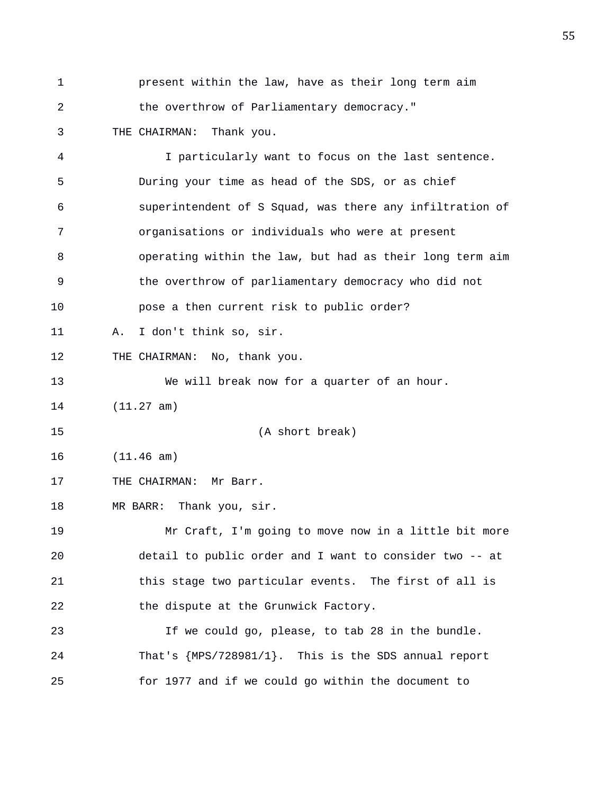- 1 present within the law, have as their long term aim 2 the overthrow of Parliamentary democracy."
- 3 THE CHAIRMAN: Thank you.

4 I particularly want to focus on the last sentence. 5 During your time as head of the SDS, or as chief 6 superintendent of S Squad, was there any infiltration of 7 organisations or individuals who were at present 8 operating within the law, but had as their long term aim 9 the overthrow of parliamentary democracy who did not 10 pose a then current risk to public order? 11 A. I don't think so, sir. 12 THE CHAIRMAN: No, thank you. 13 We will break now for a quarter of an hour. 14 (11.27 am) 15 (A short break) 16 (11.46 am) 17 THE CHAIRMAN: Mr Barr. 18 MR BARR: Thank you, sir. 19 Mr Craft, I'm going to move now in a little bit more 20 detail to public order and I want to consider two -- at 21 this stage two particular events. The first of all is 22 the dispute at the Grunwick Factory. 23 If we could go, please, to tab 28 in the bundle. 24 That's {MPS/728981/1}. This is the SDS annual report 25 for 1977 and if we could go within the document to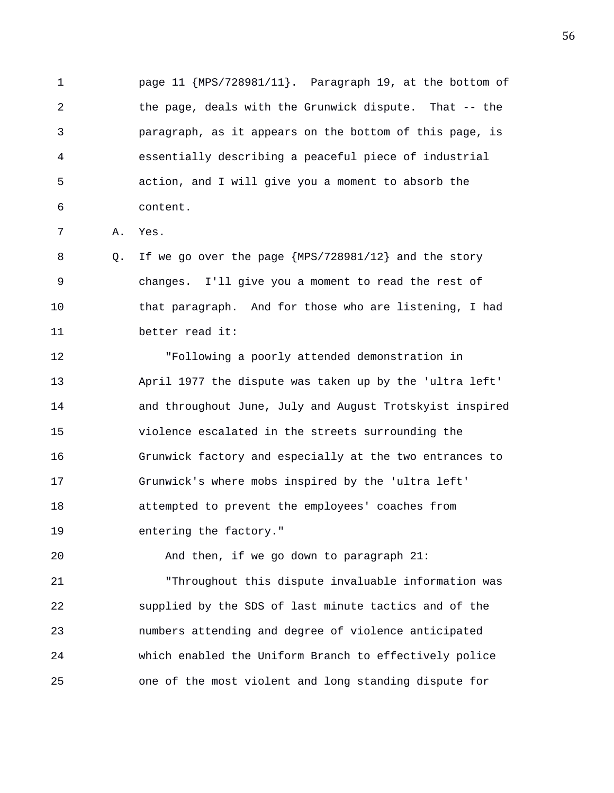1 page 11 {MPS/728981/11}. Paragraph 19, at the bottom of 2 the page, deals with the Grunwick dispute. That -- the 3 paragraph, as it appears on the bottom of this page, is 4 essentially describing a peaceful piece of industrial 5 action, and I will give you a moment to absorb the 6 content.

7 A. Yes.

8 Q. If we go over the page {MPS/728981/12} and the story 9 changes. I'll give you a moment to read the rest of 10 that paragraph. And for those who are listening, I had 11 better read it:

12 "Following a poorly attended demonstration in 13 April 1977 the dispute was taken up by the 'ultra left' 14 and throughout June, July and August Trotskyist inspired 15 violence escalated in the streets surrounding the 16 Grunwick factory and especially at the two entrances to 17 Grunwick's where mobs inspired by the 'ultra left' 18 attempted to prevent the employees' coaches from 19 entering the factory."

20 And then, if we go down to paragraph 21:

21 "Throughout this dispute invaluable information was 22 supplied by the SDS of last minute tactics and of the 23 numbers attending and degree of violence anticipated 24 which enabled the Uniform Branch to effectively police 25 one of the most violent and long standing dispute for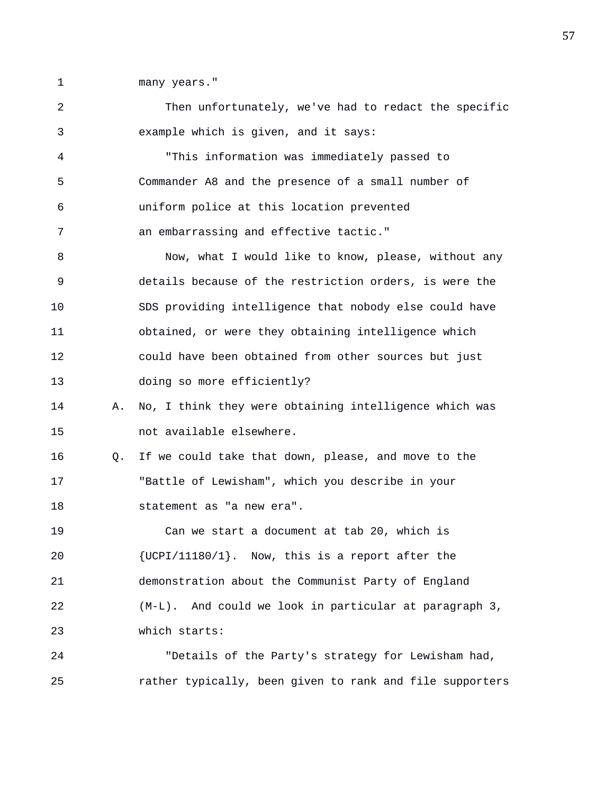1 many years."

2 Then unfortunately, we've had to redact the specific 3 example which is given, and it says: 4 "This information was immediately passed to 5 Commander A8 and the presence of a small number of 6 uniform police at this location prevented 7 an embarrassing and effective tactic." 8 Now, what I would like to know, please, without any 9 details because of the restriction orders, is were the 10 SDS providing intelligence that nobody else could have 11 obtained, or were they obtaining intelligence which 12 could have been obtained from other sources but just 13 doing so more efficiently? 14 A. No, I think they were obtaining intelligence which was 15 not available elsewhere. 16 Q. If we could take that down, please, and move to the 17 "Battle of Lewisham", which you describe in your 18 statement as "a new era". 19 Can we start a document at tab 20, which is 20 {UCPI/11180/1}. Now, this is a report after the 21 demonstration about the Communist Party of England 22 (M-L). And could we look in particular at paragraph 3, 23 which starts: 24 "Details of the Party's strategy for Lewisham had, 25 rather typically, been given to rank and file supporters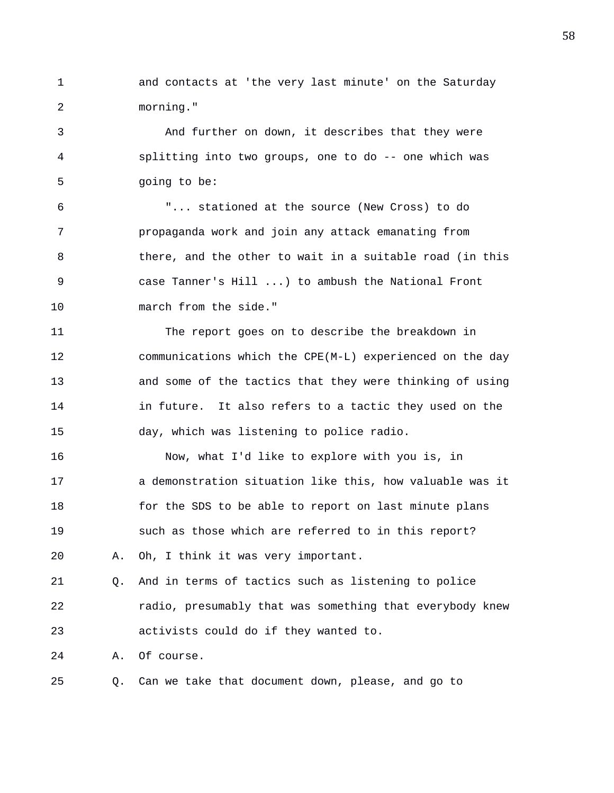1 and contacts at 'the very last minute' on the Saturday 2 morning."

3 And further on down, it describes that they were 4 splitting into two groups, one to do -- one which was 5 going to be:

6 "... stationed at the source (New Cross) to do 7 propaganda work and join any attack emanating from 8 there, and the other to wait in a suitable road (in this 9 case Tanner's Hill ...) to ambush the National Front 10 march from the side."

11 The report goes on to describe the breakdown in 12 communications which the CPE(M-L) experienced on the day 13 and some of the tactics that they were thinking of using 14 in future. It also refers to a tactic they used on the 15 day, which was listening to police radio.

16 Now, what I'd like to explore with you is, in 17 a demonstration situation like this, how valuable was it 18 for the SDS to be able to report on last minute plans 19 such as those which are referred to in this report? 20 A. Oh, I think it was very important.

21 Q. And in terms of tactics such as listening to police 22 radio, presumably that was something that everybody knew 23 activists could do if they wanted to.

24 A. Of course.

25 Q. Can we take that document down, please, and go to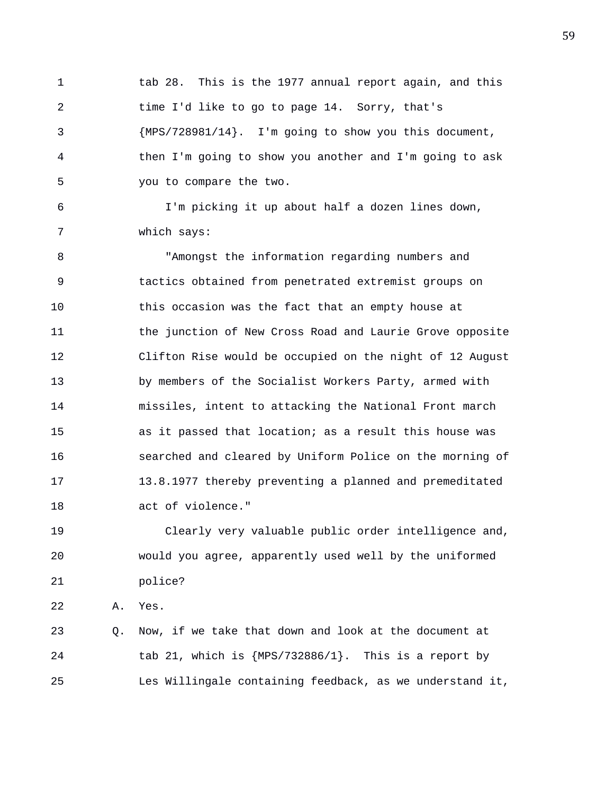1 tab 28. This is the 1977 annual report again, and this 2 time I'd like to go to page 14. Sorry, that's 3 {MPS/728981/14}. I'm going to show you this document, 4 then I'm going to show you another and I'm going to ask 5 you to compare the two.

6 I'm picking it up about half a dozen lines down, 7 which says:

8 "Amongst the information regarding numbers and 9 tactics obtained from penetrated extremist groups on 10 this occasion was the fact that an empty house at 11 the junction of New Cross Road and Laurie Grove opposite 12 Clifton Rise would be occupied on the night of 12 August 13 by members of the Socialist Workers Party, armed with 14 missiles, intent to attacking the National Front march 15 as it passed that location; as a result this house was 16 searched and cleared by Uniform Police on the morning of 17 13.8.1977 thereby preventing a planned and premeditated 18 act of violence."

19 Clearly very valuable public order intelligence and, 20 would you agree, apparently used well by the uniformed 21 police?

22 A. Yes.

23 Q. Now, if we take that down and look at the document at 24 tab 21, which is {MPS/732886/1}. This is a report by 25 Les Willingale containing feedback, as we understand it,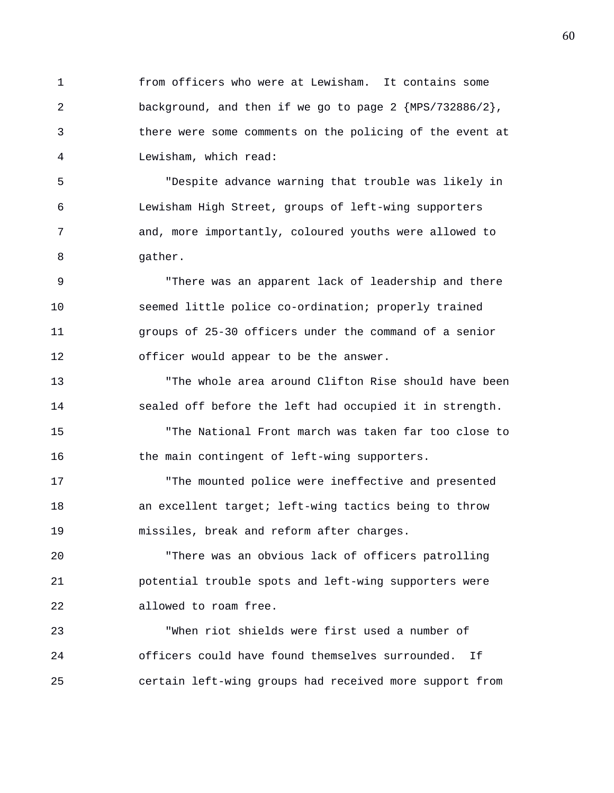1 from officers who were at Lewisham. It contains some 2 background, and then if we go to page 2 {MPS/732886/2}, 3 there were some comments on the policing of the event at 4 Lewisham, which read:

5 "Despite advance warning that trouble was likely in 6 Lewisham High Street, groups of left-wing supporters 7 and, more importantly, coloured youths were allowed to 8 gather.

9 "There was an apparent lack of leadership and there 10 seemed little police co-ordination; properly trained 11 groups of 25-30 officers under the command of a senior 12 officer would appear to be the answer.

13 "The whole area around Clifton Rise should have been 14 sealed off before the left had occupied it in strength. 15 "The National Front march was taken far too close to

16 the main contingent of left-wing supporters.

17 "The mounted police were ineffective and presented 18 an excellent target; left-wing tactics being to throw 19 missiles, break and reform after charges.

20 "There was an obvious lack of officers patrolling 21 potential trouble spots and left-wing supporters were 22 allowed to roam free.

23 "When riot shields were first used a number of 24 officers could have found themselves surrounded. If 25 certain left-wing groups had received more support from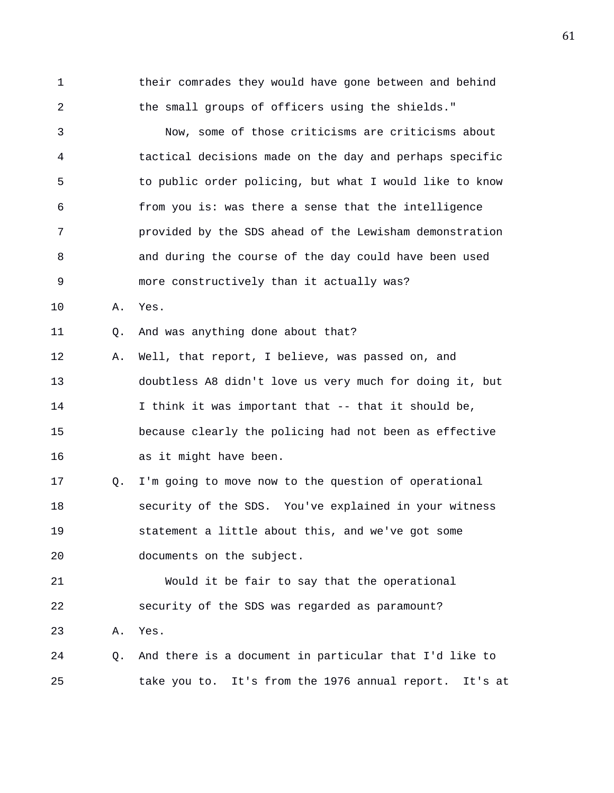1 their comrades they would have gone between and behind 2 the small groups of officers using the shields."

3 Now, some of those criticisms are criticisms about 4 tactical decisions made on the day and perhaps specific 5 to public order policing, but what I would like to know 6 from you is: was there a sense that the intelligence 7 provided by the SDS ahead of the Lewisham demonstration 8 and during the course of the day could have been used 9 more constructively than it actually was?

10 A. Yes.

11 Q. And was anything done about that?

12 A. Well, that report, I believe, was passed on, and 13 doubtless A8 didn't love us very much for doing it, but 14 I think it was important that -- that it should be, 15 because clearly the policing had not been as effective 16 as it might have been.

17 Q. I'm going to move now to the question of operational 18 security of the SDS. You've explained in your witness 19 statement a little about this, and we've got some 20 documents on the subject.

21 Would it be fair to say that the operational 22 security of the SDS was regarded as paramount? 23 A. Yes.

24 Q. And there is a document in particular that I'd like to 25 take you to. It's from the 1976 annual report. It's at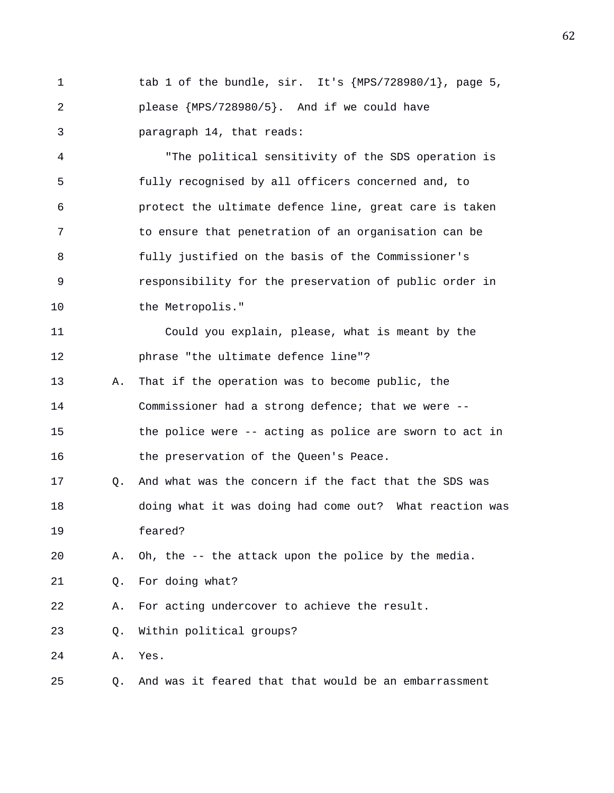1 tab 1 of the bundle, sir. It's {MPS/728980/1}, page 5, 2 please {MPS/728980/5}. And if we could have 3 paragraph 14, that reads:

4 "The political sensitivity of the SDS operation is 5 fully recognised by all officers concerned and, to 6 protect the ultimate defence line, great care is taken 7 to ensure that penetration of an organisation can be 8 fully justified on the basis of the Commissioner's 9 responsibility for the preservation of public order in 10 the Metropolis."

11 Could you explain, please, what is meant by the 12 phrase "the ultimate defence line"? 13 A. That if the operation was to become public, the

14 Commissioner had a strong defence; that we were -- 15 the police were -- acting as police are sworn to act in

16 the preservation of the Queen's Peace.

17 Q. And what was the concern if the fact that the SDS was 18 doing what it was doing had come out? What reaction was 19 feared?

20 A. Oh, the -- the attack upon the police by the media.

21 Q. For doing what?

22 A. For acting undercover to achieve the result.

23 Q. Within political groups?

24 A. Yes.

25 Q. And was it feared that that would be an embarrassment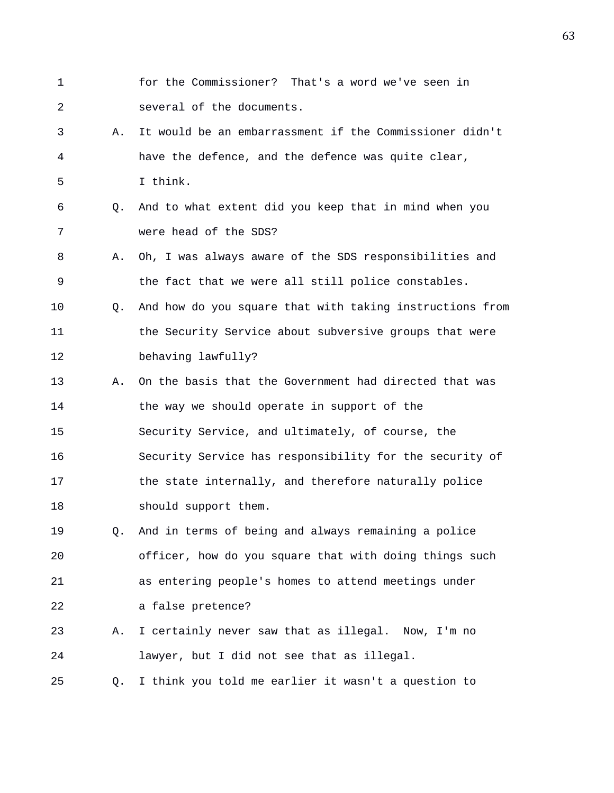- 1 for the Commissioner? That's a word we've seen in 2 several of the documents.
- 3 A. It would be an embarrassment if the Commissioner didn't 4 have the defence, and the defence was quite clear, 5 I think.
- 6 Q. And to what extent did you keep that in mind when you 7 were head of the SDS?
- 8 A. Oh, I was always aware of the SDS responsibilities and 9 the fact that we were all still police constables.
- 10 Q. And how do you square that with taking instructions from 11 the Security Service about subversive groups that were 12 behaving lawfully?
- 13 A. On the basis that the Government had directed that was 14 the way we should operate in support of the 15 Security Service, and ultimately, of course, the 16 Security Service has responsibility for the security of 17 the state internally, and therefore naturally police 18 should support them.
- 19 Q. And in terms of being and always remaining a police 20 officer, how do you square that with doing things such 21 as entering people's homes to attend meetings under 22 a false pretence?
- 23 A. I certainly never saw that as illegal. Now, I'm no 24 lawyer, but I did not see that as illegal.
- 25 Q. I think you told me earlier it wasn't a question to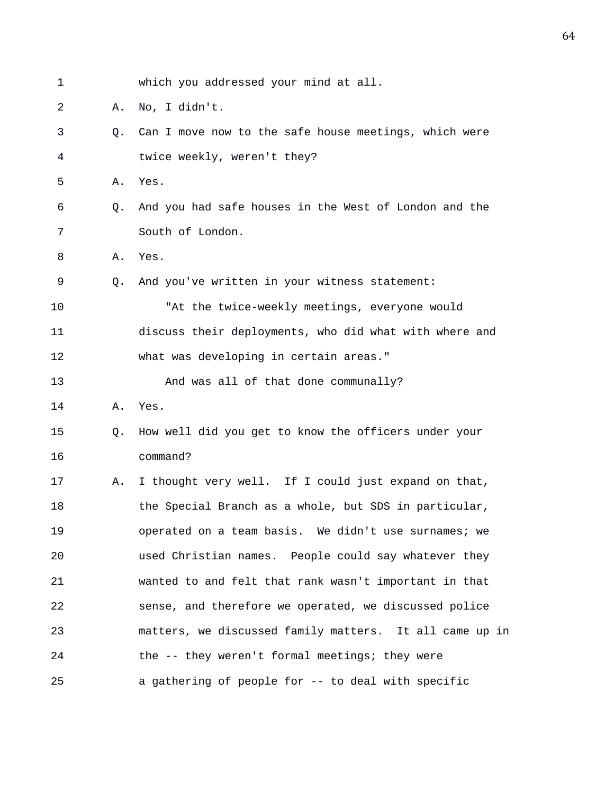| 1  |    | which you addressed your mind at all.                   |
|----|----|---------------------------------------------------------|
| 2  | Α. | No, I didn't.                                           |
| 3  | Q. | Can I move now to the safe house meetings, which were   |
| 4  |    | twice weekly, weren't they?                             |
| 5  | Α. | Yes.                                                    |
| 6  | Q. | And you had safe houses in the West of London and the   |
| 7  |    | South of London.                                        |
| 8  | Α. | Yes.                                                    |
| 9  | O. | And you've written in your witness statement:           |
| 10 |    | "At the twice-weekly meetings, everyone would           |
| 11 |    | discuss their deployments, who did what with where and  |
| 12 |    | what was developing in certain areas."                  |
| 13 |    | And was all of that done communally?                    |
| 14 | Α. | Yes.                                                    |
| 15 | Q. | How well did you get to know the officers under your    |
| 16 |    | command?                                                |
| 17 | Α. | I thought very well. If I could just expand on that,    |
| 18 |    | the Special Branch as a whole, but SDS in particular,   |
| 19 |    | operated on a team basis. We didn't use surnames; we    |
| 20 |    | used Christian names. People could say whatever they    |
| 21 |    | wanted to and felt that rank wasn't important in that   |
| 22 |    | sense, and therefore we operated, we discussed police   |
| 23 |    | matters, we discussed family matters. It all came up in |
| 24 |    | the -- they weren't formal meetings; they were          |
| 25 |    | a gathering of people for -- to deal with specific      |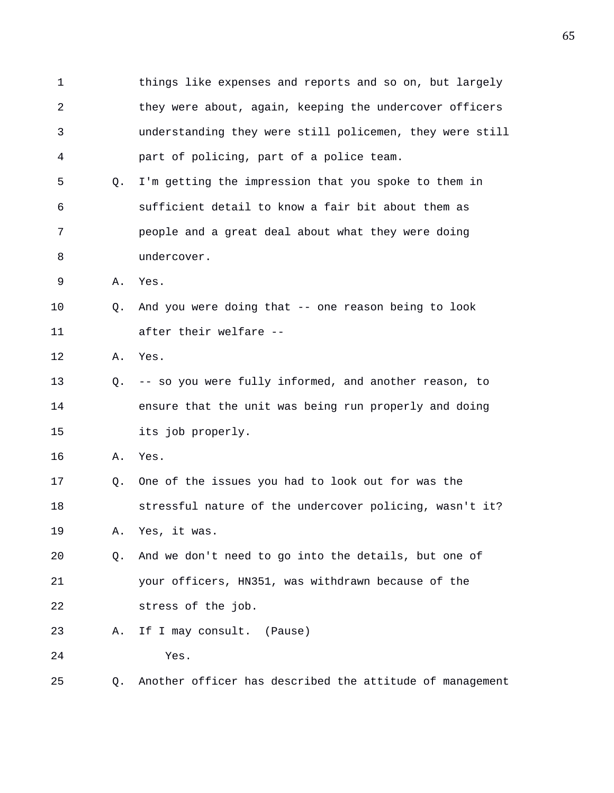1 things like expenses and reports and so on, but largely 2 they were about, again, keeping the undercover officers 3 understanding they were still policemen, they were still 4 part of policing, part of a police team. 5 Q. I'm getting the impression that you spoke to them in 6 sufficient detail to know a fair bit about them as 7 people and a great deal about what they were doing 8 undercover. 9 A. Yes. 10 Q. And you were doing that -- one reason being to look 11 after their welfare -- 12 A. Yes. 13 Q. -- so you were fully informed, and another reason, to 14 ensure that the unit was being run properly and doing 15 its job properly. 16 A. Yes. 17 Q. One of the issues you had to look out for was the 18 stressful nature of the undercover policing, wasn't it? 19 A. Yes, it was. 20 Q. And we don't need to go into the details, but one of 21 your officers, HN351, was withdrawn because of the 22 stress of the job. 23 A. If I may consult. (Pause) 24 Yes. 25 Q. Another officer has described the attitude of management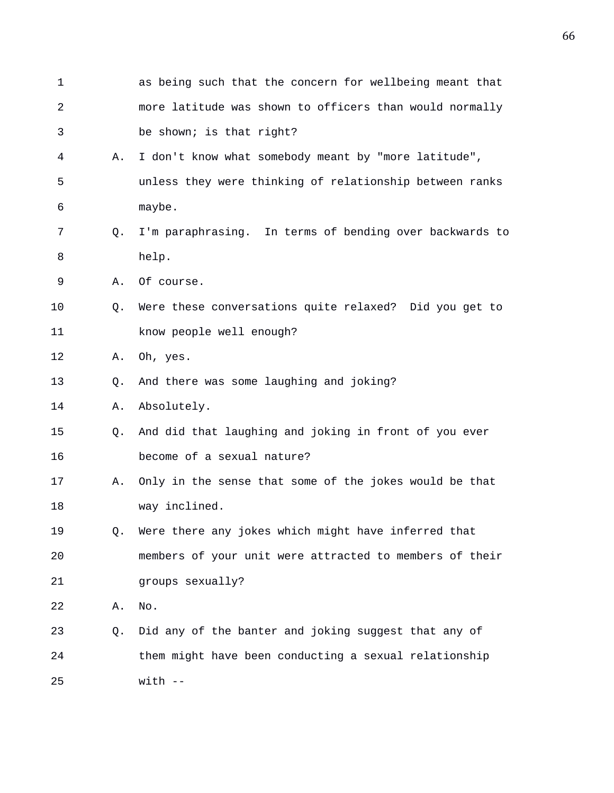1 as being such that the concern for wellbeing meant that 2 more latitude was shown to officers than would normally 3 be shown; is that right? 4 A. I don't know what somebody meant by "more latitude", 5 unless they were thinking of relationship between ranks 6 maybe. 7 Q. I'm paraphrasing. In terms of bending over backwards to 8 help. 9 A. Of course. 10 Q. Were these conversations quite relaxed? Did you get to 11 know people well enough? 12 A. Oh, yes. 13 Q. And there was some laughing and joking? 14 A. Absolutely. 15 Q. And did that laughing and joking in front of you ever 16 become of a sexual nature? 17 A. Only in the sense that some of the jokes would be that 18 way inclined. 19 Q. Were there any jokes which might have inferred that 20 members of your unit were attracted to members of their 21 groups sexually? 22 A. No. 23 Q. Did any of the banter and joking suggest that any of 24 them might have been conducting a sexual relationship 25 with --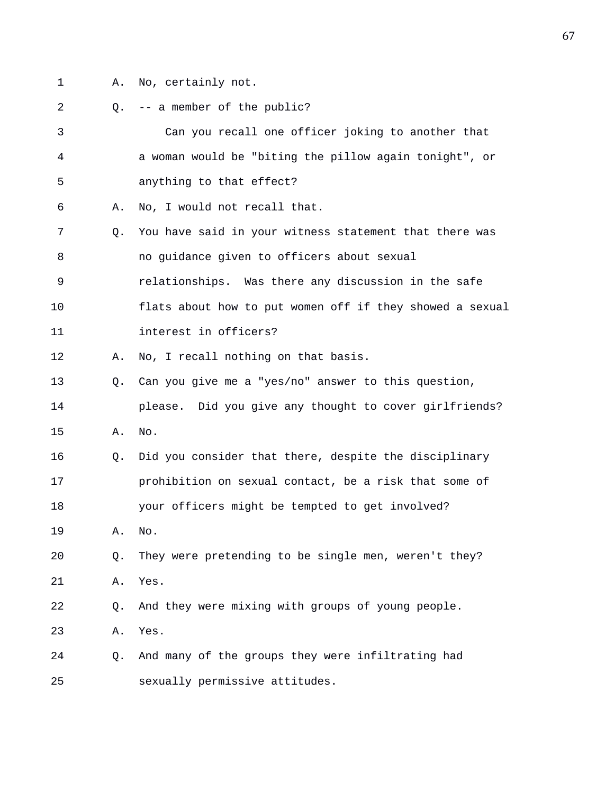- 
- 1 A. No, certainly not.
- 2 0. -- a member of the public? 3 Can you recall one officer joking to another that 4 a woman would be "biting the pillow again tonight", or 5 anything to that effect? 6 A. No, I would not recall that. 7 Q. You have said in your witness statement that there was 8 no guidance given to officers about sexual 9 relationships. Was there any discussion in the safe 10 flats about how to put women off if they showed a sexual 11 interest in officers? 12 A. No, I recall nothing on that basis. 13 Q. Can you give me a "yes/no" answer to this question, 14 please. Did you give any thought to cover girlfriends? 15 A. No. 16 Q. Did you consider that there, despite the disciplinary 17 prohibition on sexual contact, be a risk that some of 18 your officers might be tempted to get involved? 19 A. No. 20 Q. They were pretending to be single men, weren't they? 21 A. Yes. 22 Q. And they were mixing with groups of young people. 23 A. Yes. 24 Q. And many of the groups they were infiltrating had 25 sexually permissive attitudes.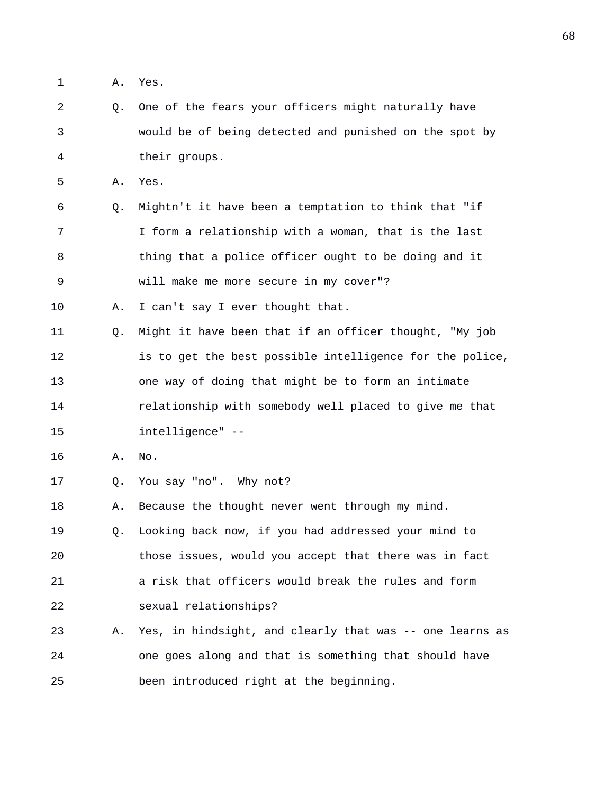1 A. Yes.

2 Q. One of the fears your officers might naturally have 3 would be of being detected and punished on the spot by 4 their groups.

5 A. Yes.

6 Q. Mightn't it have been a temptation to think that "if 7 I form a relationship with a woman, that is the last 8 thing that a police officer ought to be doing and it 9 will make me more secure in my cover"?

10 A. I can't say I ever thought that.

11 Q. Might it have been that if an officer thought, "My job 12 is to get the best possible intelligence for the police, 13 one way of doing that might be to form an intimate 14 relationship with somebody well placed to give me that 15 intelligence" --

- 16 A. No.
- 17 Q. You say "no". Why not?

18 A. Because the thought never went through my mind. 19 Q. Looking back now, if you had addressed your mind to

20 those issues, would you accept that there was in fact 21 a risk that officers would break the rules and form 22 sexual relationships?

23 A. Yes, in hindsight, and clearly that was -- one learns as 24 one goes along and that is something that should have 25 been introduced right at the beginning.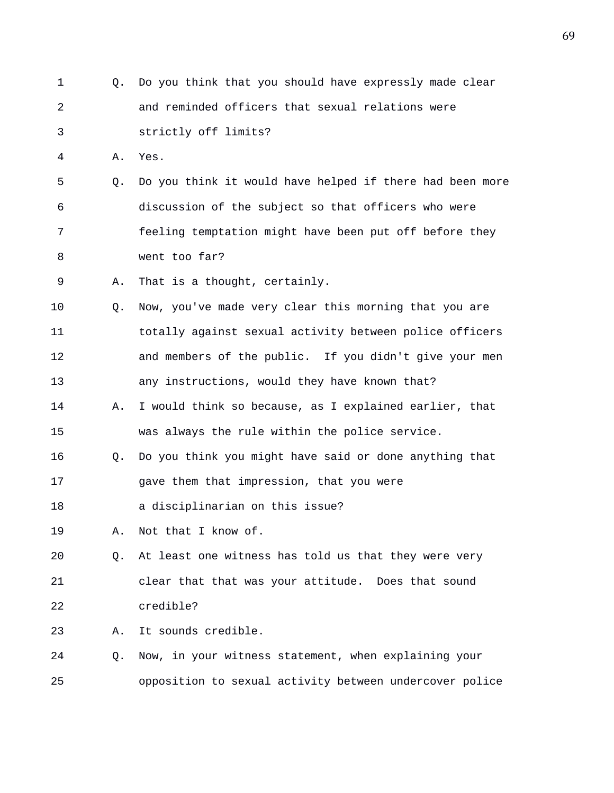1 Q. Do you think that you should have expressly made clear 2 and reminded officers that sexual relations were 3 strictly off limits? 4 A. Yes. 5 Q. Do you think it would have helped if there had been more 6 discussion of the subject so that officers who were 7 feeling temptation might have been put off before they 8 went too far? 9 A. That is a thought, certainly. 10 Q. Now, you've made very clear this morning that you are 11 totally against sexual activity between police officers 12 and members of the public. If you didn't give your men 13 any instructions, would they have known that? 14 A. I would think so because, as I explained earlier, that 15 was always the rule within the police service. 16 Q. Do you think you might have said or done anything that 17 gave them that impression, that you were 18 a disciplinarian on this issue? 19 A. Not that I know of. 20 Q. At least one witness has told us that they were very 21 clear that that was your attitude. Does that sound 22 credible? 23 A. It sounds credible. 24 Q. Now, in your witness statement, when explaining your 25 opposition to sexual activity between undercover police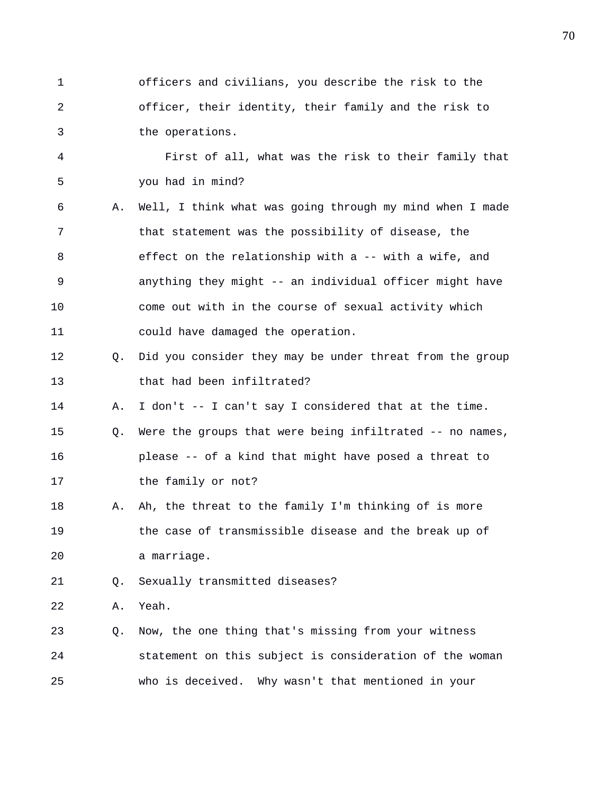1 officers and civilians, you describe the risk to the 2 officer, their identity, their family and the risk to 3 the operations.

4 First of all, what was the risk to their family that 5 you had in mind?

- 6 A. Well, I think what was going through my mind when I made 7 that statement was the possibility of disease, the 8 effect on the relationship with a -- with a wife, and 9 anything they might -- an individual officer might have 10 come out with in the course of sexual activity which 11 could have damaged the operation.
- 12 Q. Did you consider they may be under threat from the group 13 that had been infiltrated?

14 A. I don't -- I can't say I considered that at the time.

- 15 Q. Were the groups that were being infiltrated -- no names, 16 please -- of a kind that might have posed a threat to 17 the family or not?
- 18 A. Ah, the threat to the family I'm thinking of is more 19 the case of transmissible disease and the break up of 20 a marriage.

21 Q. Sexually transmitted diseases?

22 A. Yeah.

23 Q. Now, the one thing that's missing from your witness 24 statement on this subject is consideration of the woman 25 who is deceived. Why wasn't that mentioned in your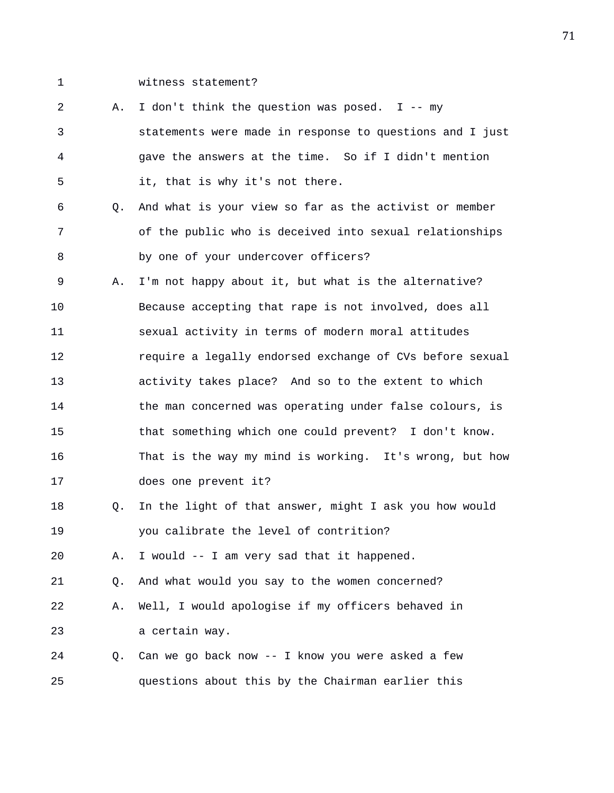1 witness statement?

2 A. I don't think the question was posed. I -- my 3 statements were made in response to questions and I just 4 gave the answers at the time. So if I didn't mention 5 it, that is why it's not there. 6 Q. And what is your view so far as the activist or member 7 of the public who is deceived into sexual relationships 8 by one of your undercover officers? 9 A. I'm not happy about it, but what is the alternative? 10 Because accepting that rape is not involved, does all 11 sexual activity in terms of modern moral attitudes 12 require a legally endorsed exchange of CVs before sexual 13 activity takes place? And so to the extent to which 14 the man concerned was operating under false colours, is 15 that something which one could prevent? I don't know. 16 That is the way my mind is working. It's wrong, but how 17 does one prevent it? 18 Q. In the light of that answer, might I ask you how would 19 you calibrate the level of contrition? 20 A. I would -- I am very sad that it happened. 21 Q. And what would you say to the women concerned? 22 A. Well, I would apologise if my officers behaved in 23 a certain way. 24 Q. Can we go back now -- I know you were asked a few 25 questions about this by the Chairman earlier this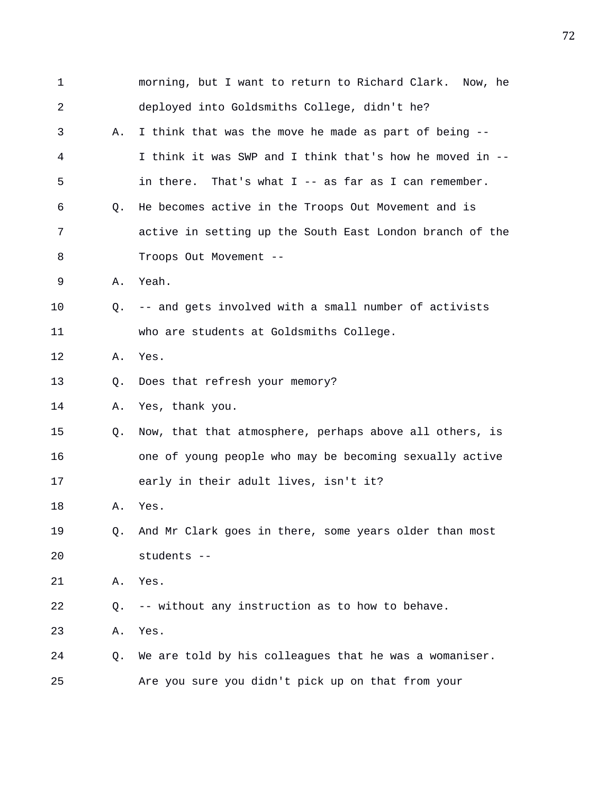| $\mathbf 1$ |    | morning, but I want to return to Richard Clark. Now, he   |
|-------------|----|-----------------------------------------------------------|
| 2           |    | deployed into Goldsmiths College, didn't he?              |
| 3           | Α. | I think that was the move he made as part of being --     |
| 4           |    | I think it was SWP and I think that's how he moved in --  |
| 5           |    | in there.<br>That's what $I$ -- as far as I can remember. |
| 6           | Q. | He becomes active in the Troops Out Movement and is       |
| 7           |    | active in setting up the South East London branch of the  |
| 8           |    | Troops Out Movement --                                    |
| 9           | Α. | Yeah.                                                     |
| 10          | Q. | -- and gets involved with a small number of activists     |
| 11          |    | who are students at Goldsmiths College.                   |
| 12          | Α. | Yes.                                                      |
| 13          | Q. | Does that refresh your memory?                            |
| 14          | Α. | Yes, thank you.                                           |
| 15          | Q. | Now, that that atmosphere, perhaps above all others, is   |
| 16          |    | one of young people who may be becoming sexually active   |
| 17          |    | early in their adult lives, isn't it?                     |
| 18          | Α. | Yes.                                                      |
| 19          | Q. | And Mr Clark goes in there, some years older than most    |
| 20          |    | students --                                               |
| 21          | Α. | Yes.                                                      |
| 22          | Q. | -- without any instruction as to how to behave.           |
| 23          | Α. | Yes.                                                      |
| 24          | Q. | We are told by his colleagues that he was a womaniser.    |
| 25          |    | Are you sure you didn't pick up on that from your         |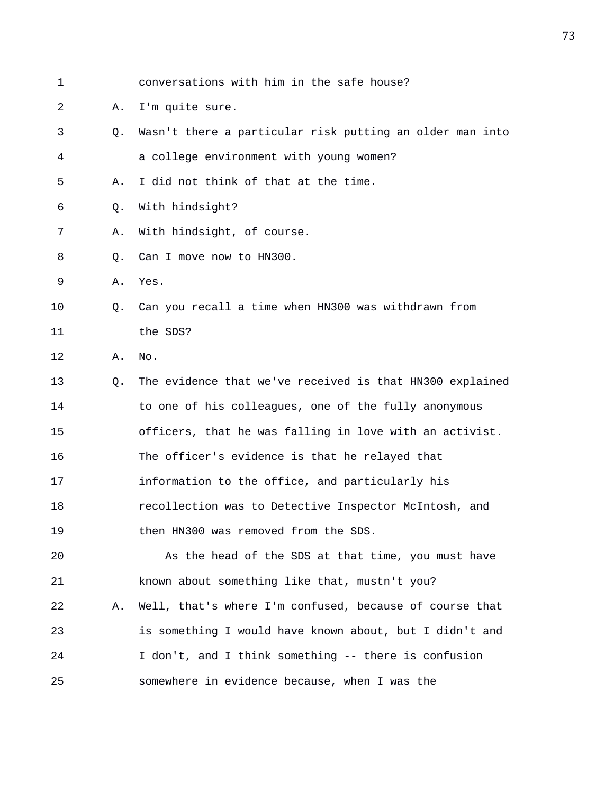1 conversations with him in the safe house? 2 A. I'm quite sure. 3 Q. Wasn't there a particular risk putting an older man into 4 a college environment with young women? 5 A. I did not think of that at the time. 6 Q. With hindsight? 7 A. With hindsight, of course. 8 Q. Can I move now to HN300. 9 A. Yes. 10 Q. Can you recall a time when HN300 was withdrawn from 11 the SDS? 12 A. No. 13 Q. The evidence that we've received is that HN300 explained 14 to one of his colleagues, one of the fully anonymous 15 officers, that he was falling in love with an activist. 16 The officer's evidence is that he relayed that 17 information to the office, and particularly his 18 recollection was to Detective Inspector McIntosh, and 19 then HN300 was removed from the SDS. 20 As the head of the SDS at that time, you must have 21 known about something like that, mustn't you? 22 A. Well, that's where I'm confused, because of course that 23 is something I would have known about, but I didn't and 24 I don't, and I think something -- there is confusion 25 somewhere in evidence because, when I was the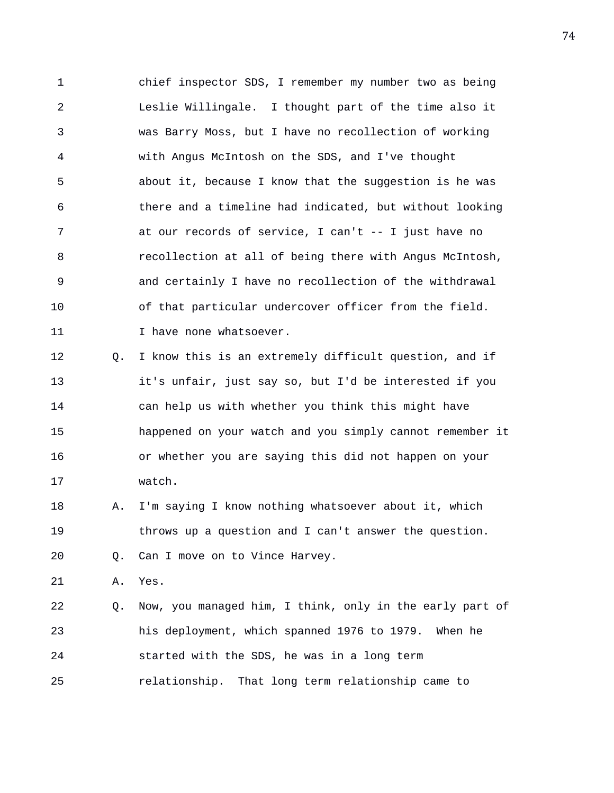1 chief inspector SDS, I remember my number two as being 2 Leslie Willingale. I thought part of the time also it 3 was Barry Moss, but I have no recollection of working 4 with Angus McIntosh on the SDS, and I've thought 5 about it, because I know that the suggestion is he was 6 there and a timeline had indicated, but without looking 7 at our records of service, I can't -- I just have no 8 recollection at all of being there with Angus McIntosh, 9 and certainly I have no recollection of the withdrawal 10 of that particular undercover officer from the field. 11 1 I have none whatsoever. 12 Q. I know this is an extremely difficult question, and if

13 it's unfair, just say so, but I'd be interested if you 14 can help us with whether you think this might have 15 happened on your watch and you simply cannot remember it 16 or whether you are saying this did not happen on your 17 watch.

18 A. I'm saying I know nothing whatsoever about it, which 19 throws up a question and I can't answer the question.

20 Q. Can I move on to Vince Harvey.

21 A. Yes.

22 Q. Now, you managed him, I think, only in the early part of 23 his deployment, which spanned 1976 to 1979. When he 24 started with the SDS, he was in a long term 25 relationship. That long term relationship came to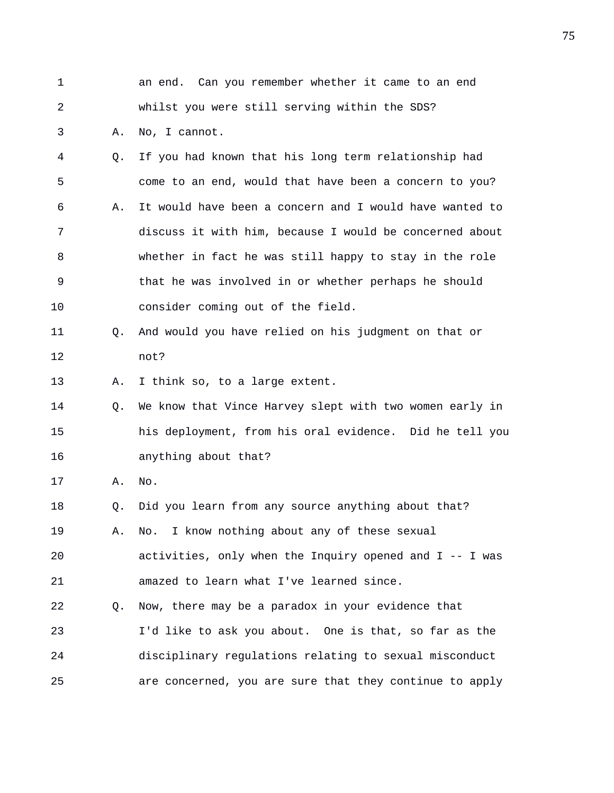| $\mathbf 1$ |                | an end. Can you remember whether it came to an end      |
|-------------|----------------|---------------------------------------------------------|
| 2           |                | whilst you were still serving within the SDS?           |
| 3           | Α.             | No, I cannot.                                           |
| 4           | O.             | If you had known that his long term relationship had    |
| 5           |                | come to an end, would that have been a concern to you?  |
| 6           | Α.             | It would have been a concern and I would have wanted to |
| 7           |                | discuss it with him, because I would be concerned about |
| 8           |                | whether in fact he was still happy to stay in the role  |
| $\mathsf 9$ |                | that he was involved in or whether perhaps he should    |
| 10          |                | consider coming out of the field.                       |
| 11          | O.             | And would you have relied on his judgment on that or    |
| 12          |                | not?                                                    |
| 13          | Α.             | I think so, to a large extent.                          |
| 14          | Q <sub>z</sub> | We know that Vince Harvey slept with two women early in |
| 15          |                | his deployment, from his oral evidence. Did he tell you |
| 16          |                | anything about that?                                    |
| 17          | Α.             | No.                                                     |
| 18          | Q.             | Did you learn from any source anything about that?      |
| 19          | Α.             | I know nothing about any of these sexual<br>No.         |
| 20          |                | activities, only when the Inquiry opened and I -- I was |
| 21          |                | amazed to learn what I've learned since.                |
| 22          | Q.             | Now, there may be a paradox in your evidence that       |
| 23          |                | I'd like to ask you about. One is that, so far as the   |
| 24          |                | disciplinary regulations relating to sexual misconduct  |
| 25          |                | are concerned, you are sure that they continue to apply |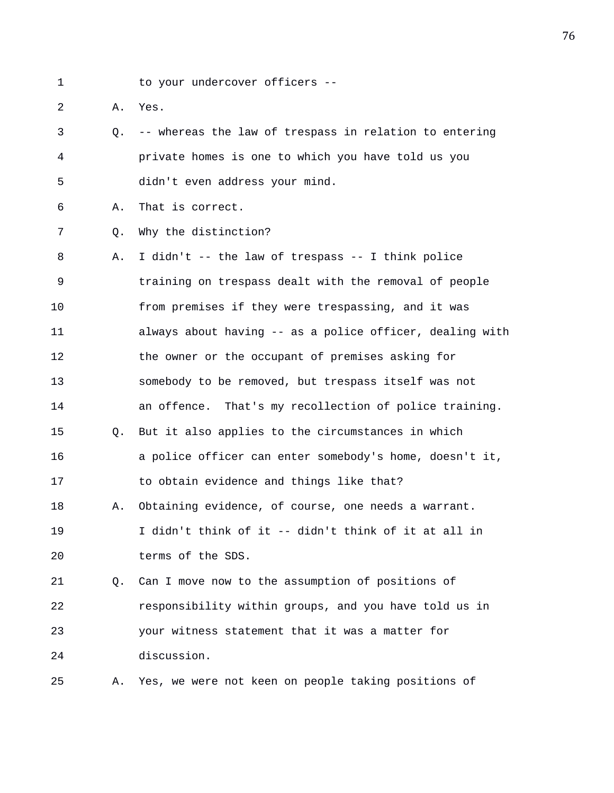1 to your undercover officers --

2 A. Yes.

3 Q. -- whereas the law of trespass in relation to entering 4 private homes is one to which you have told us you 5 didn't even address your mind.

6 A. That is correct.

7 Q. Why the distinction?

8 A. I didn't -- the law of trespass -- I think police 9 training on trespass dealt with the removal of people 10 from premises if they were trespassing, and it was 11 always about having -- as a police officer, dealing with 12 the owner or the occupant of premises asking for 13 somebody to be removed, but trespass itself was not 14 an offence. That's my recollection of police training. 15 Q. But it also applies to the circumstances in which 16 a police officer can enter somebody's home, doesn't it, 17 to obtain evidence and things like that? 18 A. Obtaining evidence, of course, one needs a warrant. 19 I didn't think of it -- didn't think of it at all in 20 terms of the SDS. 21 Q. Can I move now to the assumption of positions of 22 responsibility within groups, and you have told us in

23 your witness statement that it was a matter for 24 discussion.

25 A. Yes, we were not keen on people taking positions of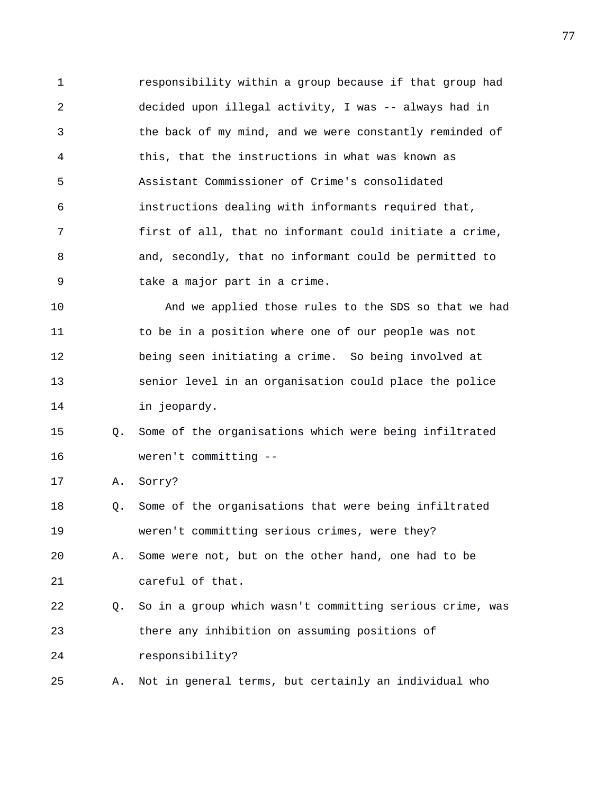1 responsibility within a group because if that group had 2 decided upon illegal activity, I was -- always had in 3 the back of my mind, and we were constantly reminded of 4 this, that the instructions in what was known as 5 Assistant Commissioner of Crime's consolidated 6 instructions dealing with informants required that, 7 first of all, that no informant could initiate a crime, 8 and, secondly, that no informant could be permitted to 9 take a major part in a crime.

10 And we applied those rules to the SDS so that we had 11 to be in a position where one of our people was not 12 being seen initiating a crime. So being involved at 13 senior level in an organisation could place the police 14 in jeopardy.

## 15 Q. Some of the organisations which were being infiltrated 16 weren't committing --

17 A. Sorry?

18 Q. Some of the organisations that were being infiltrated 19 weren't committing serious crimes, were they?

20 A. Some were not, but on the other hand, one had to be 21 careful of that.

22 Q. So in a group which wasn't committing serious crime, was 23 there any inhibition on assuming positions of 24 responsibility?

25 A. Not in general terms, but certainly an individual who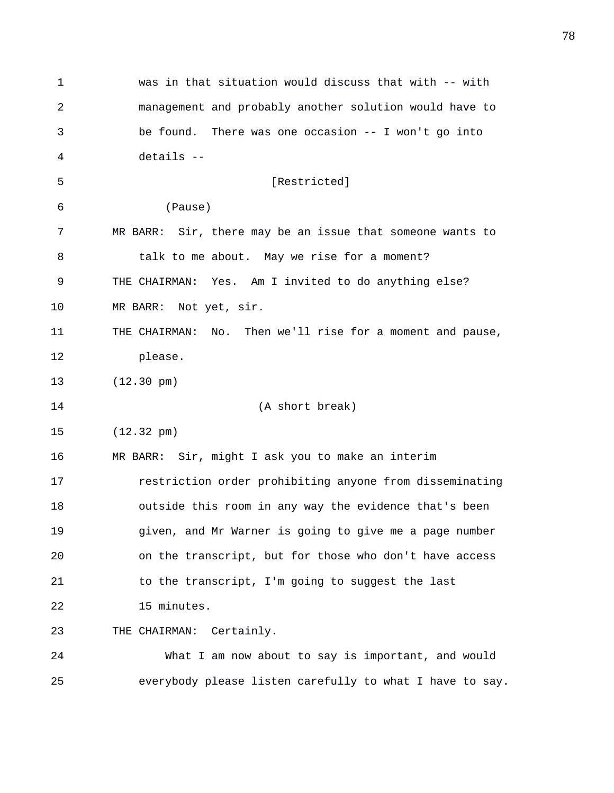1 was in that situation would discuss that with -- with 2 management and probably another solution would have to 3 be found. There was one occasion -- I won't go into 4 details -- 5 [Restricted] 6 (Pause) 7 MR BARR: Sir, there may be an issue that someone wants to 8 talk to me about. May we rise for a moment? 9 THE CHAIRMAN: Yes. Am I invited to do anything else? 10 MR BARR: Not yet, sir. 11 THE CHAIRMAN: No. Then we'll rise for a moment and pause, 12 please. 13 (12.30 pm) 14 (A short break) 15 (12.32 pm) 16 MR BARR: Sir, might I ask you to make an interim 17 restriction order prohibiting anyone from disseminating 18 outside this room in any way the evidence that's been 19 given, and Mr Warner is going to give me a page number 20 on the transcript, but for those who don't have access 21 to the transcript, I'm going to suggest the last 22 15 minutes. 23 THE CHAIRMAN: Certainly. 24 What I am now about to say is important, and would 25 everybody please listen carefully to what I have to say.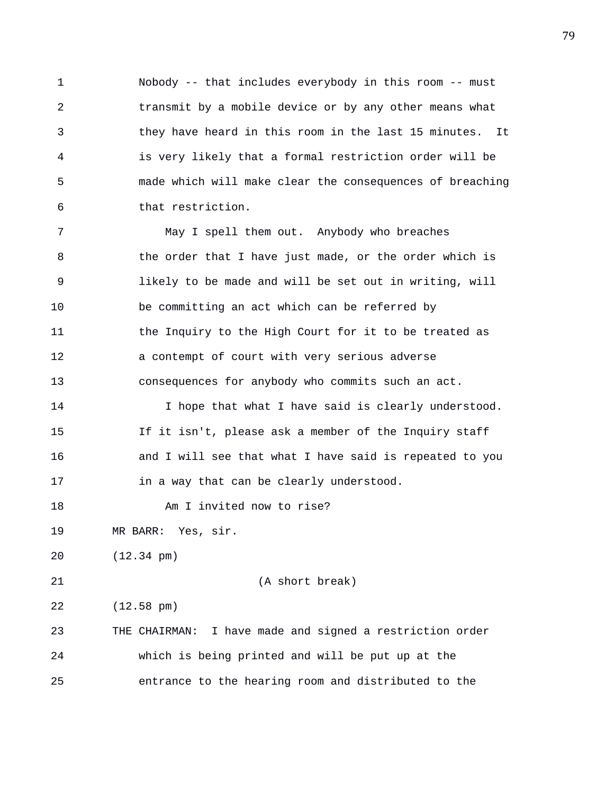1 Nobody -- that includes everybody in this room -- must 2 transmit by a mobile device or by any other means what 3 they have heard in this room in the last 15 minutes. It 4 is very likely that a formal restriction order will be 5 made which will make clear the consequences of breaching 6 that restriction.

7 May I spell them out. Anybody who breaches 8 the order that I have just made, or the order which is 9 likely to be made and will be set out in writing, will 10 be committing an act which can be referred by 11 the Inquiry to the High Court for it to be treated as 12 a contempt of court with very serious adverse 13 consequences for anybody who commits such an act. 14 I hope that what I have said is clearly understood.

15 If it isn't, please ask a member of the Inquiry staff 16 and I will see that what I have said is repeated to you 17 in a way that can be clearly understood.

18 Am I invited now to rise?

19 MR BARR: Yes, sir.

20 (12.34 pm)

21 (A short break)

22 (12.58 pm)

23 THE CHAIRMAN: I have made and signed a restriction order 24 which is being printed and will be put up at the 25 entrance to the hearing room and distributed to the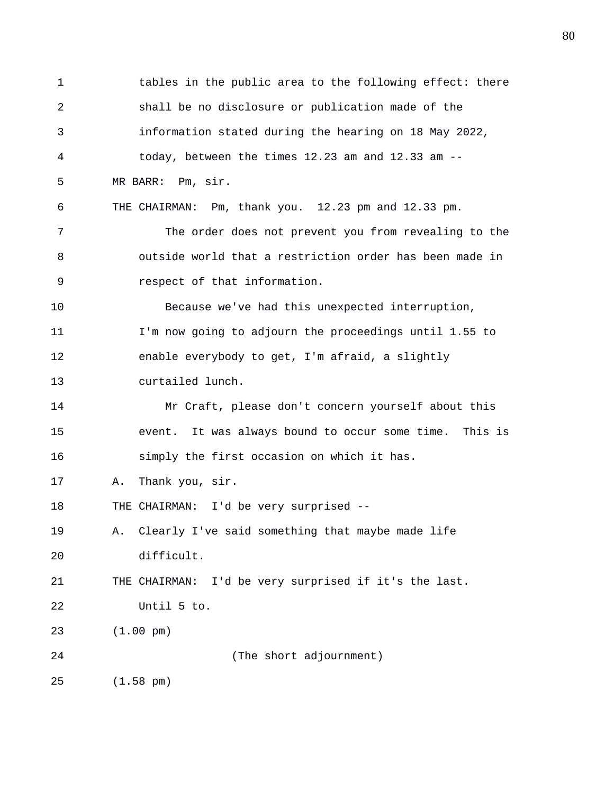1 tables in the public area to the following effect: there 2 shall be no disclosure or publication made of the 3 information stated during the hearing on 18 May 2022, 4 today, between the times 12.23 am and 12.33 am -- 5 MR BARR: Pm, sir. 6 THE CHAIRMAN: Pm, thank you. 12.23 pm and 12.33 pm. 7 The order does not prevent you from revealing to the 8 outside world that a restriction order has been made in 9 respect of that information. 10 Because we've had this unexpected interruption, 11 I'm now going to adjourn the proceedings until 1.55 to 12 enable everybody to get, I'm afraid, a slightly 13 curtailed lunch. 14 Mr Craft, please don't concern yourself about this 15 event. It was always bound to occur some time. This is 16 simply the first occasion on which it has. 17 A. Thank you, sir. 18 THE CHAIRMAN: I'd be very surprised -- 19 A. Clearly I've said something that maybe made life 20 difficult. 21 THE CHAIRMAN: I'd be very surprised if it's the last. 22 Until 5 to. 23 (1.00 pm) 24 (The short adjournment) 25 (1.58 pm)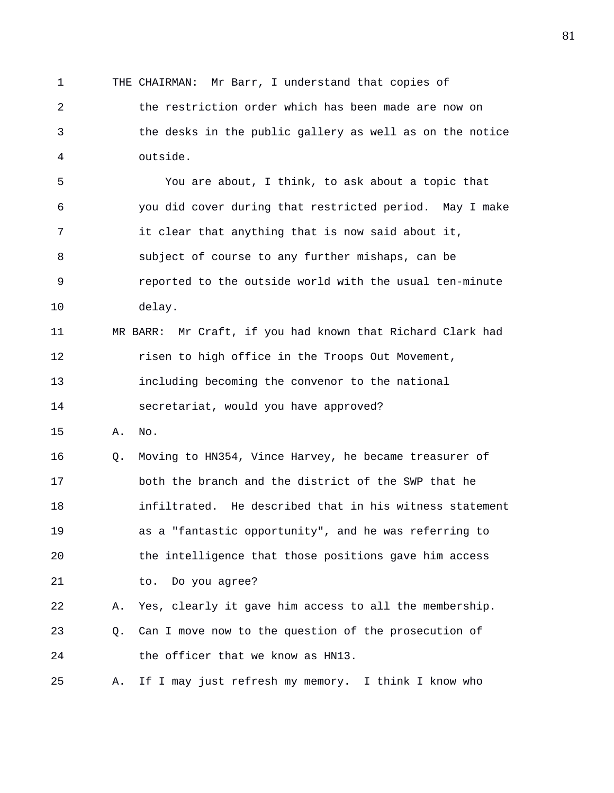1 THE CHAIRMAN: Mr Barr, I understand that copies of 2 the restriction order which has been made are now on 3 the desks in the public gallery as well as on the notice 4 outside. 5 You are about, I think, to ask about a topic that 6 you did cover during that restricted period. May I make 7 it clear that anything that is now said about it, 8 subject of course to any further mishaps, can be 9 reported to the outside world with the usual ten-minute 10 delay. 11 MR BARR: Mr Craft, if you had known that Richard Clark had 12 risen to high office in the Troops Out Movement, 13 including becoming the convenor to the national 14 secretariat, would you have approved? 15 A. No. 16 Q. Moving to HN354, Vince Harvey, he became treasurer of 17 both the branch and the district of the SWP that he 18 infiltrated. He described that in his witness statement 19 as a "fantastic opportunity", and he was referring to 20 the intelligence that those positions gave him access 21 to. Do you agree? 22 A. Yes, clearly it gave him access to all the membership. 23 Q. Can I move now to the question of the prosecution of 24 the officer that we know as HN13. 25 A. If I may just refresh my memory. I think I know who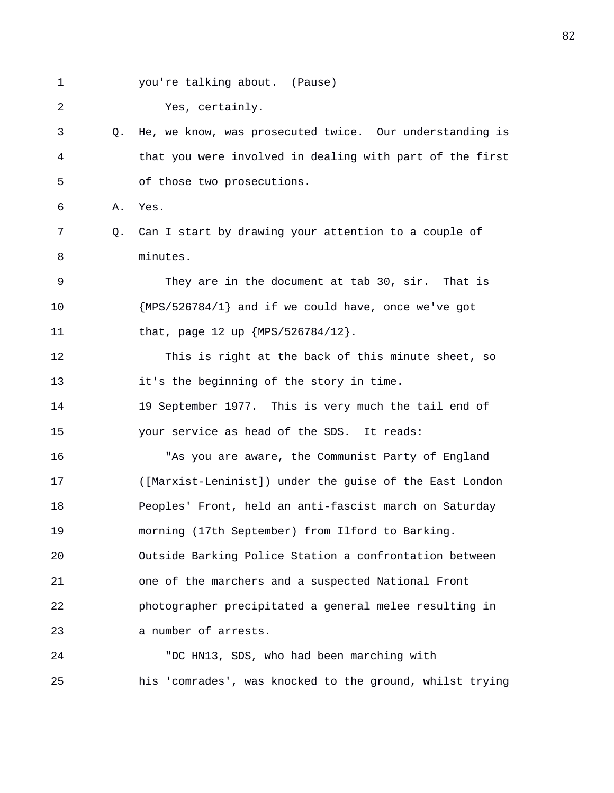1 you're talking about. (Pause)

2 Yes, certainly.

## 3 Q. He, we know, was prosecuted twice. Our understanding is 4 that you were involved in dealing with part of the first 5 of those two prosecutions.

6 A. Yes.

7 Q. Can I start by drawing your attention to a couple of 8 minutes.

9 They are in the document at tab 30, sir. That is 10 {MPS/526784/1} and if we could have, once we've got 11 that, page 12 up {MPS/526784/12}.

12 This is right at the back of this minute sheet, so 13 it's the beginning of the story in time.

14 19 September 1977. This is very much the tail end of 15 your service as head of the SDS. It reads:

16 "As you are aware, the Communist Party of England 17 ([Marxist-Leninist]) under the guise of the East London 18 Peoples' Front, held an anti-fascist march on Saturday 19 morning (17th September) from Ilford to Barking. 20 Outside Barking Police Station a confrontation between 21 one of the marchers and a suspected National Front 22 photographer precipitated a general melee resulting in 23 a number of arrests.

24 "DC HN13, SDS, who had been marching with 25 his 'comrades', was knocked to the ground, whilst trying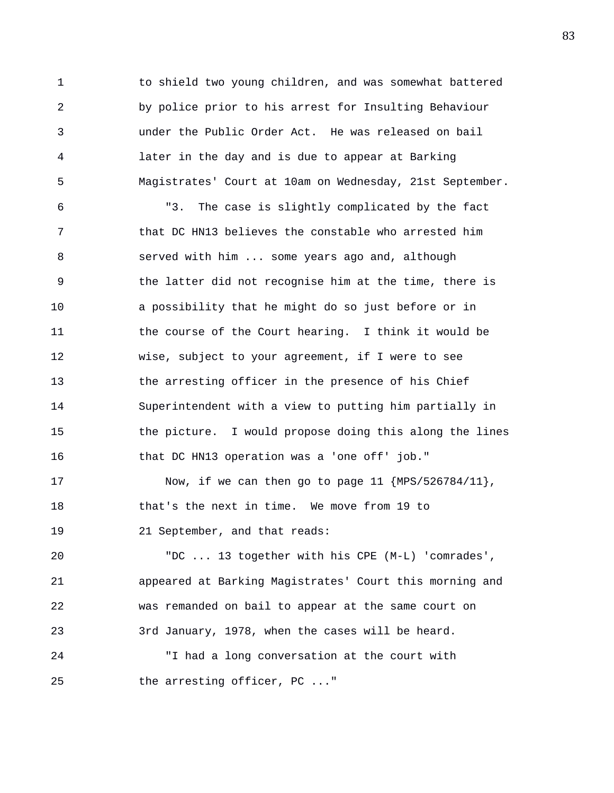1 to shield two young children, and was somewhat battered 2 by police prior to his arrest for Insulting Behaviour 3 under the Public Order Act. He was released on bail 4 later in the day and is due to appear at Barking 5 Magistrates' Court at 10am on Wednesday, 21st September.

6 "3. The case is slightly complicated by the fact 7 that DC HN13 believes the constable who arrested him 8 served with him ... some years ago and, although 9 the latter did not recognise him at the time, there is 10 a possibility that he might do so just before or in 11 the course of the Court hearing. I think it would be 12 wise, subject to your agreement, if I were to see 13 the arresting officer in the presence of his Chief 14 Superintendent with a view to putting him partially in 15 the picture. I would propose doing this along the lines 16 that DC HN13 operation was a 'one off' job."

17 Now, if we can then go to page 11 {MPS/526784/11}, 18 that's the next in time. We move from 19 to 19 21 September, and that reads:

20 "DC ... 13 together with his CPE (M-L) 'comrades', 21 appeared at Barking Magistrates' Court this morning and 22 was remanded on bail to appear at the same court on 23 3rd January, 1978, when the cases will be heard. 24 "I had a long conversation at the court with

25 the arresting officer, PC ..."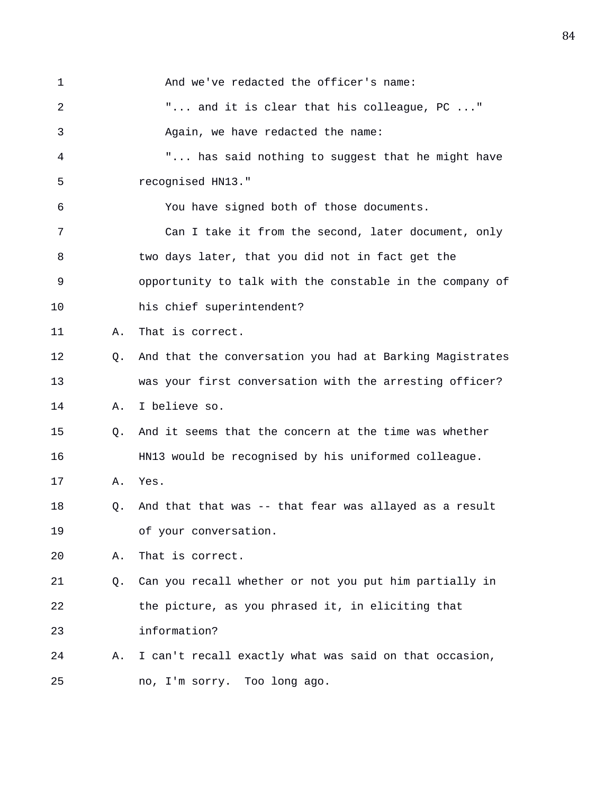| $\mathbf{1}$ |    | And we've redacted the officer's name:                   |
|--------------|----|----------------------------------------------------------|
| 2            |    | " and it is clear that his colleague, PC "               |
| 3            |    | Again, we have redacted the name:                        |
| 4            |    | " has said nothing to suggest that he might have         |
| 5            |    | recognised HN13."                                        |
| 6            |    | You have signed both of those documents.                 |
| 7            |    | Can I take it from the second, later document, only      |
| 8            |    | two days later, that you did not in fact get the         |
| 9            |    | opportunity to talk with the constable in the company of |
| 10           |    | his chief superintendent?                                |
| 11           | Α. | That is correct.                                         |
| 12           | О. | And that the conversation you had at Barking Magistrates |
| 13           |    | was your first conversation with the arresting officer?  |
| 14           | Α. | I believe so.                                            |
| 15           | O. | And it seems that the concern at the time was whether    |
| 16           |    | HN13 would be recognised by his uniformed colleague.     |
| 17           | Α. | Yes.                                                     |
| 18           | Q. | And that that was -- that fear was allayed as a result   |
| 19           |    | of your conversation.                                    |
| 20           | Α. | That is correct.                                         |
| 21           | Q. | Can you recall whether or not you put him partially in   |
| 22           |    | the picture, as you phrased it, in eliciting that        |
| 23           |    | information?                                             |
| 24           | Α. | I can't recall exactly what was said on that occasion,   |
| 25           |    | no, I'm sorry. Too long ago.                             |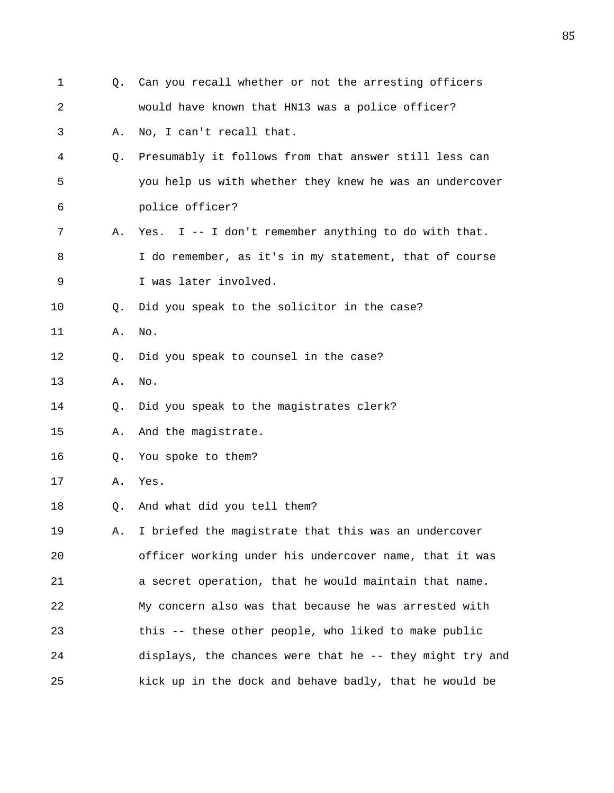| 1  | 0. | Can you recall whether or not the arresting officers     |
|----|----|----------------------------------------------------------|
| 2  |    | would have known that HN13 was a police officer?         |
| 3  | Α. | No, I can't recall that.                                 |
| 4  | O. | Presumably it follows from that answer still less can    |
| 5  |    | you help us with whether they knew he was an undercover  |
| 6  |    | police officer?                                          |
| 7  | Α. | Yes. I -- I don't remember anything to do with that.     |
| 8  |    | I do remember, as it's in my statement, that of course   |
| 9  |    | I was later involved.                                    |
| 10 | Q. | Did you speak to the solicitor in the case?              |
| 11 | Α. | No.                                                      |
| 12 | Q. | Did you speak to counsel in the case?                    |
| 13 | Α. | No.                                                      |
| 14 | Q. | Did you speak to the magistrates clerk?                  |
| 15 | Α. | And the magistrate.                                      |
| 16 | Q. | You spoke to them?                                       |
| 17 | Α. | Yes.                                                     |
| 18 | Q. | And what did you tell them?                              |
| 19 | Α. | I briefed the magistrate that this was an undercover     |
| 20 |    | officer working under his undercover name, that it was   |
| 21 |    | a secret operation, that he would maintain that name.    |
| 22 |    | My concern also was that because he was arrested with    |
| 23 |    | this -- these other people, who liked to make public     |
| 24 |    | displays, the chances were that he -- they might try and |
| 25 |    | kick up in the dock and behave badly, that he would be   |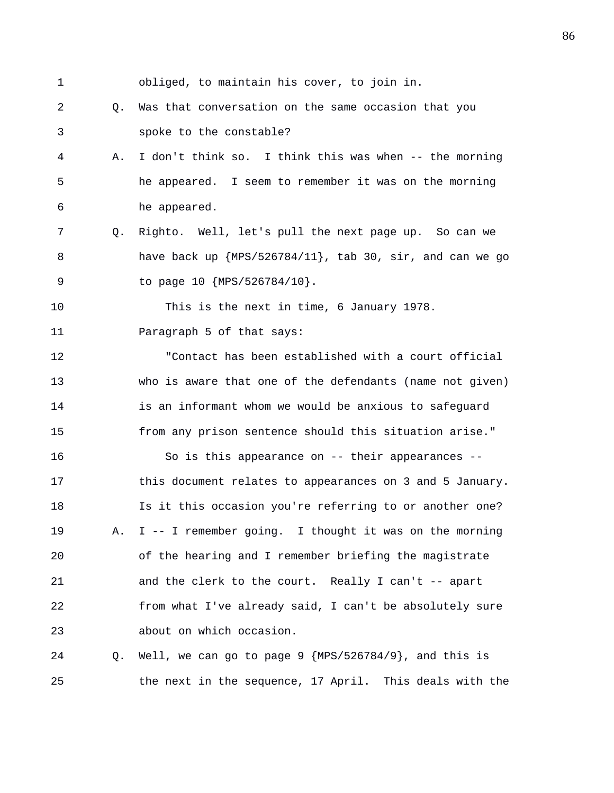1 obliged, to maintain his cover, to join in.

2 Q. Was that conversation on the same occasion that you 3 spoke to the constable?

- 4 A. I don't think so. I think this was when -- the morning 5 he appeared. I seem to remember it was on the morning 6 he appeared.
- 7 Q. Righto. Well, let's pull the next page up. So can we 8 have back up {MPS/526784/11}, tab 30, sir, and can we go 9 to page 10 {MPS/526784/10}.

10 This is the next in time, 6 January 1978. 11 Paragraph 5 of that says:

12 "Contact has been established with a court official 13 who is aware that one of the defendants (name not given) 14 is an informant whom we would be anxious to safeguard 15 from any prison sentence should this situation arise."

16 So is this appearance on -- their appearances -- 17 this document relates to appearances on 3 and 5 January. 18 Is it this occasion you're referring to or another one? 19 A. I -- I remember going. I thought it was on the morning 20 of the hearing and I remember briefing the magistrate 21 and the clerk to the court. Really I can't -- apart 22 from what I've already said, I can't be absolutely sure 23 about on which occasion.

24 Q. Well, we can go to page 9 {MPS/526784/9}, and this is 25 the next in the sequence, 17 April. This deals with the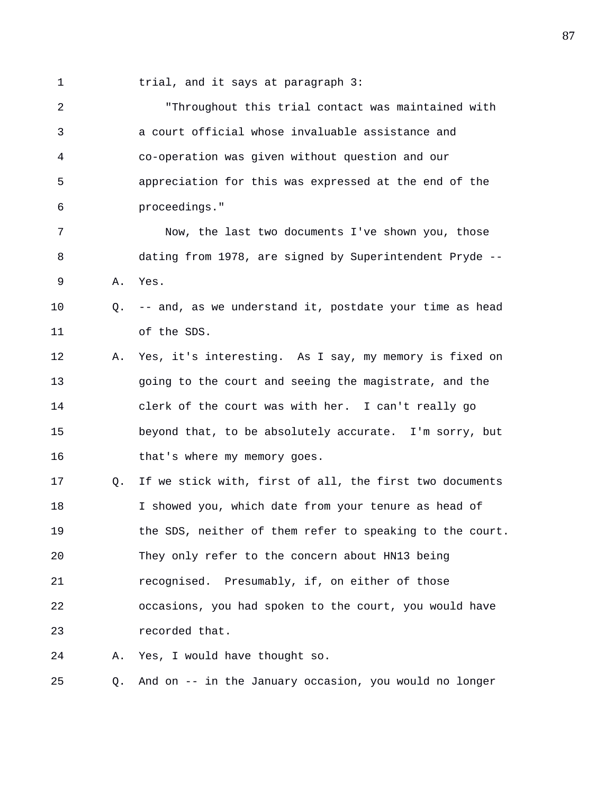1 trial, and it says at paragraph 3:

2 "Throughout this trial contact was maintained with 3 a court official whose invaluable assistance and 4 co-operation was given without question and our 5 appreciation for this was expressed at the end of the 6 proceedings." 7 Now, the last two documents I've shown you, those 8 dating from 1978, are signed by Superintendent Pryde -- 9 A. Yes. 10 Q. -- and, as we understand it, postdate your time as head 11 of the SDS. 12 A. Yes, it's interesting. As I say, my memory is fixed on 13 going to the court and seeing the magistrate, and the 14 clerk of the court was with her. I can't really go 15 beyond that, to be absolutely accurate. I'm sorry, but 16 that's where my memory goes. 17 Q. If we stick with, first of all, the first two documents 18 I showed you, which date from your tenure as head of 19 the SDS, neither of them refer to speaking to the court. 20 They only refer to the concern about HN13 being 21 recognised. Presumably, if, on either of those 22 occasions, you had spoken to the court, you would have 23 recorded that. 24 A. Yes, I would have thought so. 25 Q. And on -- in the January occasion, you would no longer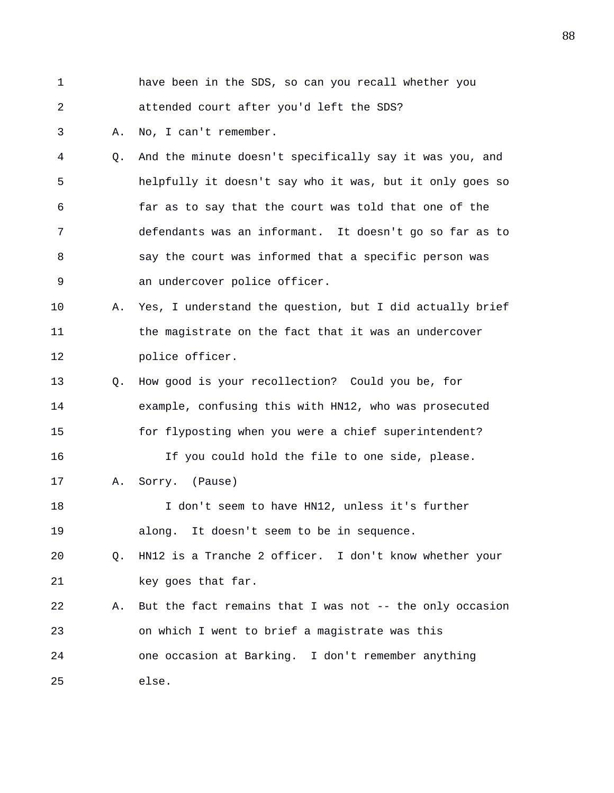1 have been in the SDS, so can you recall whether you 2 attended court after you'd left the SDS? 3 A. No, I can't remember. 4 Q. And the minute doesn't specifically say it was you, and 5 helpfully it doesn't say who it was, but it only goes so 6 far as to say that the court was told that one of the 7 defendants was an informant. It doesn't go so far as to 8 say the court was informed that a specific person was 9 an undercover police officer. 10 A. Yes, I understand the question, but I did actually brief 11 the magistrate on the fact that it was an undercover 12 police officer. 13 Q. How good is your recollection? Could you be, for 14 example, confusing this with HN12, who was prosecuted 15 for flyposting when you were a chief superintendent? 16 If you could hold the file to one side, please. 17 A. Sorry. (Pause) 18 I don't seem to have HN12, unless it's further 19 along. It doesn't seem to be in sequence. 20 Q. HN12 is a Tranche 2 officer. I don't know whether your 21 key goes that far. 22 A. But the fact remains that I was not -- the only occasion 23 on which I went to brief a magistrate was this 24 one occasion at Barking. I don't remember anything 25 else.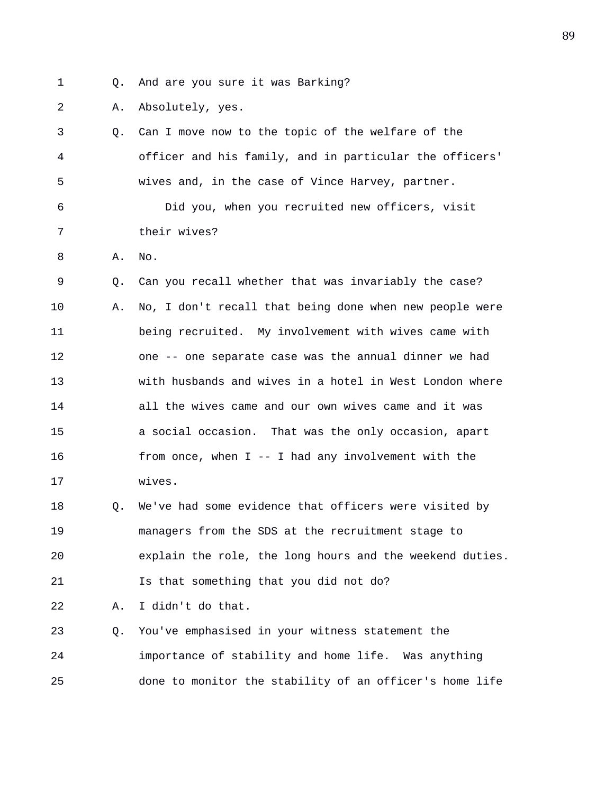- 
- 1 Q. And are you sure it was Barking?
- 2 A. Absolutely, yes.

| 3       |    | Q. Can I move now to the topic of the welfare of the     |
|---------|----|----------------------------------------------------------|
| 4       |    | officer and his family, and in particular the officers'  |
| 5       |    | wives and, in the case of Vince Harvey, partner.         |
| 6       |    | Did you, when you recruited new officers, visit          |
| 7       |    | their wives?                                             |
| 8       | Α. | No.                                                      |
| 9       | Q. | Can you recall whether that was invariably the case?     |
| $10 \,$ | Α. | No, I don't recall that being done when new people were  |
| 11      |    | being recruited. My involvement with wives came with     |
| 12      |    | one -- one separate case was the annual dinner we had    |
| 13      |    | with husbands and wives in a hotel in West London where  |
| 14      |    | all the wives came and our own wives came and it was     |
| 15      |    | a social occasion. That was the only occasion, apart     |
| 16      |    | from once, when $I$ -- I had any involvement with the    |
| 17      |    | wives.                                                   |
| 18      | Q. | We've had some evidence that officers were visited by    |
| 19      |    | managers from the SDS at the recruitment stage to        |
| 20      |    | explain the role, the long hours and the weekend duties. |
| 21      |    | Is that something that you did not do?                   |
| 22      | Α. | I didn't do that.                                        |
| 23      | Q. | You've emphasised in your witness statement the          |
| 24      |    | importance of stability and home life. Was anything      |
| 25      |    | done to monitor the stability of an officer's home life  |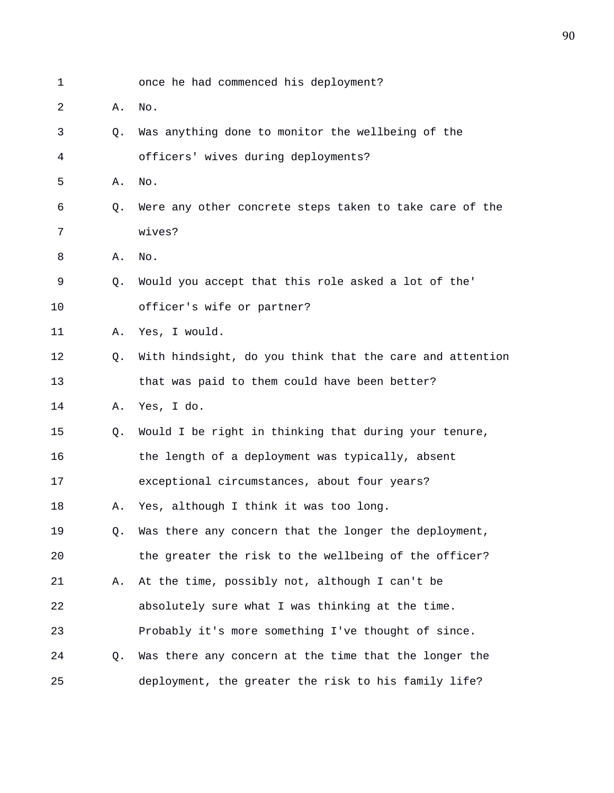| 1  |    | once he had commenced his deployment?                    |
|----|----|----------------------------------------------------------|
| 2  | Α. | No.                                                      |
| 3  | Q. | Was anything done to monitor the wellbeing of the        |
| 4  |    | officers' wives during deployments?                      |
| 5  | Α. | No.                                                      |
| 6  | Q. | Were any other concrete steps taken to take care of the  |
| 7  |    | wives?                                                   |
| 8  | Α. | No.                                                      |
| 9  | 0. | Would you accept that this role asked a lot of the'      |
| 10 |    | officer's wife or partner?                               |
| 11 | Α. | Yes, I would.                                            |
| 12 | Q. | With hindsight, do you think that the care and attention |
| 13 |    | that was paid to them could have been better?            |
| 14 | Α. | Yes, I do.                                               |
| 15 | Q. | Would I be right in thinking that during your tenure,    |
| 16 |    | the length of a deployment was typically, absent         |
| 17 |    | exceptional circumstances, about four years?             |
| 18 | Α. | Yes, although I think it was too long.                   |
| 19 | Q. | Was there any concern that the longer the deployment,    |
| 20 |    | the greater the risk to the wellbeing of the officer?    |
| 21 | Α. | At the time, possibly not, although I can't be           |
| 22 |    | absolutely sure what I was thinking at the time.         |
| 23 |    | Probably it's more something I've thought of since.      |
| 24 | Q. | Was there any concern at the time that the longer the    |
| 25 |    | deployment, the greater the risk to his family life?     |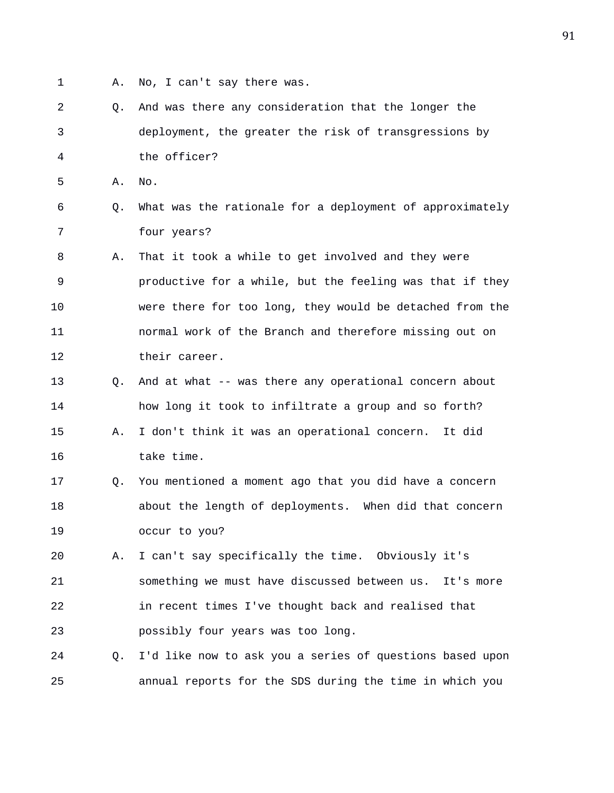- 
- 1 A. No, I can't say there was.
- 2 Q. And was there any consideration that the longer the 3 deployment, the greater the risk of transgressions by 4 the officer?
- 5 A. No.
- 6 Q. What was the rationale for a deployment of approximately 7 four years?
- 8 A. That it took a while to get involved and they were 9 productive for a while, but the feeling was that if they 10 were there for too long, they would be detached from the 11 normal work of the Branch and therefore missing out on 12 their career.
- 13 Q. And at what -- was there any operational concern about 14 how long it took to infiltrate a group and so forth? 15 A. I don't think it was an operational concern. It did 16 take time.
- 17 Q. You mentioned a moment ago that you did have a concern 18 about the length of deployments. When did that concern 19 occur to you?
- 20 A. I can't say specifically the time. Obviously it's 21 something we must have discussed between us. It's more 22 in recent times I've thought back and realised that 23 possibly four years was too long.
- 24 Q. I'd like now to ask you a series of questions based upon 25 annual reports for the SDS during the time in which you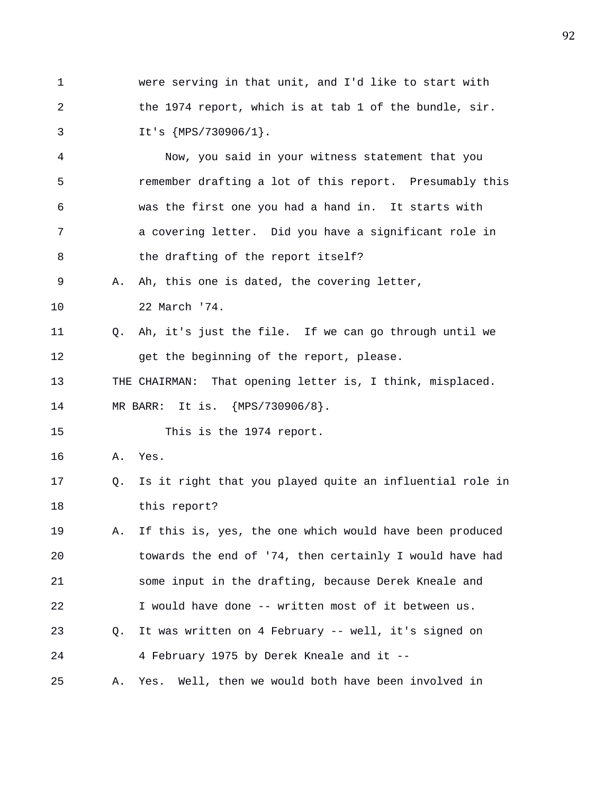1 were serving in that unit, and I'd like to start with 2 the 1974 report, which is at tab 1 of the bundle, sir. 3 It's {MPS/730906/1}.

4 Now, you said in your witness statement that you 5 remember drafting a lot of this report. Presumably this 6 was the first one you had a hand in. It starts with 7 a covering letter. Did you have a significant role in 8 the drafting of the report itself?

9 A. Ah, this one is dated, the covering letter, 10 22 March '74.

11 Q. Ah, it's just the file. If we can go through until we 12 get the beginning of the report, please.

13 THE CHAIRMAN: That opening letter is, I think, misplaced.

14 MR BARR: It is. {MPS/730906/8}.

15 This is the 1974 report.

- 16 A. Yes.
- 17 Q. Is it right that you played quite an influential role in 18 this report?
- 19 A. If this is, yes, the one which would have been produced 20 towards the end of '74, then certainly I would have had 21 some input in the drafting, because Derek Kneale and 22 I would have done -- written most of it between us. 23 Q. It was written on 4 February -- well, it's signed on 24 4 February 1975 by Derek Kneale and it --

25 A. Yes. Well, then we would both have been involved in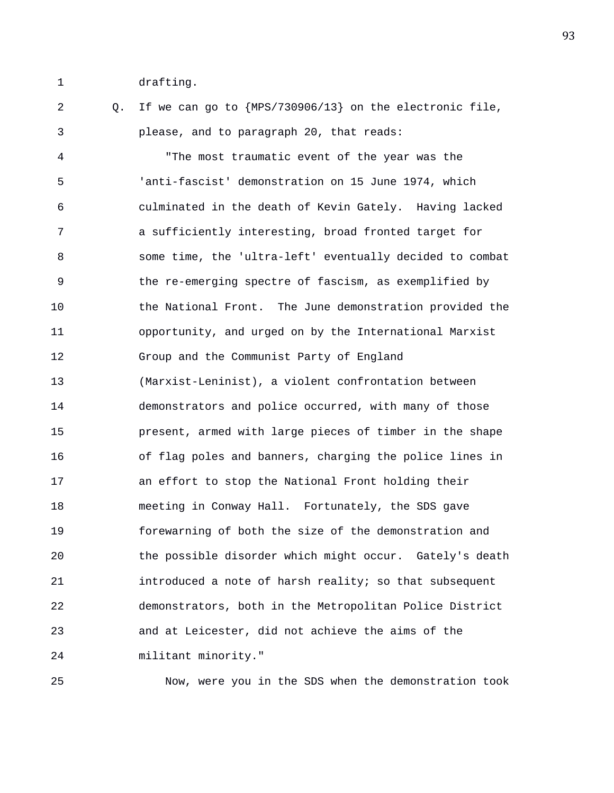1 drafting.

2 Q. If we can go to {MPS/730906/13} on the electronic file, 3 please, and to paragraph 20, that reads:

4 "The most traumatic event of the year was the 5 'anti-fascist' demonstration on 15 June 1974, which 6 culminated in the death of Kevin Gately. Having lacked 7 a sufficiently interesting, broad fronted target for 8 some time, the 'ultra-left' eventually decided to combat 9 the re-emerging spectre of fascism, as exemplified by 10 the National Front. The June demonstration provided the 11 opportunity, and urged on by the International Marxist 12 Group and the Communist Party of England 13 (Marxist-Leninist), a violent confrontation between 14 demonstrators and police occurred, with many of those 15 present, armed with large pieces of timber in the shape 16 of flag poles and banners, charging the police lines in 17 an effort to stop the National Front holding their 18 meeting in Conway Hall. Fortunately, the SDS gave 19 forewarning of both the size of the demonstration and 20 the possible disorder which might occur. Gately's death 21 introduced a note of harsh reality; so that subsequent 22 demonstrators, both in the Metropolitan Police District 23 and at Leicester, did not achieve the aims of the 24 militant minority."

25 Now, were you in the SDS when the demonstration took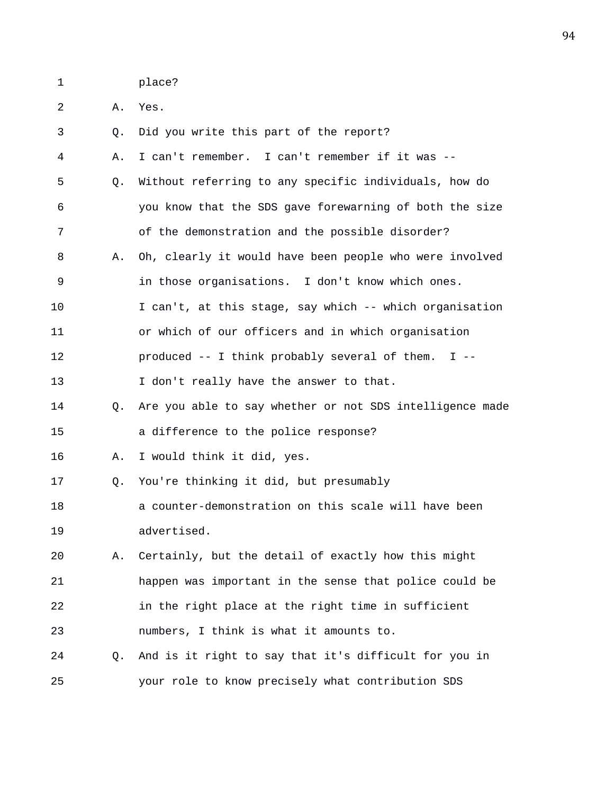1 place?

2 A. Yes.

| 3  | Q. | Did you write this part of the report?                   |
|----|----|----------------------------------------------------------|
| 4  | Α. | I can't remember. I can't remember if it was --          |
| 5  | Q. | Without referring to any specific individuals, how do    |
| 6  |    | you know that the SDS gave forewarning of both the size  |
| 7  |    | of the demonstration and the possible disorder?          |
| 8  | Α. | Oh, clearly it would have been people who were involved  |
| 9  |    | in those organisations. I don't know which ones.         |
| 10 |    | I can't, at this stage, say which -- which organisation  |
| 11 |    | or which of our officers and in which organisation       |
| 12 |    | produced $--$ I think probably several of them. I $--$   |
| 13 |    | I don't really have the answer to that.                  |
| 14 | O. | Are you able to say whether or not SDS intelligence made |
| 15 |    | a difference to the police response?                     |
| 16 | Α. | I would think it did, yes.                               |
| 17 | Q. | You're thinking it did, but presumably                   |
| 18 |    | a counter-demonstration on this scale will have been     |
| 19 |    | advertised.                                              |
| 20 | Α. | Certainly, but the detail of exactly how this might      |
| 21 |    | happen was important in the sense that police could be   |
| 22 |    | in the right place at the right time in sufficient       |
| 23 |    | numbers, I think is what it amounts to.                  |
| 24 | Q. | And is it right to say that it's difficult for you in    |
| 25 |    | your role to know precisely what contribution SDS        |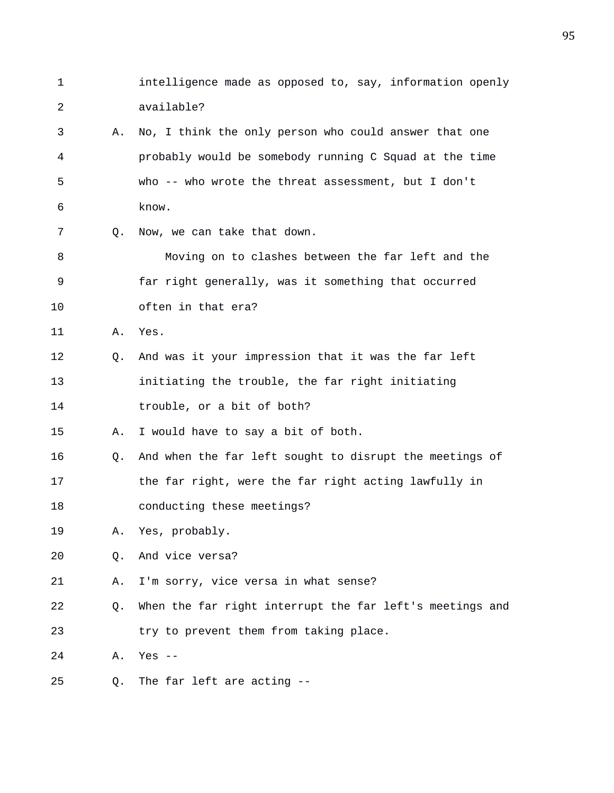1 intelligence made as opposed to, say, information openly 2 available? 3 A. No, I think the only person who could answer that one 4 probably would be somebody running C Squad at the time 5 who -- who wrote the threat assessment, but I don't 6 know. 7 Q. Now, we can take that down. 8 Moving on to clashes between the far left and the 9 far right generally, was it something that occurred 10 often in that era? 11 A. Yes. 12 Q. And was it your impression that it was the far left 13 initiating the trouble, the far right initiating 14 trouble, or a bit of both? 15 A. I would have to say a bit of both. 16 Q. And when the far left sought to disrupt the meetings of 17 the far right, were the far right acting lawfully in 18 conducting these meetings? 19 A. Yes, probably. 20 Q. And vice versa? 21 A. I'm sorry, vice versa in what sense? 22 Q. When the far right interrupt the far left's meetings and 23 try to prevent them from taking place. 24 A. Yes -- 25 Q. The far left are acting --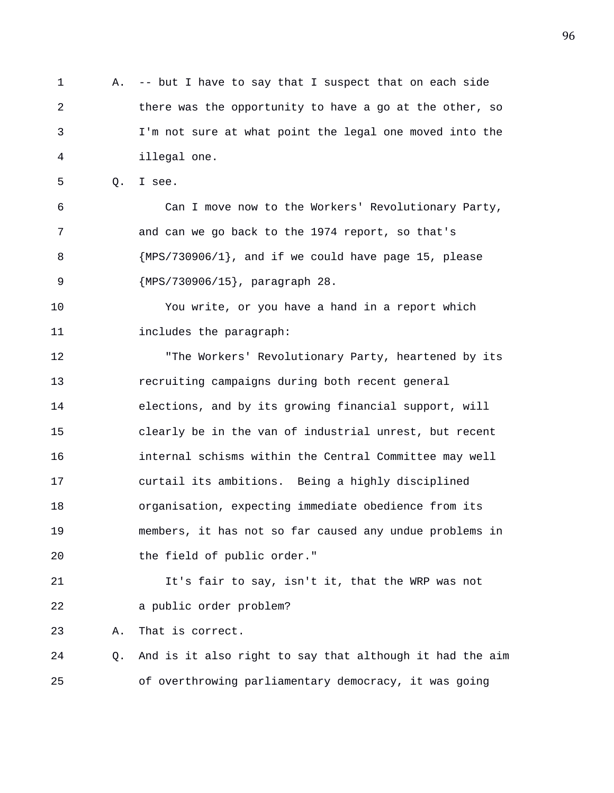1 A. -- but I have to say that I suspect that on each side 2 there was the opportunity to have a go at the other, so 3 I'm not sure at what point the legal one moved into the 4 illegal one.

5 Q. I see.

6 Can I move now to the Workers' Revolutionary Party, 7 and can we go back to the 1974 report, so that's 8 {MPS/730906/1}, and if we could have page 15, please 9 {MPS/730906/15}, paragraph 28.

10 You write, or you have a hand in a report which 11 includes the paragraph:

12 "The Workers' Revolutionary Party, heartened by its 13 recruiting campaigns during both recent general 14 elections, and by its growing financial support, will 15 clearly be in the van of industrial unrest, but recent 16 internal schisms within the Central Committee may well 17 curtail its ambitions. Being a highly disciplined 18 organisation, expecting immediate obedience from its 19 members, it has not so far caused any undue problems in 20 the field of public order."

21 It's fair to say, isn't it, that the WRP was not 22 a public order problem?

23 A. That is correct.

24 Q. And is it also right to say that although it had the aim 25 of overthrowing parliamentary democracy, it was going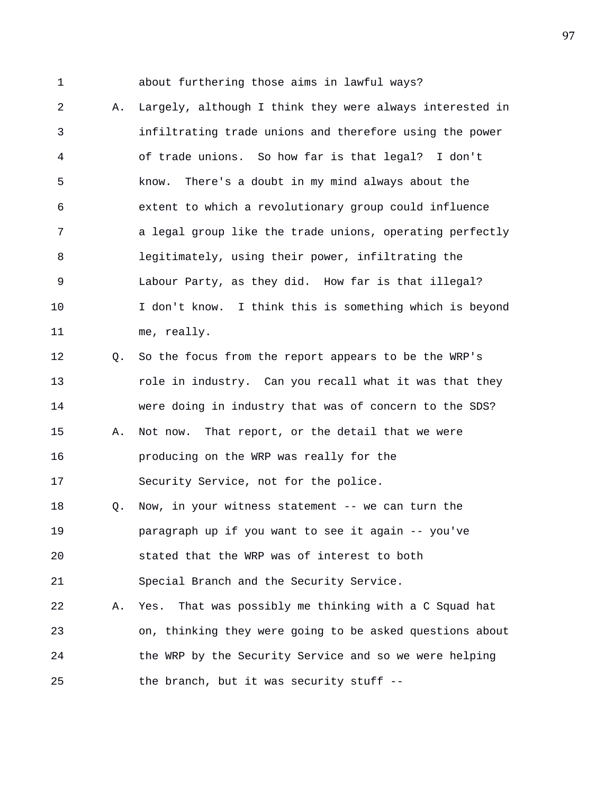1 about furthering those aims in lawful ways?

2 A. Largely, although I think they were always interested in 3 infiltrating trade unions and therefore using the power 4 of trade unions. So how far is that legal? I don't 5 know. There's a doubt in my mind always about the 6 extent to which a revolutionary group could influence 7 a legal group like the trade unions, operating perfectly 8 legitimately, using their power, infiltrating the 9 Labour Party, as they did. How far is that illegal? 10 I don't know. I think this is something which is beyond 11 me, really. 12 Q. So the focus from the report appears to be the WRP's 13 role in industry. Can you recall what it was that they 14 were doing in industry that was of concern to the SDS? 15 A. Not now. That report, or the detail that we were 16 producing on the WRP was really for the 17 Security Service, not for the police. 18 Q. Now, in your witness statement -- we can turn the 19 paragraph up if you want to see it again -- you've 20 stated that the WRP was of interest to both 21 Special Branch and the Security Service. 22 A. Yes. That was possibly me thinking with a C Squad hat 23 on, thinking they were going to be asked questions about 24 the WRP by the Security Service and so we were helping

25 the branch, but it was security stuff --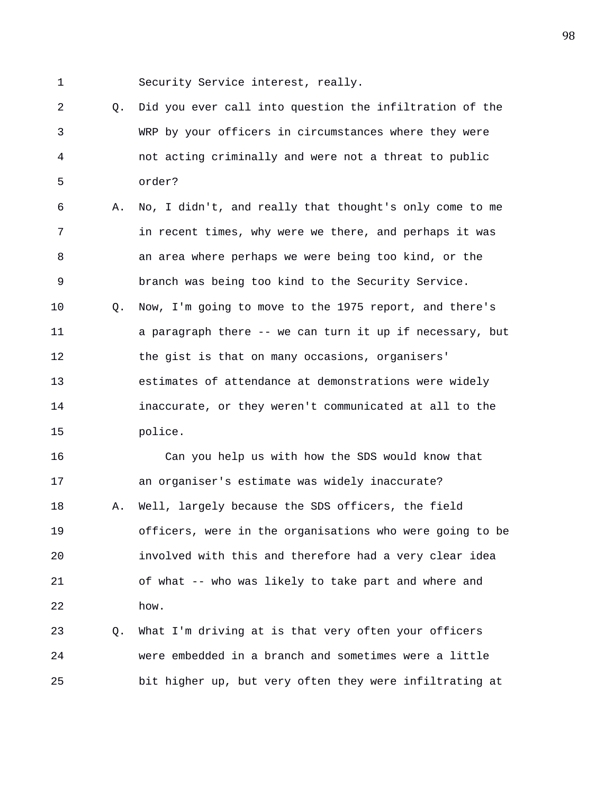1 Security Service interest, really.

2 Q. Did you ever call into question the infiltration of the 3 WRP by your officers in circumstances where they were 4 not acting criminally and were not a threat to public 5 order?

6 A. No, I didn't, and really that thought's only come to me 7 in recent times, why were we there, and perhaps it was 8 an area where perhaps we were being too kind, or the 9 branch was being too kind to the Security Service. 10 Q. Now, I'm going to move to the 1975 report, and there's 11 a paragraph there -- we can turn it up if necessary, but 12 the gist is that on many occasions, organisers' 13 estimates of attendance at demonstrations were widely 14 inaccurate, or they weren't communicated at all to the 15 police.

16 Can you help us with how the SDS would know that 17 an organiser's estimate was widely inaccurate? 18 A. Well, largely because the SDS officers, the field 19 officers, were in the organisations who were going to be 20 involved with this and therefore had a very clear idea 21 of what -- who was likely to take part and where and 22 how.

23 Q. What I'm driving at is that very often your officers 24 were embedded in a branch and sometimes were a little 25 bit higher up, but very often they were infiltrating at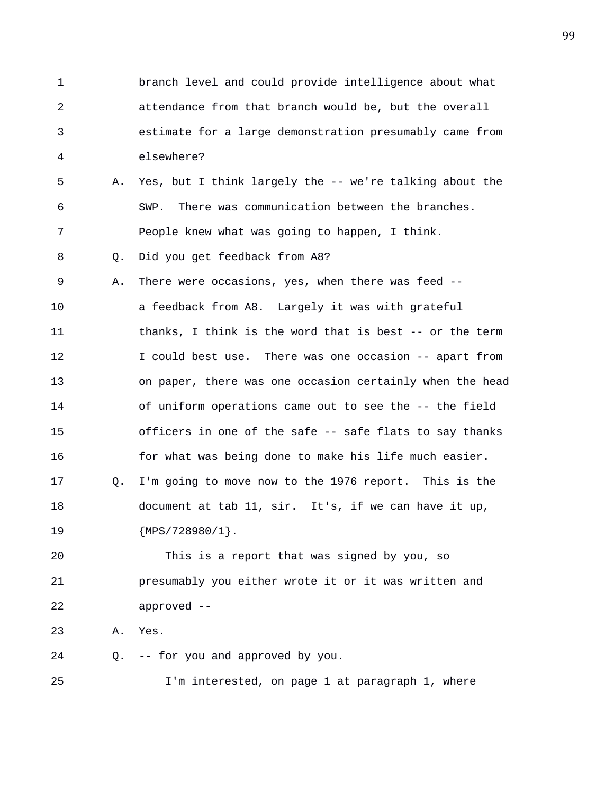1 branch level and could provide intelligence about what 2 attendance from that branch would be, but the overall 3 estimate for a large demonstration presumably came from 4 elsewhere? 5 A. Yes, but I think largely the -- we're talking about the 6 SWP. There was communication between the branches. 7 People knew what was going to happen, I think. 8 Q. Did you get feedback from A8? 9 A. There were occasions, yes, when there was feed -- 10 a feedback from A8. Largely it was with grateful 11 thanks, I think is the word that is best -- or the term 12 I could best use. There was one occasion -- apart from 13 on paper, there was one occasion certainly when the head 14 of uniform operations came out to see the -- the field 15 officers in one of the safe -- safe flats to say thanks 16 for what was being done to make his life much easier. 17 Q. I'm going to move now to the 1976 report. This is the 18 document at tab 11, sir. It's, if we can have it up, 19 {MPS/728980/1}. 20 This is a report that was signed by you, so 21 presumably you either wrote it or it was written and

22 approved --

23 A. Yes.

24 Q. -- for you and approved by you.

25 I'm interested, on page 1 at paragraph 1, where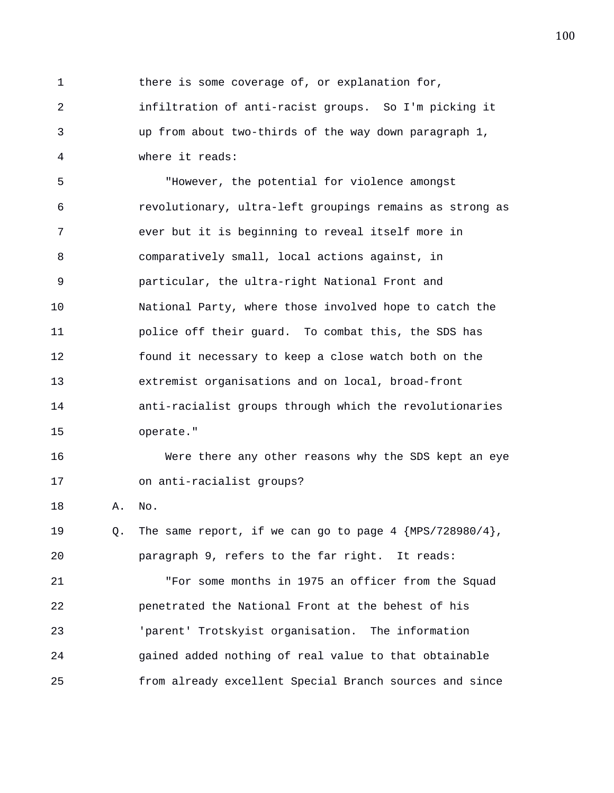1 there is some coverage of, or explanation for,

2 infiltration of anti-racist groups. So I'm picking it 3 up from about two-thirds of the way down paragraph 1, 4 where it reads:

5 "However, the potential for violence amongst 6 revolutionary, ultra-left groupings remains as strong as 7 ever but it is beginning to reveal itself more in 8 comparatively small, local actions against, in 9 particular, the ultra-right National Front and 10 National Party, where those involved hope to catch the 11 police off their guard. To combat this, the SDS has 12 found it necessary to keep a close watch both on the 13 extremist organisations and on local, broad-front 14 anti-racialist groups through which the revolutionaries 15 operate."

16 Were there any other reasons why the SDS kept an eye 17 on anti-racialist groups?

18 A. No.

19 Q. The same report, if we can go to page 4 {MPS/728980/4}, 20 paragraph 9, refers to the far right. It reads:

21 "For some months in 1975 an officer from the Squad 22 penetrated the National Front at the behest of his 23 'parent' Trotskyist organisation. The information 24 gained added nothing of real value to that obtainable 25 from already excellent Special Branch sources and since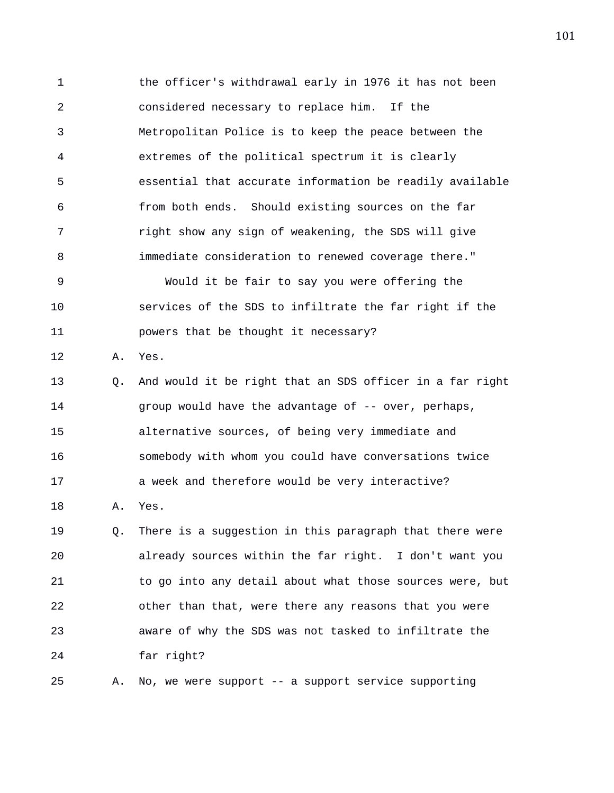1 the officer's withdrawal early in 1976 it has not been 2 considered necessary to replace him. If the 3 Metropolitan Police is to keep the peace between the 4 extremes of the political spectrum it is clearly 5 essential that accurate information be readily available 6 from both ends. Should existing sources on the far 7 right show any sign of weakening, the SDS will give 8 immediate consideration to renewed coverage there." 9 Would it be fair to say you were offering the 10 services of the SDS to infiltrate the far right if the 11 powers that be thought it necessary? 12 A. Yes. 13 Q. And would it be right that an SDS officer in a far right 14 group would have the advantage of -- over, perhaps, 15 alternative sources, of being very immediate and 16 somebody with whom you could have conversations twice 17 a week and therefore would be very interactive? 18 A. Yes. 19 Q. There is a suggestion in this paragraph that there were 20 already sources within the far right. I don't want you 21 to go into any detail about what those sources were, but 22 other than that, were there any reasons that you were 23 aware of why the SDS was not tasked to infiltrate the

25 A. No, we were support -- a support service supporting

24 far right?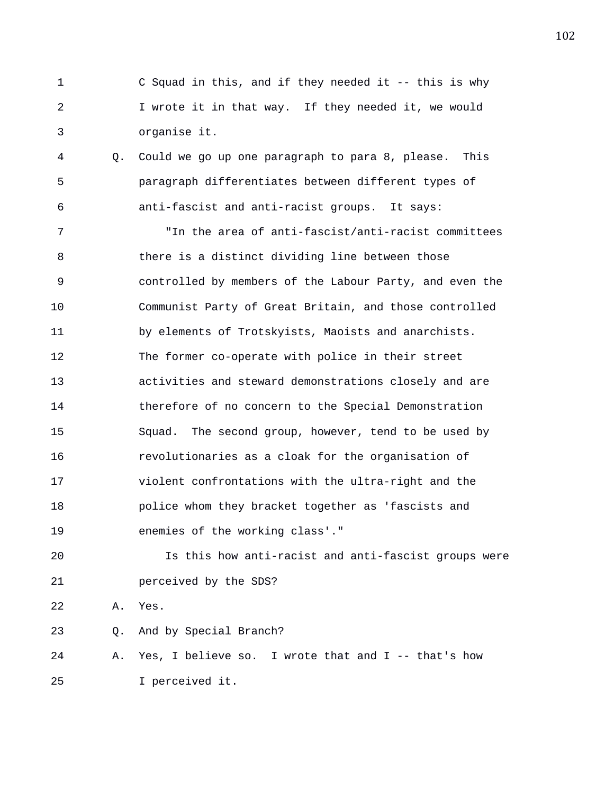- 1 C Squad in this, and if they needed it -- this is why 2 I wrote it in that way. If they needed it, we would 3 organise it.
- 4 Q. Could we go up one paragraph to para 8, please. This 5 paragraph differentiates between different types of 6 anti-fascist and anti-racist groups. It says:

7 "In the area of anti-fascist/anti-racist committees 8 there is a distinct dividing line between those 9 controlled by members of the Labour Party, and even the 10 Communist Party of Great Britain, and those controlled 11 by elements of Trotskyists, Maoists and anarchists. 12 The former co-operate with police in their street 13 activities and steward demonstrations closely and are 14 therefore of no concern to the Special Demonstration 15 Squad. The second group, however, tend to be used by 16 revolutionaries as a cloak for the organisation of 17 violent confrontations with the ultra-right and the 18 police whom they bracket together as 'fascists and 19 enemies of the working class'."

20 Is this how anti-racist and anti-fascist groups were 21 perceived by the SDS?

22 A. Yes.

23 Q. And by Special Branch?

24 A. Yes, I believe so. I wrote that and I -- that's how 25 I perceived it.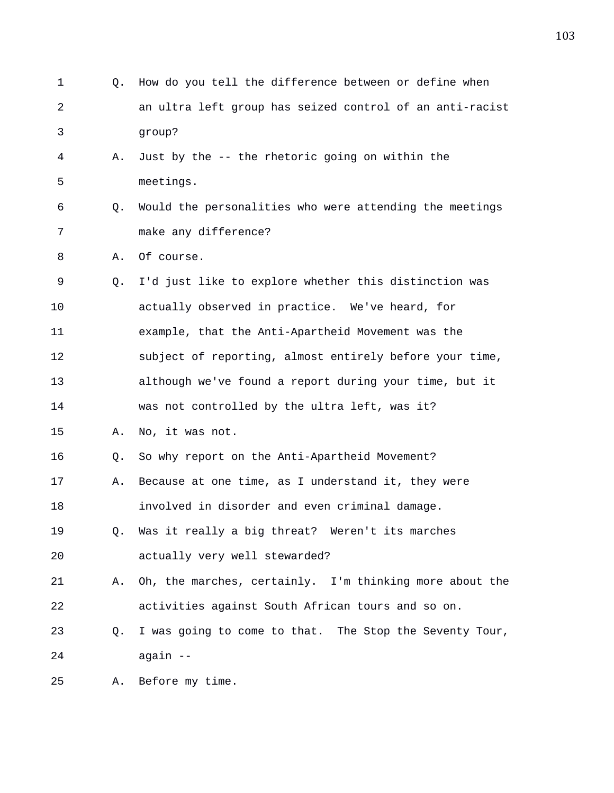1 Q. How do you tell the difference between or define when 2 an ultra left group has seized control of an anti-racist 3 group? 4 A. Just by the -- the rhetoric going on within the 5 meetings. 6 Q. Would the personalities who were attending the meetings 7 make any difference? 8 A. Of course. 9 Q. I'd just like to explore whether this distinction was 10 actually observed in practice. We've heard, for 11 example, that the Anti-Apartheid Movement was the 12 subject of reporting, almost entirely before your time, 13 although we've found a report during your time, but it 14 was not controlled by the ultra left, was it? 15 A. No, it was not. 16 Q. So why report on the Anti-Apartheid Movement? 17 A. Because at one time, as I understand it, they were 18 involved in disorder and even criminal damage. 19 Q. Was it really a big threat? Weren't its marches 20 actually very well stewarded? 21 A. Oh, the marches, certainly. I'm thinking more about the 22 activities against South African tours and so on. 23 Q. I was going to come to that. The Stop the Seventy Tour, 24 again -- 25 A. Before my time.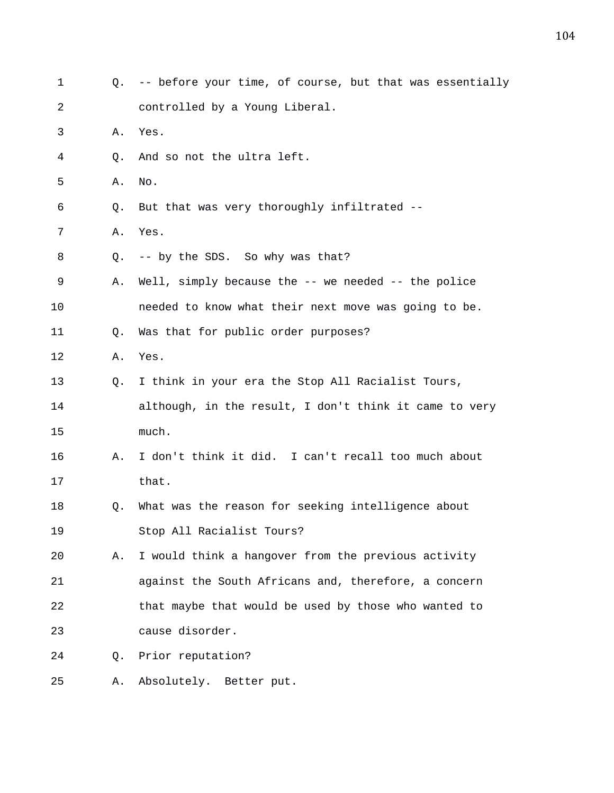| 1  | O.             | -- before your time, of course, but that was essentially |
|----|----------------|----------------------------------------------------------|
| 2  |                | controlled by a Young Liberal.                           |
| 3  | Α.             | Yes.                                                     |
| 4  | Q.             | And so not the ultra left.                               |
| 5  | Α.             | No.                                                      |
| 6  | Q.             | But that was very thoroughly infiltrated --              |
| 7  | Α.             | Yes.                                                     |
| 8  | Q.             | -- by the SDS. So why was that?                          |
| 9  | Α.             | Well, simply because the -- we needed -- the police      |
| 10 |                | needed to know what their next move was going to be.     |
| 11 | Q <sub>z</sub> | Was that for public order purposes?                      |
| 12 | Α.             | Yes.                                                     |
| 13 | Q.             | I think in your era the Stop All Racialist Tours,        |
| 14 |                | although, in the result, I don't think it came to very   |
| 15 |                | much.                                                    |
| 16 | А.             | I don't think it did. I can't recall too much about      |
| 17 |                | that.                                                    |
| 18 | Q.             | What was the reason for seeking intelligence about       |
| 19 |                | Stop All Racialist Tours?                                |
| 20 | Α.             | I would think a hangover from the previous activity      |
| 21 |                | against the South Africans and, therefore, a concern     |
| 22 |                | that maybe that would be used by those who wanted to     |
| 23 |                | cause disorder.                                          |
| 24 | Q.             | Prior reputation?                                        |
| 25 | Α.             | Absolutely. Better put.                                  |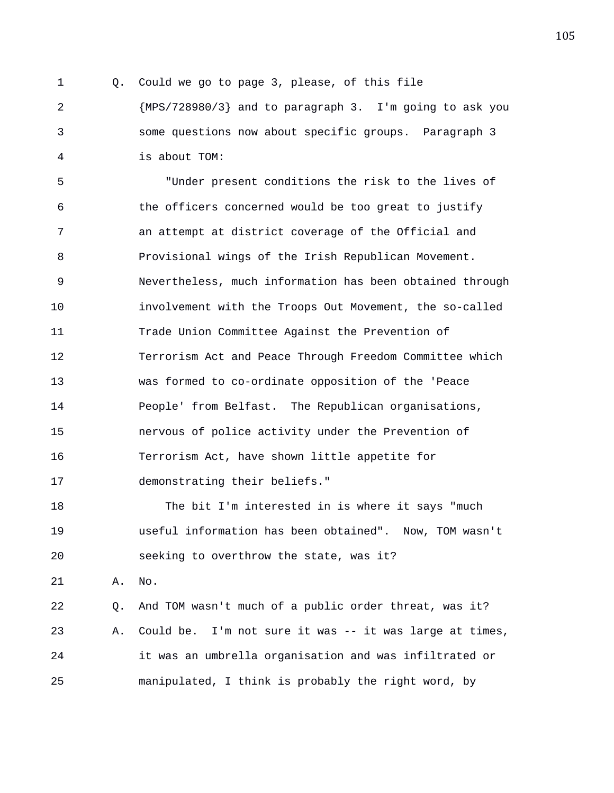1 Q. Could we go to page 3, please, of this file 2 {MPS/728980/3} and to paragraph 3. I'm going to ask you 3 some questions now about specific groups. Paragraph 3 4 is about TOM:

5 "Under present conditions the risk to the lives of 6 the officers concerned would be too great to justify 7 an attempt at district coverage of the Official and 8 Provisional wings of the Irish Republican Movement. 9 Nevertheless, much information has been obtained through 10 involvement with the Troops Out Movement, the so-called 11 Trade Union Committee Against the Prevention of 12 Terrorism Act and Peace Through Freedom Committee which 13 was formed to co-ordinate opposition of the 'Peace 14 People' from Belfast. The Republican organisations, 15 nervous of police activity under the Prevention of 16 Terrorism Act, have shown little appetite for 17 demonstrating their beliefs."

18 The bit I'm interested in is where it says "much 19 useful information has been obtained". Now, TOM wasn't 20 seeking to overthrow the state, was it?

21 A. No.

22 Q. And TOM wasn't much of a public order threat, was it? 23 A. Could be. I'm not sure it was -- it was large at times, 24 it was an umbrella organisation and was infiltrated or 25 manipulated, I think is probably the right word, by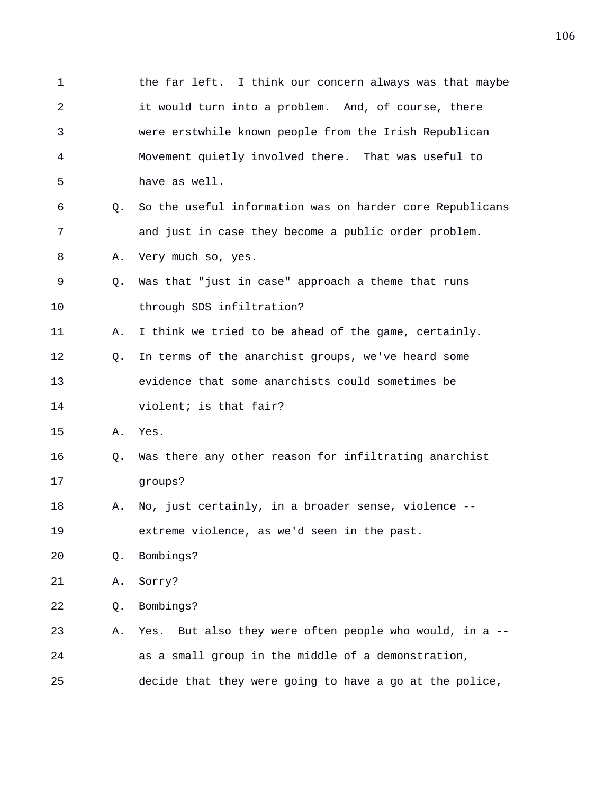1 the far left. I think our concern always was that maybe 2 it would turn into a problem. And, of course, there 3 were erstwhile known people from the Irish Republican 4 Movement quietly involved there. That was useful to 5 have as well. 6 Q. So the useful information was on harder core Republicans 7 and just in case they become a public order problem. 8 A. Very much so, yes. 9 Q. Was that "just in case" approach a theme that runs 10 through SDS infiltration? 11 A. I think we tried to be ahead of the game, certainly. 12 Q. In terms of the anarchist groups, we've heard some 13 evidence that some anarchists could sometimes be 14 violent; is that fair? 15 A. Yes. 16 Q. Was there any other reason for infiltrating anarchist 17 groups? 18 A. No, just certainly, in a broader sense, violence -- 19 extreme violence, as we'd seen in the past. 20 Q. Bombings? 21 A. Sorry? 22 Q. Bombings? 23 A. Yes. But also they were often people who would, in a -- 24 as a small group in the middle of a demonstration, 25 decide that they were going to have a go at the police,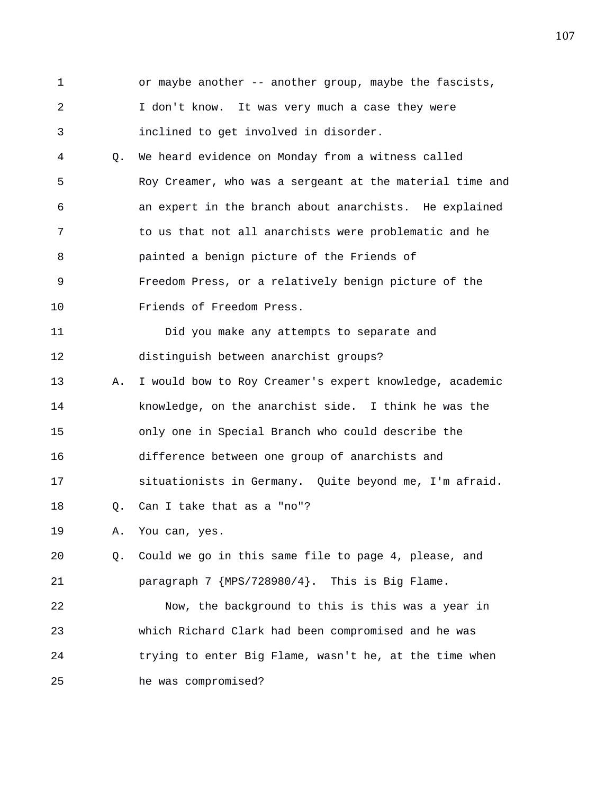1 or maybe another -- another group, maybe the fascists, 2 I don't know. It was very much a case they were 3 inclined to get involved in disorder.

4 Q. We heard evidence on Monday from a witness called 5 Roy Creamer, who was a sergeant at the material time and 6 an expert in the branch about anarchists. He explained 7 to us that not all anarchists were problematic and he 8 painted a benign picture of the Friends of 9 Freedom Press, or a relatively benign picture of the 10 Friends of Freedom Press.

11 Did you make any attempts to separate and 12 distinguish between anarchist groups? 13 A. I would bow to Roy Creamer's expert knowledge, academic 14 knowledge, on the anarchist side. I think he was the 15 only one in Special Branch who could describe the 16 difference between one group of anarchists and 17 situationists in Germany. Quite beyond me, I'm afraid. 18 Q. Can I take that as a "no"?

19 A. You can, yes.

20 Q. Could we go in this same file to page 4, please, and 21 paragraph 7 {MPS/728980/4}. This is Big Flame.

22 Now, the background to this is this was a year in 23 which Richard Clark had been compromised and he was 24 trying to enter Big Flame, wasn't he, at the time when 25 he was compromised?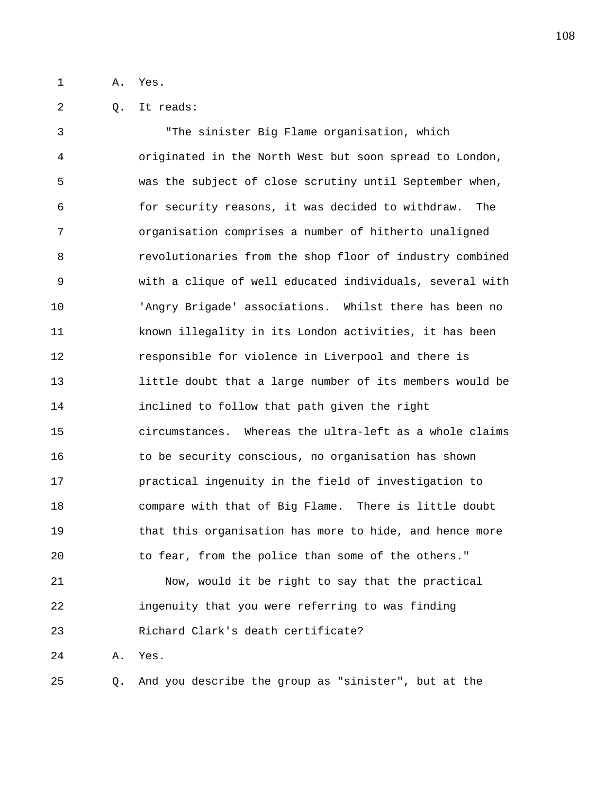1 A. Yes.

2 Q. It reads:

3 "The sinister Big Flame organisation, which 4 originated in the North West but soon spread to London, 5 was the subject of close scrutiny until September when, 6 for security reasons, it was decided to withdraw. The 7 organisation comprises a number of hitherto unaligned 8 revolutionaries from the shop floor of industry combined 9 with a clique of well educated individuals, several with 10 'Angry Brigade' associations. Whilst there has been no 11 known illegality in its London activities, it has been 12 responsible for violence in Liverpool and there is 13 little doubt that a large number of its members would be 14 inclined to follow that path given the right 15 circumstances. Whereas the ultra-left as a whole claims 16 to be security conscious, no organisation has shown 17 practical ingenuity in the field of investigation to 18 compare with that of Big Flame. There is little doubt 19 that this organisation has more to hide, and hence more 20 to fear, from the police than some of the others." 21 Now, would it be right to say that the practical 22 ingenuity that you were referring to was finding 23 Richard Clark's death certificate? 24 A. Yes.

25 Q. And you describe the group as "sinister", but at the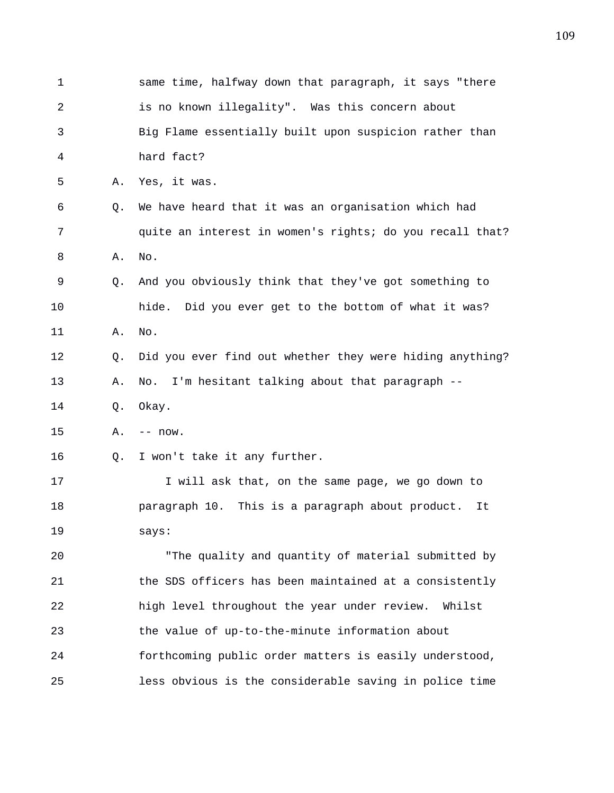| 1  |    | same time, halfway down that paragraph, it says "there   |
|----|----|----------------------------------------------------------|
| 2  |    | is no known illegality". Was this concern about          |
| 3  |    | Big Flame essentially built upon suspicion rather than   |
| 4  |    | hard fact?                                               |
| 5  | Α. | Yes, it was.                                             |
| 6  | Q. | We have heard that it was an organisation which had      |
| 7  |    | quite an interest in women's rights; do you recall that? |
| 8  | Α. | No.                                                      |
| 9  | Q. | And you obviously think that they've got something to    |
| 10 |    | hide. Did you ever get to the bottom of what it was?     |
| 11 | Α. | No.                                                      |
| 12 | Q. | Did you ever find out whether they were hiding anything? |
| 13 | Α. | I'm hesitant talking about that paragraph --<br>No.      |
| 14 | Q. | Okay.                                                    |
| 15 | Α. | $-- now.$                                                |
| 16 | Q. | I won't take it any further.                             |
| 17 |    | I will ask that, on the same page, we go down to         |
| 18 |    | paragraph 10. This is a paragraph about product.<br>It   |
| 19 |    | says:                                                    |
| 20 |    | "The quality and quantity of material submitted by       |
| 21 |    | the SDS officers has been maintained at a consistently   |
| 22 |    | high level throughout the year under review.<br>Whilst   |
| 23 |    | the value of up-to-the-minute information about          |
| 24 |    | forthcoming public order matters is easily understood,   |
| 25 |    | less obvious is the considerable saving in police time   |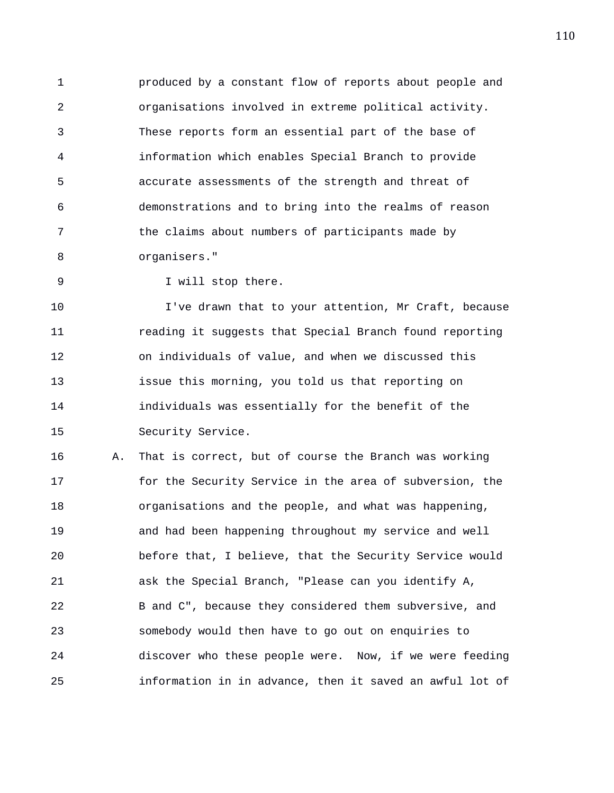1 produced by a constant flow of reports about people and 2 organisations involved in extreme political activity. 3 These reports form an essential part of the base of 4 information which enables Special Branch to provide 5 accurate assessments of the strength and threat of 6 demonstrations and to bring into the realms of reason 7 the claims about numbers of participants made by 8 organisers."

9 I will stop there.

10 I've drawn that to your attention, Mr Craft, because 11 reading it suggests that Special Branch found reporting 12 on individuals of value, and when we discussed this 13 issue this morning, you told us that reporting on 14 individuals was essentially for the benefit of the 15 Security Service.

16 A. That is correct, but of course the Branch was working 17 for the Security Service in the area of subversion, the 18 organisations and the people, and what was happening, 19 and had been happening throughout my service and well 20 before that, I believe, that the Security Service would 21 ask the Special Branch, "Please can you identify A, 22 B and C", because they considered them subversive, and 23 somebody would then have to go out on enquiries to 24 discover who these people were. Now, if we were feeding 25 information in in advance, then it saved an awful lot of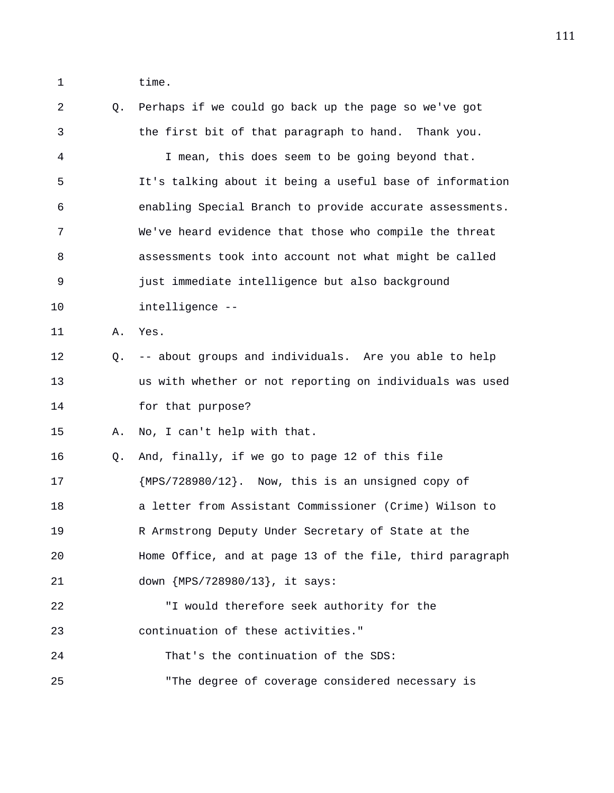1 time.

2 Q. Perhaps if we could go back up the page so we've got 3 the first bit of that paragraph to hand. Thank you. 4 I mean, this does seem to be going beyond that. 5 It's talking about it being a useful base of information 6 enabling Special Branch to provide accurate assessments. 7 We've heard evidence that those who compile the threat 8 assessments took into account not what might be called 9 just immediate intelligence but also background 10 intelligence -- 11 A. Yes. 12 Q. -- about groups and individuals. Are you able to help 13 us with whether or not reporting on individuals was used 14 for that purpose? 15 A. No, I can't help with that. 16 Q. And, finally, if we go to page 12 of this file 17 {MPS/728980/12}. Now, this is an unsigned copy of 18 a letter from Assistant Commissioner (Crime) Wilson to 19 R Armstrong Deputy Under Secretary of State at the 20 Home Office, and at page 13 of the file, third paragraph 21 down {MPS/728980/13}, it says: 22 "I would therefore seek authority for the 23 continuation of these activities." 24 That's the continuation of the SDS: 25 "The degree of coverage considered necessary is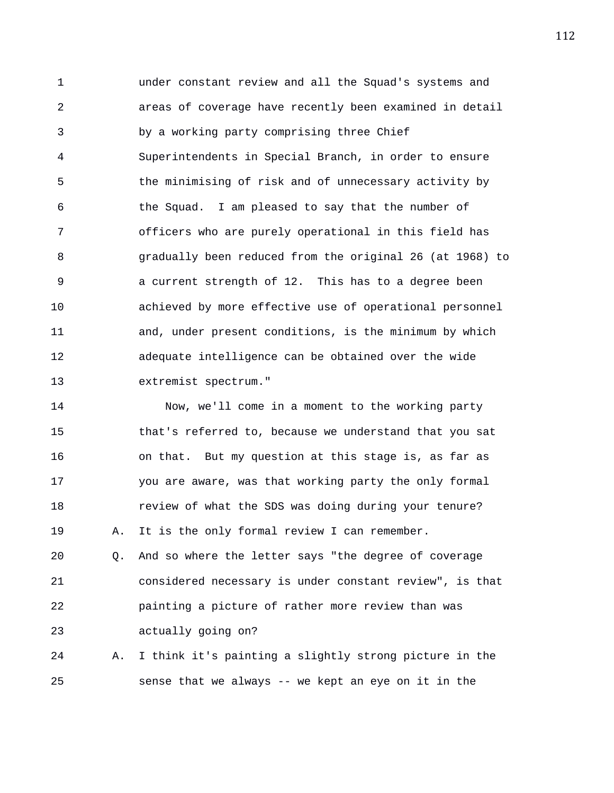1 under constant review and all the Squad's systems and 2 areas of coverage have recently been examined in detail 3 by a working party comprising three Chief 4 Superintendents in Special Branch, in order to ensure 5 the minimising of risk and of unnecessary activity by 6 the Squad. I am pleased to say that the number of 7 officers who are purely operational in this field has 8 gradually been reduced from the original 26 (at 1968) to 9 a current strength of 12. This has to a degree been 10 achieved by more effective use of operational personnel 11 and, under present conditions, is the minimum by which 12 adequate intelligence can be obtained over the wide 13 extremist spectrum."

14 Now, we'll come in a moment to the working party 15 that's referred to, because we understand that you sat 16 on that. But my question at this stage is, as far as 17 you are aware, was that working party the only formal 18 **review of what the SDS was doing during your tenure?** 19 A. It is the only formal review I can remember.

20 Q. And so where the letter says "the degree of coverage 21 considered necessary is under constant review", is that 22 painting a picture of rather more review than was 23 actually going on?

24 A. I think it's painting a slightly strong picture in the 25 sense that we always -- we kept an eye on it in the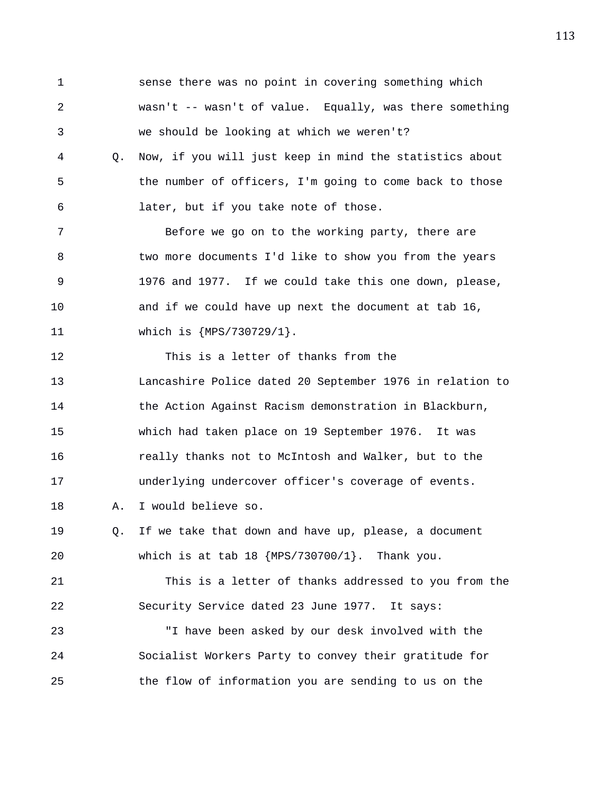1 sense there was no point in covering something which 2 wasn't -- wasn't of value. Equally, was there something 3 we should be looking at which we weren't? 4 Q. Now, if you will just keep in mind the statistics about 5 the number of officers, I'm going to come back to those 6 later, but if you take note of those. 7 Before we go on to the working party, there are 8 two more documents I'd like to show you from the years 9 1976 and 1977. If we could take this one down, please, 10 and if we could have up next the document at tab 16, 11 which is {MPS/730729/1}. 12 This is a letter of thanks from the 13 Lancashire Police dated 20 September 1976 in relation to 14 the Action Against Racism demonstration in Blackburn, 15 which had taken place on 19 September 1976. It was 16 **really thanks not to McIntosh and Walker, but to the** 17 underlying undercover officer's coverage of events. 18 A. I would believe so. 19 Q. If we take that down and have up, please, a document 20 which is at tab 18 {MPS/730700/1}. Thank you. 21 This is a letter of thanks addressed to you from the 22 Security Service dated 23 June 1977. It says: 23 "I have been asked by our desk involved with the 24 Socialist Workers Party to convey their gratitude for 25 the flow of information you are sending to us on the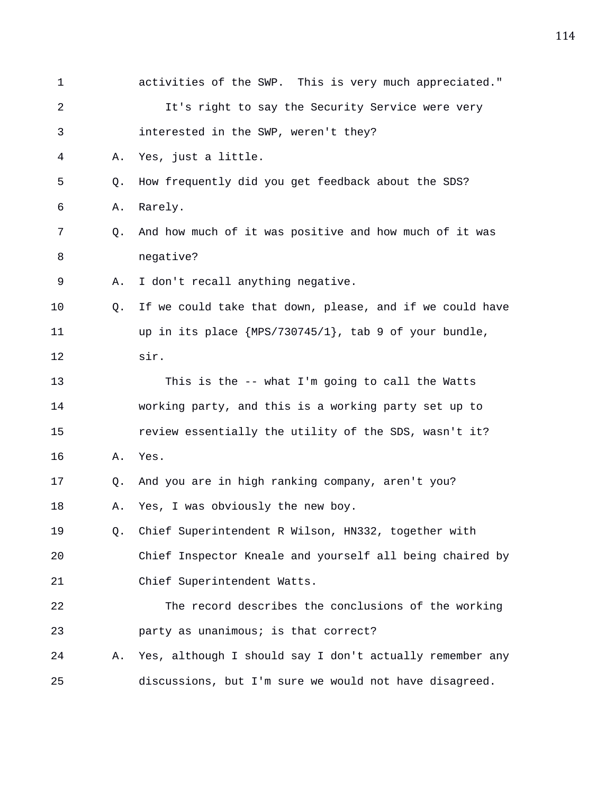| 1  |    | activities of the SWP. This is very much appreciated."   |
|----|----|----------------------------------------------------------|
| 2  |    | It's right to say the Security Service were very         |
| 3  |    | interested in the SWP, weren't they?                     |
| 4  | Α. | Yes, just a little.                                      |
| 5  | Q. | How frequently did you get feedback about the SDS?       |
| 6  | Α. | Rarely.                                                  |
| 7  | Q. | And how much of it was positive and how much of it was   |
| 8  |    | negative?                                                |
| 9  | Α. | I don't recall anything negative.                        |
| 10 | O. | If we could take that down, please, and if we could have |
| 11 |    | up in its place ${MPS}/730745/1$ , tab 9 of your bundle, |
| 12 |    | sir.                                                     |
| 13 |    | This is the -- what I'm going to call the Watts          |
| 14 |    | working party, and this is a working party set up to     |
| 15 |    | review essentially the utility of the SDS, wasn't it?    |
| 16 | Α. | Yes.                                                     |
| 17 | Q. | And you are in high ranking company, aren't you?         |
| 18 | Α. | Yes, I was obviously the new boy.                        |
| 19 | Q. | Chief Superintendent R Wilson, HN332, together with      |
| 20 |    | Chief Inspector Kneale and yourself all being chaired by |
| 21 |    | Chief Superintendent Watts.                              |
| 22 |    | The record describes the conclusions of the working      |
| 23 |    | party as unanimous; is that correct?                     |
| 24 | Α. | Yes, although I should say I don't actually remember any |
| 25 |    | discussions, but I'm sure we would not have disagreed.   |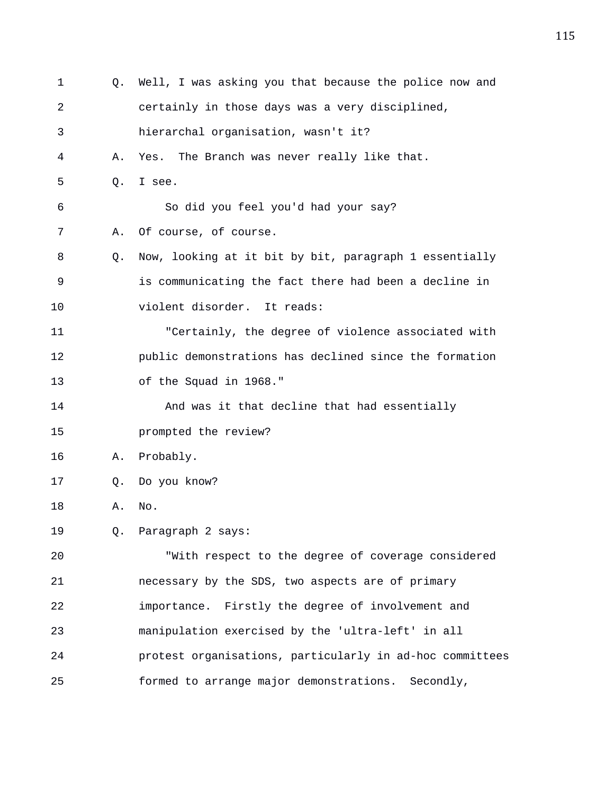| 1  |    | Q. Well, I was asking you that because the police now and |
|----|----|-----------------------------------------------------------|
| 2  |    | certainly in those days was a very disciplined,           |
| 3  |    | hierarchal organisation, wasn't it?                       |
| 4  | Α. | The Branch was never really like that.<br>Yes.            |
| 5  | Q. | I see.                                                    |
| 6  |    | So did you feel you'd had your say?                       |
| 7  | Α. | Of course, of course.                                     |
| 8  | O. | Now, looking at it bit by bit, paragraph 1 essentially    |
| 9  |    | is communicating the fact there had been a decline in     |
| 10 |    | violent disorder. It reads:                               |
| 11 |    | "Certainly, the degree of violence associated with        |
| 12 |    | public demonstrations has declined since the formation    |
| 13 |    | of the Squad in 1968."                                    |
| 14 |    | And was it that decline that had essentially              |
| 15 |    | prompted the review?                                      |
| 16 | Α. | Probably.                                                 |
| 17 | Q. | Do you know?                                              |
| 18 | Α. | No.                                                       |
| 19 |    | Q. Paragraph 2 says:                                      |
| 20 |    | "With respect to the degree of coverage considered        |
| 21 |    | necessary by the SDS, two aspects are of primary          |
| 22 |    | importance. Firstly the degree of involvement and         |
| 23 |    | manipulation exercised by the 'ultra-left' in all         |
| 24 |    | protest organisations, particularly in ad-hoc committees  |
| 25 |    | formed to arrange major demonstrations. Secondly,         |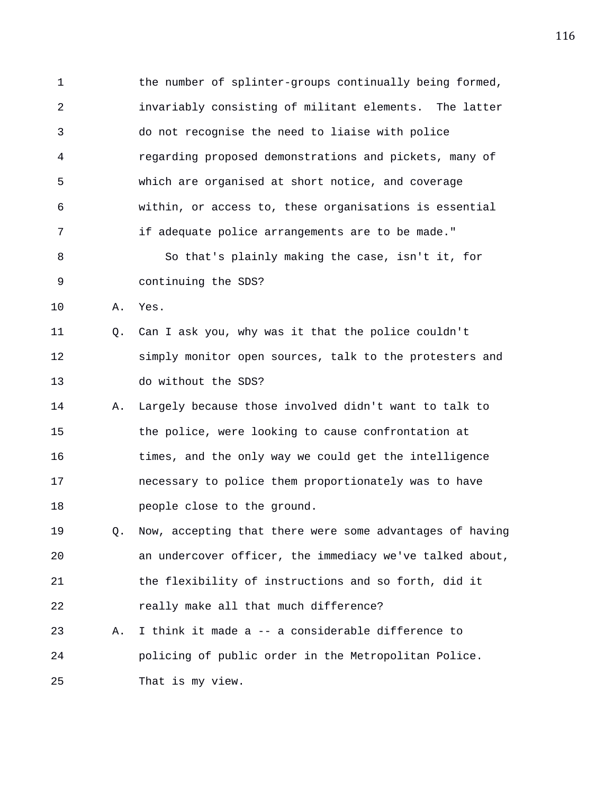1 the number of splinter-groups continually being formed, 2 invariably consisting of militant elements. The latter 3 do not recognise the need to liaise with police 4 regarding proposed demonstrations and pickets, many of 5 which are organised at short notice, and coverage 6 within, or access to, these organisations is essential 7 if adequate police arrangements are to be made." 8 So that's plainly making the case, isn't it, for 9 continuing the SDS? 10 A. Yes. 11 Q. Can I ask you, why was it that the police couldn't 12 simply monitor open sources, talk to the protesters and 13 do without the SDS? 14 A. Largely because those involved didn't want to talk to 15 the police, were looking to cause confrontation at 16 times, and the only way we could get the intelligence 17 necessary to police them proportionately was to have 18 people close to the ground. 19 Q. Now, accepting that there were some advantages of having 20 an undercover officer, the immediacy we've talked about, 21 the flexibility of instructions and so forth, did it 22 really make all that much difference? 23 A. I think it made a -- a considerable difference to 24 policing of public order in the Metropolitan Police.

25 That is my view.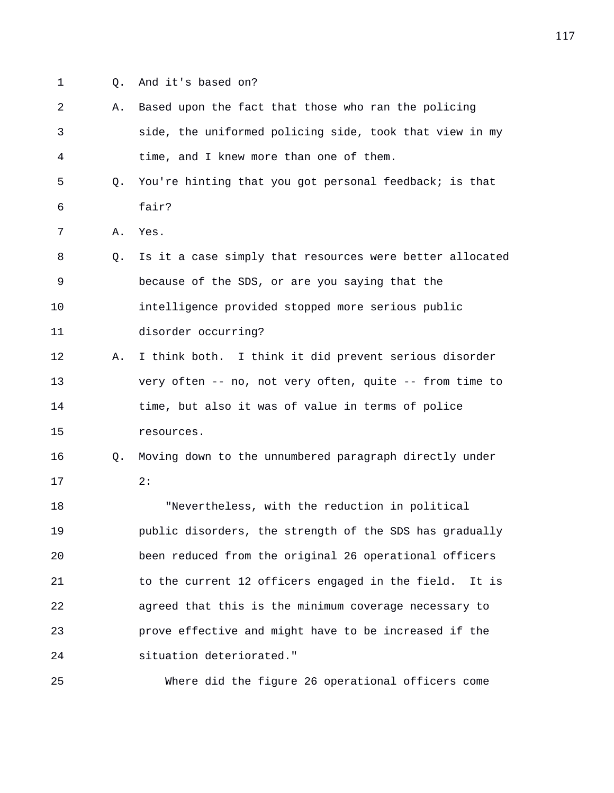- 
- 1 Q. And it's based on?

| 2  | Α.        | Based upon the fact that those who ran the policing       |
|----|-----------|-----------------------------------------------------------|
| 3  |           | side, the uniformed policing side, took that view in my   |
| 4  |           | time, and I knew more than one of them.                   |
| 5  | $\circ$ . | You're hinting that you got personal feedback; is that    |
| 6  |           | fair?                                                     |
| 7  | Α.        | Yes.                                                      |
| 8  | O.        | Is it a case simply that resources were better allocated  |
| 9  |           | because of the SDS, or are you saying that the            |
| 10 |           | intelligence provided stopped more serious public         |
| 11 |           | disorder occurring?                                       |
| 12 | Α.        | I think both. I think it did prevent serious disorder     |
| 13 |           | very often -- no, not very often, quite -- from time to   |
| 14 |           | time, but also it was of value in terms of police         |
| 15 |           | resources.                                                |
| 16 | O.        | Moving down to the unnumbered paragraph directly under    |
| 17 |           | 2:                                                        |
| 18 |           | "Nevertheless, with the reduction in political            |
| 19 |           | public disorders, the strength of the SDS has gradually   |
| 20 |           | been reduced from the original 26 operational officers    |
| 21 |           | to the current 12 officers engaged in the field.<br>It is |
| 22 |           | agreed that this is the minimum coverage necessary to     |
| 23 |           | prove effective and might have to be increased if the     |
| 24 |           | situation deteriorated."                                  |
| 25 |           | Where did the figure 26 operational officers come         |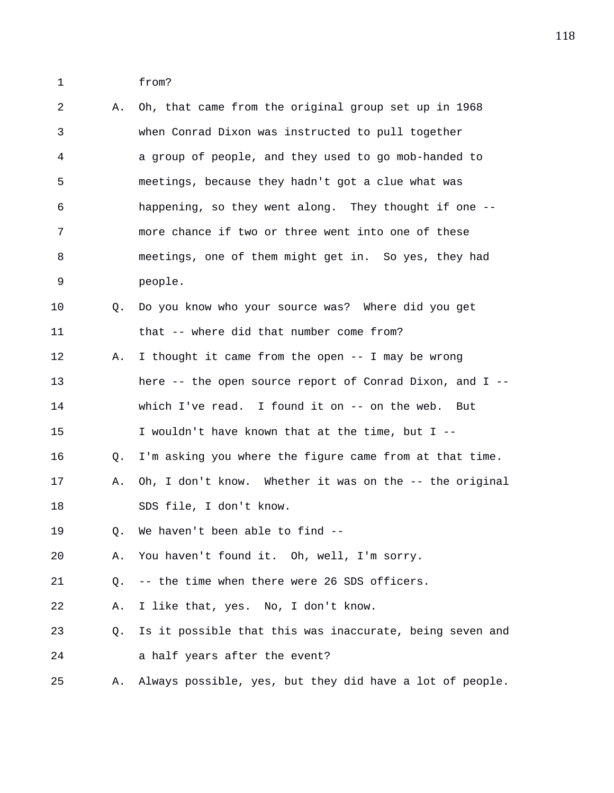1 from?

| 2       | Α. | Oh, that came from the original group set up in 1968     |
|---------|----|----------------------------------------------------------|
| 3       |    | when Conrad Dixon was instructed to pull together        |
| 4       |    | a group of people, and they used to go mob-handed to     |
| 5       |    | meetings, because they hadn't got a clue what was        |
| 6       |    | happening, so they went along. They thought if one --    |
| 7       |    | more chance if two or three went into one of these       |
| 8       |    | meetings, one of them might get in. So yes, they had     |
| 9       |    | people.                                                  |
| $10 \,$ | Q. | Do you know who your source was? Where did you get       |
| 11      |    | that -- where did that number come from?                 |
| 12      | Α. | I thought it came from the open -- I may be wrong        |
| 13      |    | here -- the open source report of Conrad Dixon, and I -- |
| 14      |    | which I've read. I found it on -- on the web. But        |
| 15      |    | I wouldn't have known that at the time, but I --         |
| 16      | Q. | I'm asking you where the figure came from at that time.  |
| 17      | Α. | Oh, I don't know. Whether it was on the -- the original  |
| 18      |    | SDS file, I don't know.                                  |
| 19      | Q. | We haven't been able to find --                          |
| 20      | Α. | You haven't found it. Oh, well, I'm sorry.               |
| 21      | Q. | -- the time when there were 26 SDS officers.             |
| 22      | Α. | I like that, yes. No, I don't know.                      |
| 23      | Q. | Is it possible that this was inaccurate, being seven and |
| 24      |    | a half years after the event?                            |
| 25      | А. | Always possible, yes, but they did have a lot of people. |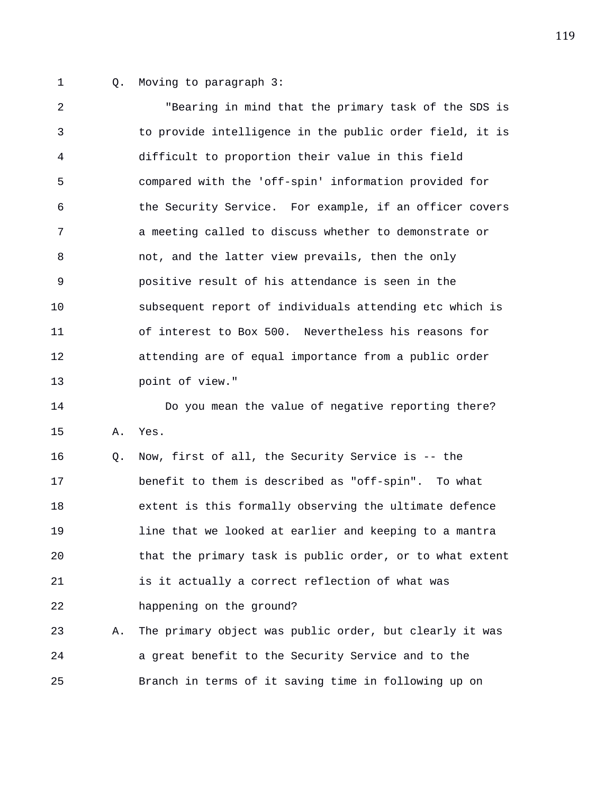1 Q. Moving to paragraph 3:

2 "Bearing in mind that the primary task of the SDS is 3 to provide intelligence in the public order field, it is 4 difficult to proportion their value in this field 5 compared with the 'off-spin' information provided for 6 the Security Service. For example, if an officer covers 7 a meeting called to discuss whether to demonstrate or 8 not, and the latter view prevails, then the only 9 positive result of his attendance is seen in the 10 subsequent report of individuals attending etc which is 11 of interest to Box 500. Nevertheless his reasons for 12 attending are of equal importance from a public order 13 point of view."

14 Do you mean the value of negative reporting there? 15 A. Yes.

16 Q. Now, first of all, the Security Service is -- the 17 benefit to them is described as "off-spin". To what 18 extent is this formally observing the ultimate defence 19 line that we looked at earlier and keeping to a mantra 20 that the primary task is public order, or to what extent 21 is it actually a correct reflection of what was 22 happening on the ground?

23 A. The primary object was public order, but clearly it was 24 a great benefit to the Security Service and to the 25 Branch in terms of it saving time in following up on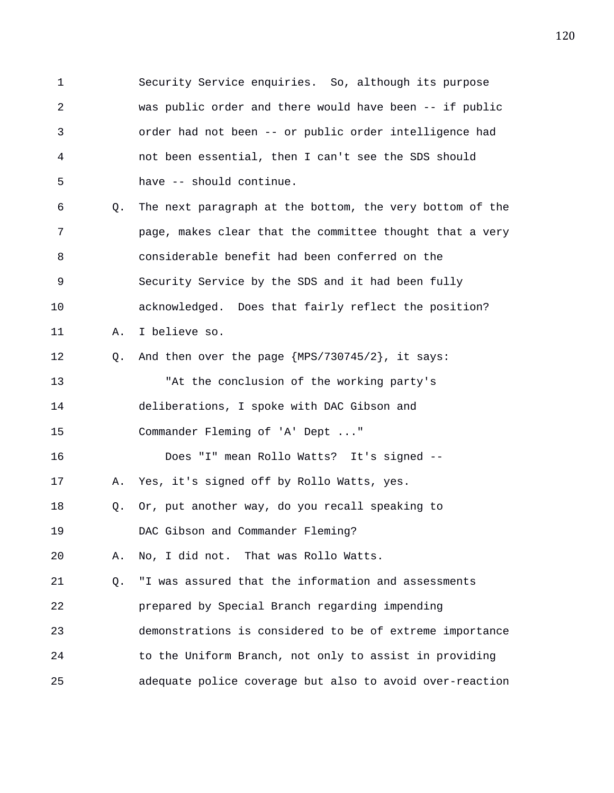1 Security Service enquiries. So, although its purpose 2 was public order and there would have been -- if public 3 order had not been -- or public order intelligence had 4 not been essential, then I can't see the SDS should 5 have -- should continue. 6 Q. The next paragraph at the bottom, the very bottom of the 7 page, makes clear that the committee thought that a very 8 considerable benefit had been conferred on the 9 Security Service by the SDS and it had been fully 10 acknowledged. Does that fairly reflect the position? 11 A. I believe so. 12 Q. And then over the page {MPS/730745/2}, it says: 13 "At the conclusion of the working party's 14 deliberations, I spoke with DAC Gibson and 15 Commander Fleming of 'A' Dept ..." 16 Does "I" mean Rollo Watts? It's signed -- 17 A. Yes, it's signed off by Rollo Watts, yes. 18 Q. Or, put another way, do you recall speaking to 19 DAC Gibson and Commander Fleming? 20 A. No, I did not. That was Rollo Watts. 21 Q. "I was assured that the information and assessments 22 prepared by Special Branch regarding impending 23 demonstrations is considered to be of extreme importance 24 to the Uniform Branch, not only to assist in providing 25 adequate police coverage but also to avoid over-reaction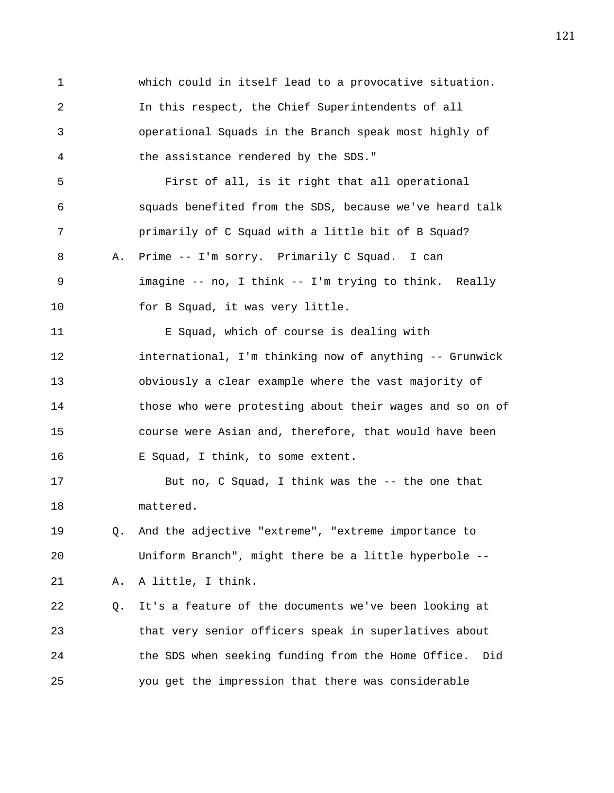1 which could in itself lead to a provocative situation. 2 In this respect, the Chief Superintendents of all 3 operational Squads in the Branch speak most highly of 4 the assistance rendered by the SDS." 5 First of all, is it right that all operational 6 squads benefited from the SDS, because we've heard talk 7 primarily of C Squad with a little bit of B Squad? 8 A. Prime -- I'm sorry. Primarily C Squad. I can 9 imagine -- no, I think -- I'm trying to think. Really 10 for B Squad, it was very little. 11 E Squad, which of course is dealing with 12 international, I'm thinking now of anything -- Grunwick 13 obviously a clear example where the vast majority of 14 those who were protesting about their wages and so on of 15 course were Asian and, therefore, that would have been 16 E Squad, I think, to some extent. 17 But no, C Squad, I think was the -- the one that 18 mattered. 19 Q. And the adjective "extreme", "extreme importance to 20 Uniform Branch", might there be a little hyperbole -- 21 A. A little, I think. 22 Q. It's a feature of the documents we've been looking at 23 that very senior officers speak in superlatives about 24 the SDS when seeking funding from the Home Office. Did 25 you get the impression that there was considerable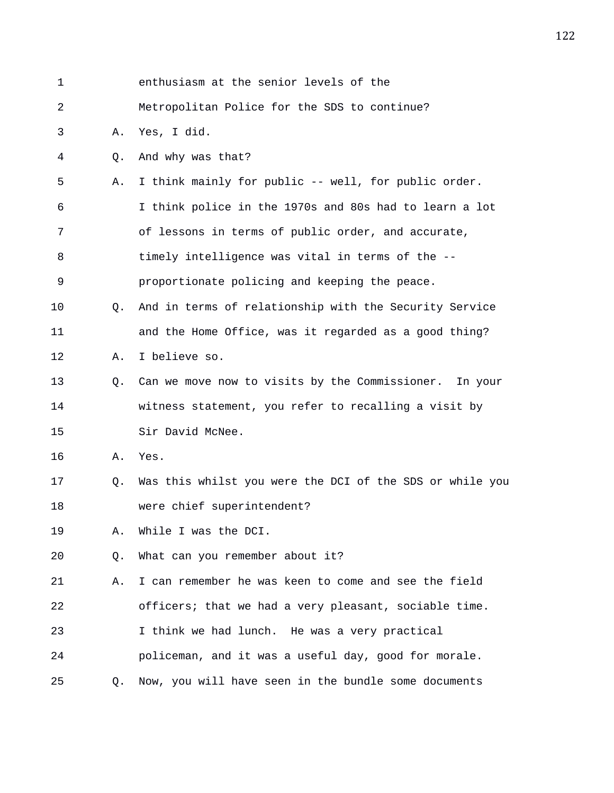| $\mathbf 1$ |                | enthusiasm at the senior levels of the                   |
|-------------|----------------|----------------------------------------------------------|
| 2           |                | Metropolitan Police for the SDS to continue?             |
| 3           | Α.             | Yes, I did.                                              |
| 4           | $\circ$ .      | And why was that?                                        |
| 5           | Α.             | I think mainly for public -- well, for public order.     |
| 6           |                | I think police in the 1970s and 80s had to learn a lot   |
| 7           |                | of lessons in terms of public order, and accurate,       |
| 8           |                | timely intelligence was vital in terms of the --         |
| 9           |                | proportionate policing and keeping the peace.            |
| 10          | O.             | And in terms of relationship with the Security Service   |
| 11          |                | and the Home Office, was it regarded as a good thing?    |
| 12          | Α.             | I believe so.                                            |
| 13          | Q.             | Can we move now to visits by the Commissioner. In your   |
| 14          |                | witness statement, you refer to recalling a visit by     |
| 15          |                | Sir David McNee.                                         |
| 16          | Α.             | Yes.                                                     |
| 17          | Q.             | Was this whilst you were the DCI of the SDS or while you |
| 18          |                | were chief superintendent?                               |
| 19          | Α.             | While I was the DCI.                                     |
| 20          | Q.             | What can you remember about it?                          |
| 21          | Α.             | I can remember he was keen to come and see the field     |
| 22          |                | officers; that we had a very pleasant, sociable time.    |
| 23          |                | I think we had lunch. He was a very practical            |
| 24          |                | policeman, and it was a useful day, good for morale.     |
| 25          | Q <sub>z</sub> | Now, you will have seen in the bundle some documents     |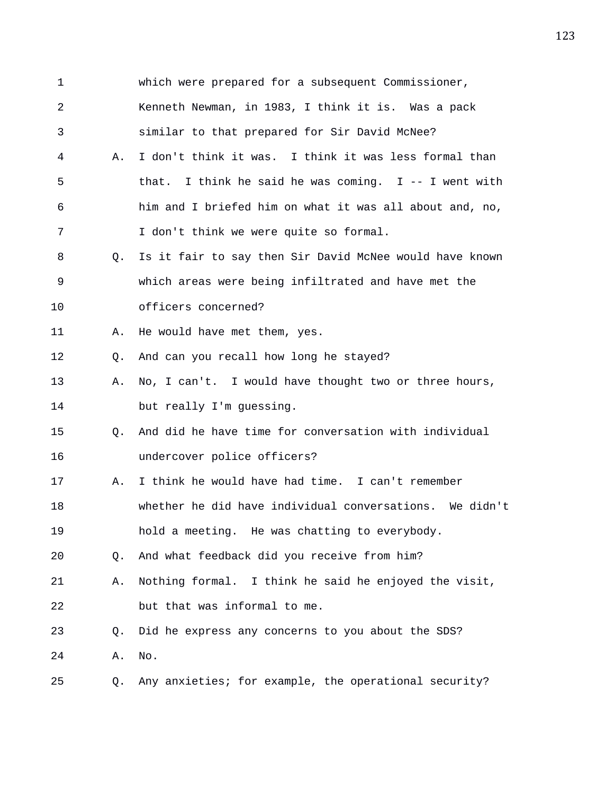| $\mathbf 1$ |                | which were prepared for a subsequent Commissioner,      |
|-------------|----------------|---------------------------------------------------------|
| 2           |                | Kenneth Newman, in 1983, I think it is. Was a pack      |
| 3           |                | similar to that prepared for Sir David McNee?           |
| 4           | Α.             | I don't think it was. I think it was less formal than   |
| 5           |                | that. I think he said he was coming. $I$ -- I went with |
| 6           |                | him and I briefed him on what it was all about and, no, |
| 7           |                | I don't think we were quite so formal.                  |
| 8           | Q.             | Is it fair to say then Sir David McNee would have known |
| 9           |                | which areas were being infiltrated and have met the     |
| 10          |                | officers concerned?                                     |
| 11          | Α.             | He would have met them, yes.                            |
| 12          | 0.             | And can you recall how long he stayed?                  |
| 13          | Α.             | No, I can't. I would have thought two or three hours,   |
| 14          |                | but really I'm guessing.                                |
| 15          | Q <sub>z</sub> | And did he have time for conversation with individual   |
| 16          |                | undercover police officers?                             |
| 17          | Α.             | I think he would have had time. I can't remember        |
| 18          |                | whether he did have individual conversations. We didn't |
| 19          |                | hold a meeting. He was chatting to everybody.           |
| 20          | Q.             | And what feedback did you receive from him?             |
| 21          | Α.             | Nothing formal. I think he said he enjoyed the visit,   |
| 22          |                | but that was informal to me.                            |
| 23          | Q.             | Did he express any concerns to you about the SDS?       |
| 24          | Α.             | No.                                                     |
| 25          | Q.             | Any anxieties; for example, the operational security?   |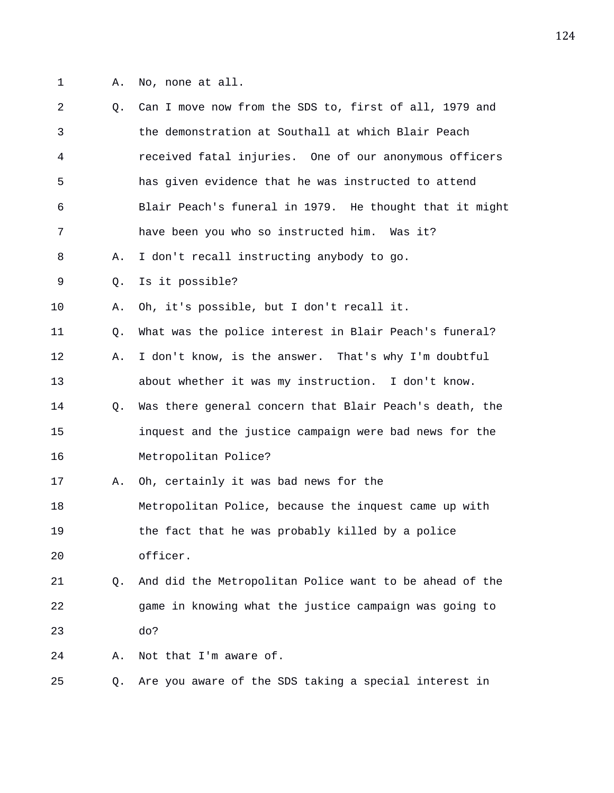- 
- 1 A. No, none at all.

| 2  | 0. | Can I move now from the SDS to, first of all, 1979 and  |
|----|----|---------------------------------------------------------|
| 3  |    | the demonstration at Southall at which Blair Peach      |
| 4  |    | received fatal injuries. One of our anonymous officers  |
| 5  |    | has given evidence that he was instructed to attend     |
| 6  |    | Blair Peach's funeral in 1979. He thought that it might |
| 7  |    | have been you who so instructed him. Was it?            |
| 8  | Α. | I don't recall instructing anybody to go.               |
| 9  | Q. | Is it possible?                                         |
| 10 | Α. | Oh, it's possible, but I don't recall it.               |
| 11 | Q. | What was the police interest in Blair Peach's funeral?  |
| 12 | Α. | I don't know, is the answer. That's why I'm doubtful    |
| 13 |    | about whether it was my instruction. I don't know.      |
| 14 | O. | Was there general concern that Blair Peach's death, the |
| 15 |    | inquest and the justice campaign were bad news for the  |
| 16 |    | Metropolitan Police?                                    |
| 17 | Α. | Oh, certainly it was bad news for the                   |
| 18 |    | Metropolitan Police, because the inquest came up with   |
| 19 |    | the fact that he was probably killed by a police        |
| 20 |    | officer.                                                |
| 21 | O. | And did the Metropolitan Police want to be ahead of the |
| 22 |    | game in knowing what the justice campaign was going to  |
| 23 |    | do?                                                     |
| 24 | Α. | Not that I'm aware of.                                  |
| 25 | Q. | Are you aware of the SDS taking a special interest in   |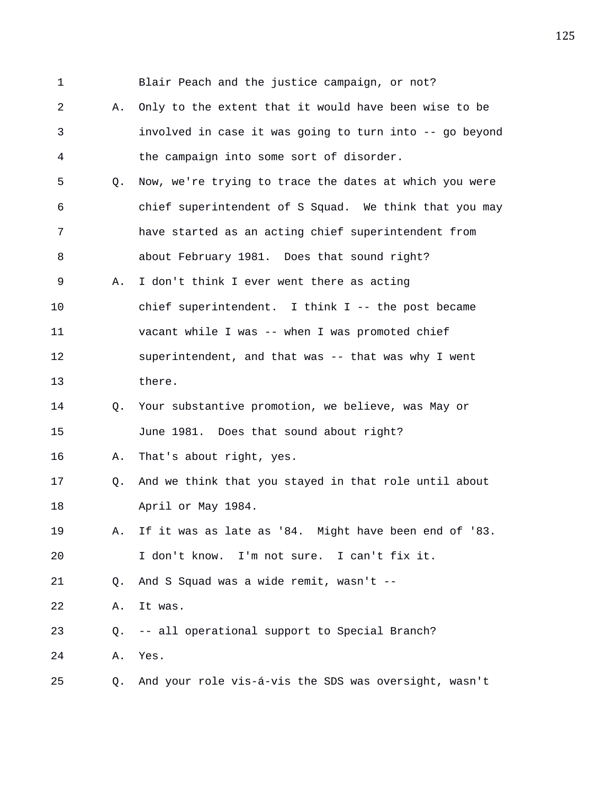1 Blair Peach and the justice campaign, or not? 2 A. Only to the extent that it would have been wise to be 3 involved in case it was going to turn into -- go beyond 4 the campaign into some sort of disorder. 5 Q. Now, we're trying to trace the dates at which you were 6 chief superintendent of S Squad. We think that you may 7 have started as an acting chief superintendent from 8 about February 1981. Does that sound right? 9 A. I don't think I ever went there as acting 10 chief superintendent. I think I -- the post became 11 vacant while I was -- when I was promoted chief 12 superintendent, and that was -- that was why I went 13 there. 14 Q. Your substantive promotion, we believe, was May or 15 June 1981. Does that sound about right? 16 A. That's about right, yes. 17 Q. And we think that you stayed in that role until about 18 April or May 1984. 19 A. If it was as late as '84. Might have been end of '83. 20 I don't know. I'm not sure. I can't fix it. 21 Q. And S Squad was a wide remit, wasn't -- 22 A. It was. 23 Q. -- all operational support to Special Branch? 24 A. Yes. 25 Q. And your role vis-á-vis the SDS was oversight, wasn't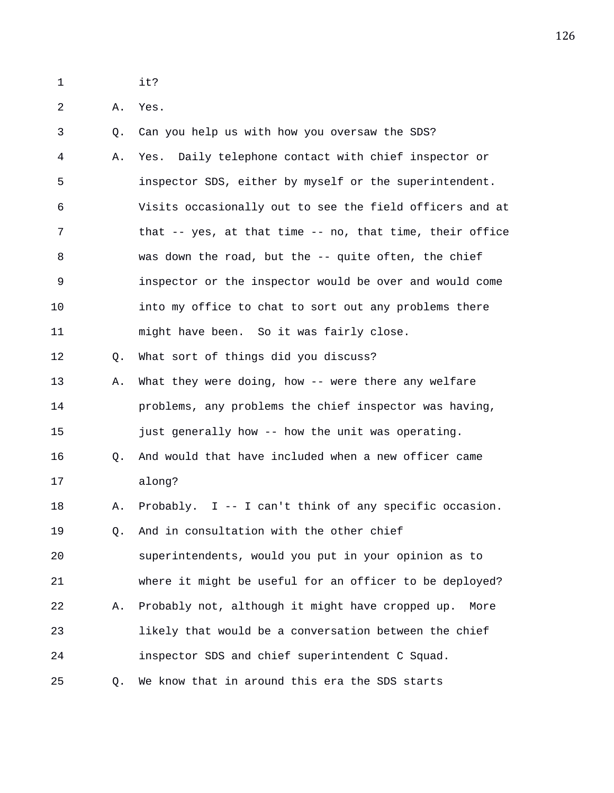- 1 it?
- 2 A. Yes.

3 Q. Can you help us with how you oversaw the SDS? 4 A. Yes. Daily telephone contact with chief inspector or 5 inspector SDS, either by myself or the superintendent. 6 Visits occasionally out to see the field officers and at 7 that -- yes, at that time -- no, that time, their office 8 was down the road, but the -- quite often, the chief 9 inspector or the inspector would be over and would come 10 into my office to chat to sort out any problems there 11 might have been. So it was fairly close. 12 Q. What sort of things did you discuss? 13 A. What they were doing, how -- were there any welfare 14 problems, any problems the chief inspector was having, 15 just generally how -- how the unit was operating. 16 Q. And would that have included when a new officer came 17 along? 18 A. Probably. I -- I can't think of any specific occasion. 19 0. And in consultation with the other chief 20 superintendents, would you put in your opinion as to 21 where it might be useful for an officer to be deployed? 22 A. Probably not, although it might have cropped up. More 23 likely that would be a conversation between the chief 24 inspector SDS and chief superintendent C Squad. 25 Q. We know that in around this era the SDS starts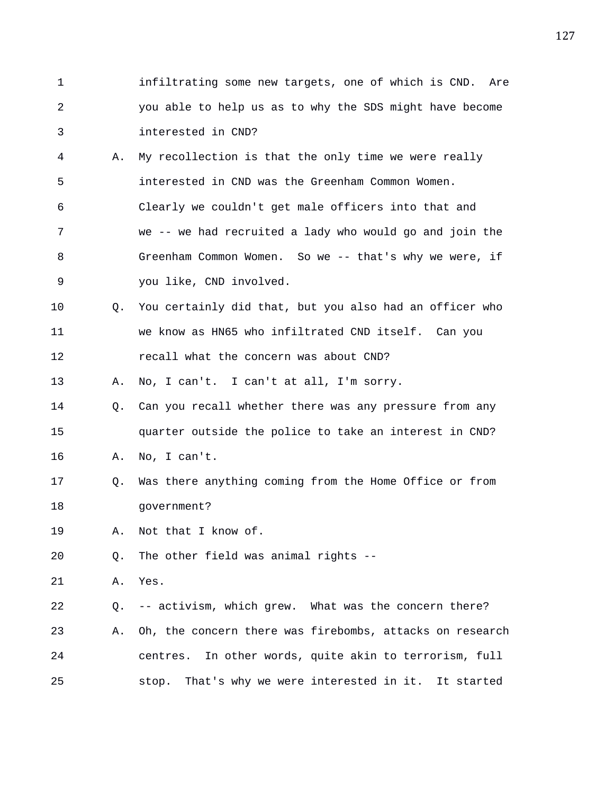- 1 infiltrating some new targets, one of which is CND. Are 2 you able to help us as to why the SDS might have become 3 interested in CND?
- 4 A. My recollection is that the only time we were really 5 interested in CND was the Greenham Common Women. 6 Clearly we couldn't get male officers into that and 7 we -- we had recruited a lady who would go and join the 8 Greenham Common Women. So we -- that's why we were, if 9 you like, CND involved.
- 10 Q. You certainly did that, but you also had an officer who 11 we know as HN65 who infiltrated CND itself. Can you 12 recall what the concern was about CND?

13 A. No, I can't. I can't at all, I'm sorry.

- 14 Q. Can you recall whether there was any pressure from any 15 quarter outside the police to take an interest in CND?
- 16 A. No, I can't.
- 17 Q. Was there anything coming from the Home Office or from 18 government?

19 A. Not that I know of.

20 Q. The other field was animal rights --

21 A. Yes.

22 Q. -- activism, which grew. What was the concern there? 23 A. Oh, the concern there was firebombs, attacks on research 24 centres. In other words, quite akin to terrorism, full 25 stop. That's why we were interested in it. It started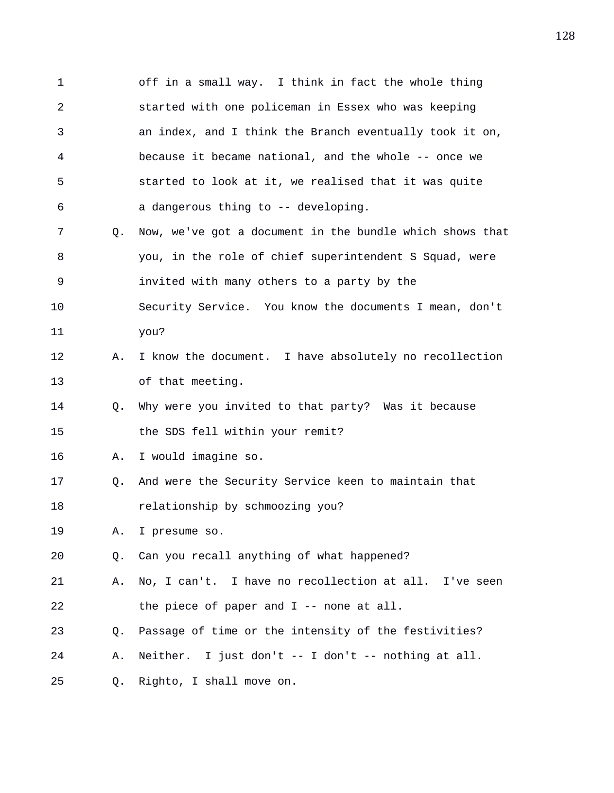1 off in a small way. I think in fact the whole thing 2 started with one policeman in Essex who was keeping 3 an index, and I think the Branch eventually took it on, 4 because it became national, and the whole -- once we 5 started to look at it, we realised that it was quite 6 a dangerous thing to -- developing. 7 Q. Now, we've got a document in the bundle which shows that 8 you, in the role of chief superintendent S Squad, were 9 invited with many others to a party by the 10 Security Service. You know the documents I mean, don't 11 you? 12 A. I know the document. I have absolutely no recollection 13 of that meeting. 14 Q. Why were you invited to that party? Was it because 15 the SDS fell within your remit? 16 A. I would imagine so. 17 Q. And were the Security Service keen to maintain that 18 relationship by schmoozing you? 19 A. I presume so. 20 Q. Can you recall anything of what happened? 21 A. No, I can't. I have no recollection at all. I've seen 22 the piece of paper and I -- none at all. 23 Q. Passage of time or the intensity of the festivities? 24 A. Neither. I just don't -- I don't -- nothing at all. 25 Q. Righto, I shall move on.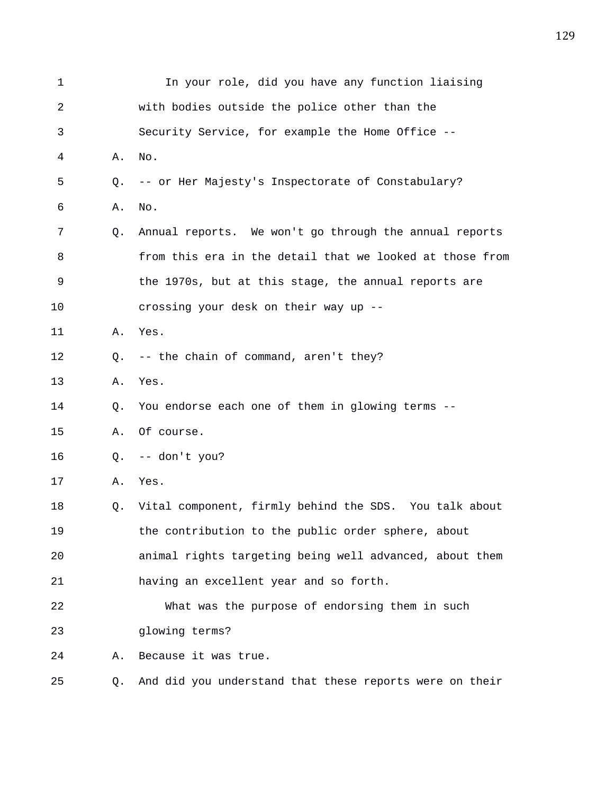| 1  |             | In your role, did you have any function liaising         |
|----|-------------|----------------------------------------------------------|
| 2  |             | with bodies outside the police other than the            |
| 3  |             | Security Service, for example the Home Office --         |
| 4  | Α.          | No.                                                      |
| 5  | Q.          | -- or Her Majesty's Inspectorate of Constabulary?        |
| 6  | Α.          | No.                                                      |
| 7  | Q.          | Annual reports. We won't go through the annual reports   |
| 8  |             | from this era in the detail that we looked at those from |
| 9  |             | the 1970s, but at this stage, the annual reports are     |
| 10 |             | crossing your desk on their way up --                    |
| 11 | Α.          | Yes.                                                     |
| 12 | $Q_{\star}$ | -- the chain of command, aren't they?                    |
| 13 | Α.          | Yes.                                                     |
| 14 | Q.          | You endorse each one of them in glowing terms --         |
| 15 | Α.          | Of course.                                               |
| 16 | O.          | -- don't you?                                            |
| 17 | Α.          | Yes.                                                     |
| 18 | Q.          | Vital component, firmly behind the SDS. You talk about   |
| 19 |             | the contribution to the public order sphere, about       |
| 20 |             | animal rights targeting being well advanced, about them  |
| 21 |             | having an excellent year and so forth.                   |
| 22 |             | What was the purpose of endorsing them in such           |
| 23 |             | glowing terms?                                           |
| 24 | Α.          | Because it was true.                                     |
| 25 | O.          | And did you understand that these reports were on their  |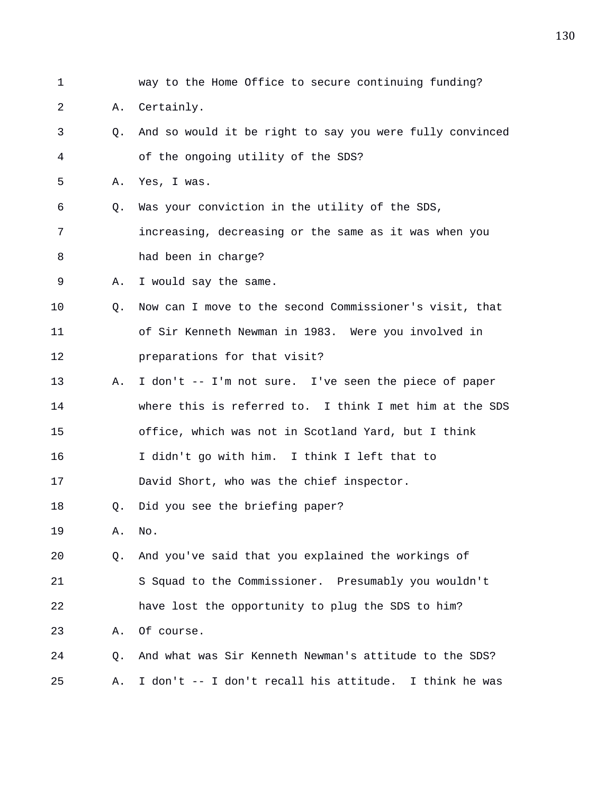1 way to the Home Office to secure continuing funding? 2 A. Certainly. 3 Q. And so would it be right to say you were fully convinced 4 of the ongoing utility of the SDS? 5 A. Yes, I was. 6 Q. Was your conviction in the utility of the SDS, 7 increasing, decreasing or the same as it was when you 8 had been in charge? 9 A. I would say the same. 10 Q. Now can I move to the second Commissioner's visit, that 11 of Sir Kenneth Newman in 1983. Were you involved in 12 preparations for that visit? 13 A. I don't -- I'm not sure. I've seen the piece of paper 14 where this is referred to. I think I met him at the SDS 15 office, which was not in Scotland Yard, but I think 16 I didn't go with him. I think I left that to 17 David Short, who was the chief inspector. 18 Q. Did you see the briefing paper? 19 A. No. 20 Q. And you've said that you explained the workings of 21 S Squad to the Commissioner. Presumably you wouldn't 22 have lost the opportunity to plug the SDS to him? 23 A. Of course. 24 Q. And what was Sir Kenneth Newman's attitude to the SDS? 25 A. I don't -- I don't recall his attitude. I think he was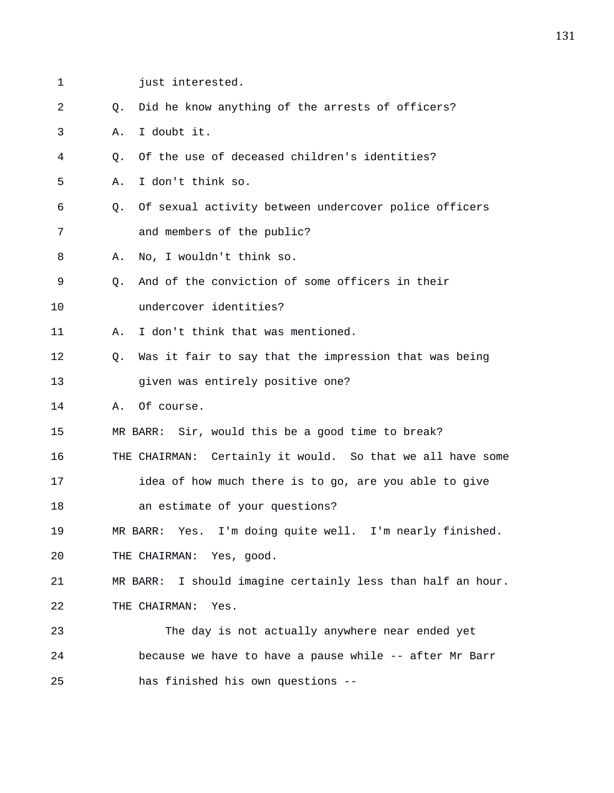- 
- 
- 1 **just** interested. 2 Q. Did he know anything of the arrests of officers? 3 A. I doubt it. 4 Q. Of the use of deceased children's identities? 5 A. I don't think so. 6 Q. Of sexual activity between undercover police officers 7 and members of the public? 8 A. No, I wouldn't think so. 9 Q. And of the conviction of some officers in their 10 undercover identities? 11 A. I don't think that was mentioned. 12 Q. Was it fair to say that the impression that was being 13 given was entirely positive one? 14 A. Of course. 15 MR BARR: Sir, would this be a good time to break? 16 THE CHAIRMAN: Certainly it would. So that we all have some 17 idea of how much there is to go, are you able to give 18 an estimate of your questions? 19 MR BARR: Yes. I'm doing quite well. I'm nearly finished. 20 THE CHAIRMAN: Yes, good. 21 MR BARR: I should imagine certainly less than half an hour. 22 THE CHAIRMAN: Yes. 23 The day is not actually anywhere near ended yet 24 because we have to have a pause while -- after Mr Barr 25 has finished his own questions --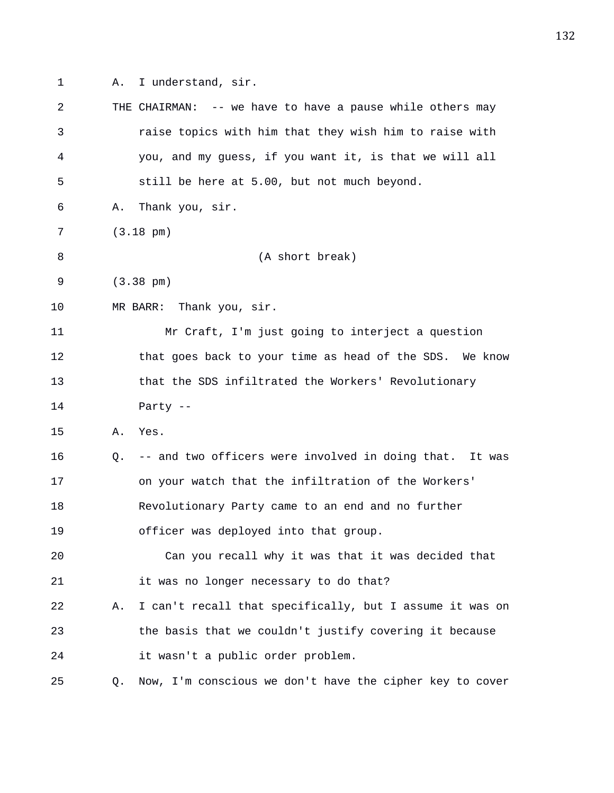1 A. I understand, sir.

| 2  |    | THE CHAIRMAN: -- we have to have a pause while others may  |
|----|----|------------------------------------------------------------|
| 3  |    | raise topics with him that they wish him to raise with     |
| 4  |    | you, and my guess, if you want it, is that we will all     |
| 5  |    | still be here at 5.00, but not much beyond.                |
| 6  | Α. | Thank you, sir.                                            |
| 7  |    | $(3.18 \text{ pm})$                                        |
| 8  |    | (A short break)                                            |
| 9  |    | $(3.38 \text{ pm})$                                        |
| 10 |    | MR BARR: Thank you, sir.                                   |
| 11 |    | Mr Craft, I'm just going to interject a question           |
| 12 |    | that goes back to your time as head of the SDS. We know    |
| 13 |    | that the SDS infiltrated the Workers' Revolutionary        |
| 14 |    | Party --                                                   |
| 15 | Α. | Yes.                                                       |
| 16 | Q. | -- and two officers were involved in doing that.<br>It was |
| 17 |    | on your watch that the infiltration of the Workers'        |
| 18 |    | Revolutionary Party came to an end and no further          |
| 19 |    | officer was deployed into that group.                      |
| 20 |    | Can you recall why it was that it was decided that         |
| 21 |    | it was no longer necessary to do that?                     |
| 22 | Α. | I can't recall that specifically, but I assume it was on   |
| 23 |    | the basis that we couldn't justify covering it because     |
| 24 |    | it wasn't a public order problem.                          |
| 25 | Q. | Now, I'm conscious we don't have the cipher key to cover   |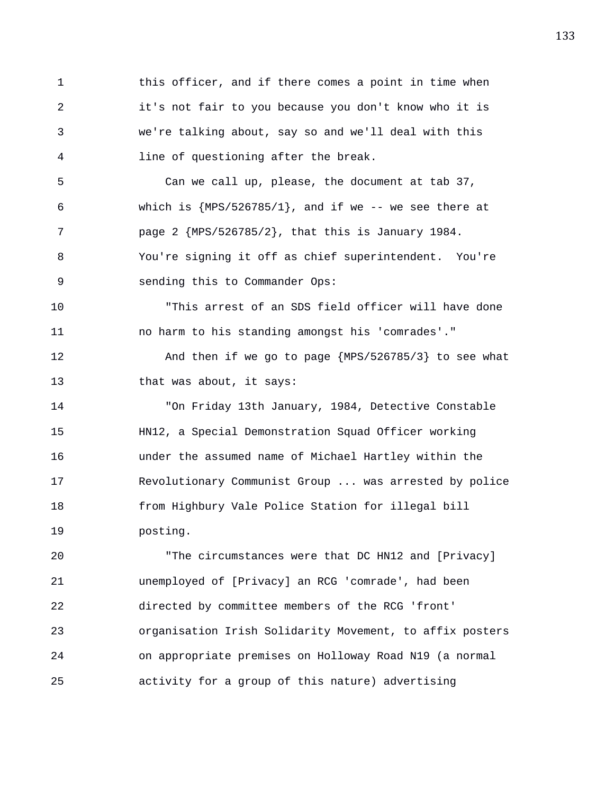1 this officer, and if there comes a point in time when 2 it's not fair to you because you don't know who it is 3 we're talking about, say so and we'll deal with this 4 line of questioning after the break. 5 Can we call up, please, the document at tab 37, 6 which is  ${MPS/526785/1}$ , and if we -- we see there at 7 page 2 {MPS/526785/2}, that this is January 1984. 8 You're signing it off as chief superintendent. You're 9 sending this to Commander Ops: 10 "This arrest of an SDS field officer will have done 11 no harm to his standing amongst his 'comrades'." 12 And then if we go to page {MPS/526785/3} to see what 13 that was about, it says: 14 "On Friday 13th January, 1984, Detective Constable 15 HN12, a Special Demonstration Squad Officer working 16 under the assumed name of Michael Hartley within the 17 Revolutionary Communist Group ... was arrested by police 18 from Highbury Vale Police Station for illegal bill 19 posting. 20 "The circumstances were that DC HN12 and [Privacy] 21 unemployed of [Privacy] an RCG 'comrade', had been 22 directed by committee members of the RCG 'front' 23 organisation Irish Solidarity Movement, to affix posters

24 on appropriate premises on Holloway Road N19 (a normal

25 activity for a group of this nature) advertising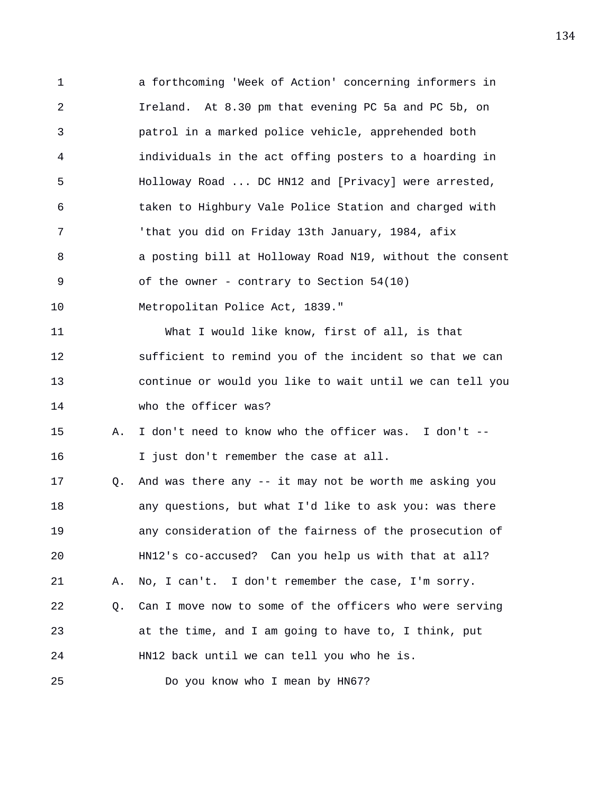1 a forthcoming 'Week of Action' concerning informers in 2 Ireland. At 8.30 pm that evening PC 5a and PC 5b, on 3 patrol in a marked police vehicle, apprehended both 4 individuals in the act offing posters to a hoarding in 5 Holloway Road ... DC HN12 and [Privacy] were arrested, 6 taken to Highbury Vale Police Station and charged with 7 'that you did on Friday 13th January, 1984, afix 8 a posting bill at Holloway Road N19, without the consent 9 of the owner - contrary to Section 54(10) 10 Metropolitan Police Act, 1839." 11 What I would like know, first of all, is that 12 sufficient to remind you of the incident so that we can 13 continue or would you like to wait until we can tell you 14 who the officer was? 15 A. I don't need to know who the officer was. I don't -- 16 I just don't remember the case at all. 17 Q. And was there any -- it may not be worth me asking you 18 any questions, but what I'd like to ask you: was there 19 any consideration of the fairness of the prosecution of 20 HN12's co-accused? Can you help us with that at all? 21 A. No, I can't. I don't remember the case, I'm sorry. 22 Q. Can I move now to some of the officers who were serving 23 at the time, and I am going to have to, I think, put 24 HN12 back until we can tell you who he is. 25 Do you know who I mean by HN67?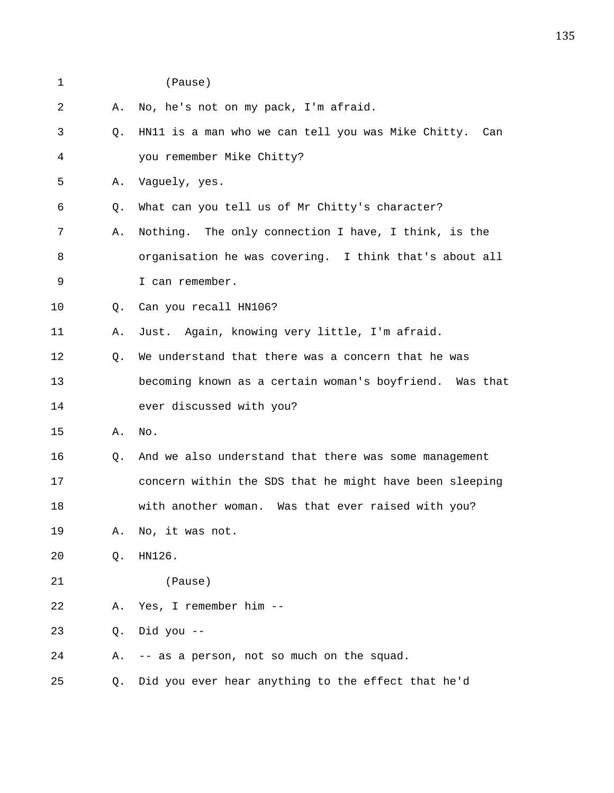1 (Pause)

| 2  | Α.        | No, he's not on my pack, I'm afraid.                    |
|----|-----------|---------------------------------------------------------|
| 3  | Q.        | HN11 is a man who we can tell you was Mike Chitty. Can  |
| 4  |           | you remember Mike Chitty?                               |
| 5  | Α.        | Vaguely, yes.                                           |
| 6  | Q.        | What can you tell us of Mr Chitty's character?          |
| 7  | Α.        | Nothing. The only connection I have, I think, is the    |
| 8  |           | organisation he was covering. I think that's about all  |
| 9  |           | I can remember.                                         |
| 10 | О.        | Can you recall HN106?                                   |
| 11 | Α.        | Just. Again, knowing very little, I'm afraid.           |
| 12 | $\circ$ . | We understand that there was a concern that he was      |
| 13 |           | becoming known as a certain woman's boyfriend. Was that |
| 14 |           | ever discussed with you?                                |
| 15 | Α.        | No.                                                     |
| 16 | Q.        | And we also understand that there was some management   |
| 17 |           | concern within the SDS that he might have been sleeping |
| 18 |           | with another woman. Was that ever raised with you?      |
| 19 | Α.        | No, it was not.                                         |
| 20 | Q.        | HN126.                                                  |
| 21 |           | (Pause)                                                 |
| 22 | Α.        | Yes, I remember him --                                  |
| 23 | Q.        | Did you --                                              |
| 24 | Α.        | -- as a person, not so much on the squad.               |

25 Q. Did you ever hear anything to the effect that he'd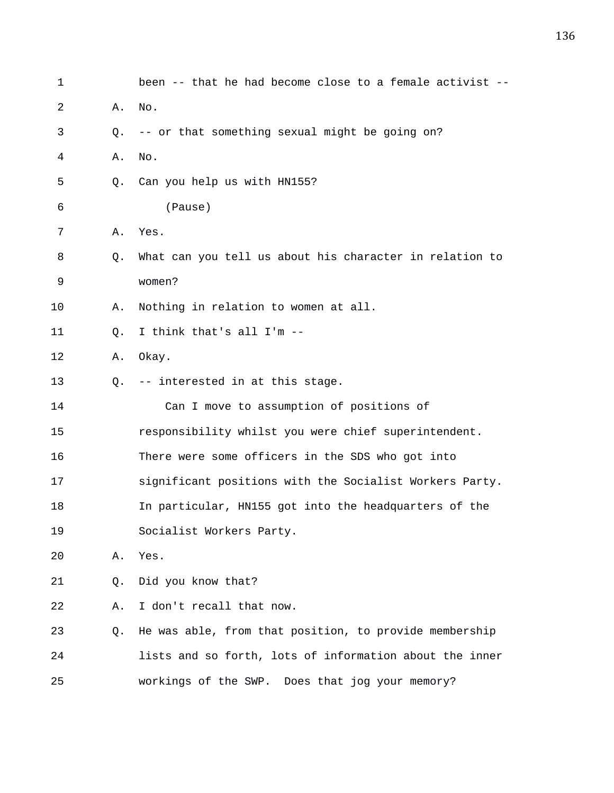| $\mathbf 1$ |           | been -- that he had become close to a female activist -- |
|-------------|-----------|----------------------------------------------------------|
| 2           | Α.        | No.                                                      |
| 3           | Q.        | -- or that something sexual might be going on?           |
| 4           | Α.        | No.                                                      |
| 5           | 0.        | Can you help us with HN155?                              |
| 6           |           | (Pause)                                                  |
| 7           | Α.        | Yes.                                                     |
| 8           | Q.        | What can you tell us about his character in relation to  |
| 9           |           | women?                                                   |
| 10          | Α.        | Nothing in relation to women at all.                     |
| 11          | Q.        | I think that's all I'm --                                |
| 12          | Α.        | Okay.                                                    |
| 13          | $\circ$ . | -- interested in at this stage.                          |
| 14          |           | Can I move to assumption of positions of                 |
| 15          |           | responsibility whilst you were chief superintendent.     |
| 16          |           | There were some officers in the SDS who got into         |
| 17          |           | significant positions with the Socialist Workers Party.  |
| 18          |           | In particular, HN155 got into the headquarters of the    |
| 19          |           | Socialist Workers Party.                                 |
| 20          | Α.        | Yes.                                                     |
| 21          | Q.        | Did you know that?                                       |
| 22          | Α.        | I don't recall that now.                                 |
| 23          | Q.        | He was able, from that position, to provide membership   |
| 24          |           | lists and so forth, lots of information about the inner  |
| 25          |           | workings of the SWP. Does that jog your memory?          |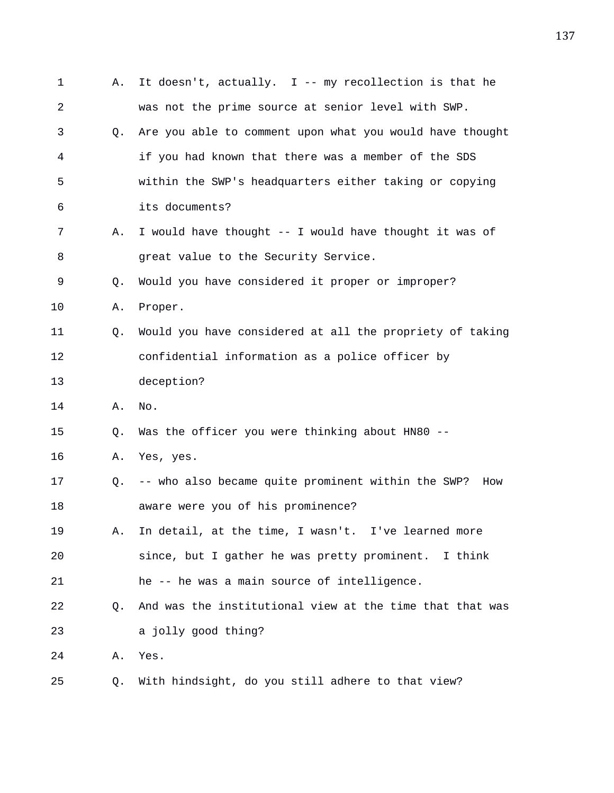| 1  | Α. | It doesn't, actually. I -- my recollection is that he     |
|----|----|-----------------------------------------------------------|
| 2  |    | was not the prime source at senior level with SWP.        |
| 3  | 0. | Are you able to comment upon what you would have thought  |
| 4  |    | if you had known that there was a member of the SDS       |
| 5  |    | within the SWP's headquarters either taking or copying    |
| 6  |    | its documents?                                            |
| 7  | Α. | I would have thought -- I would have thought it was of    |
| 8  |    | great value to the Security Service.                      |
| 9  | Q. | Would you have considered it proper or improper?          |
| 10 | Α. | Proper.                                                   |
| 11 | Q. | Would you have considered at all the propriety of taking  |
| 12 |    | confidential information as a police officer by           |
| 13 |    | deception?                                                |
| 14 | Α. | No.                                                       |
| 15 | Q. | Was the officer you were thinking about HN80 --           |
| 16 | Α. | Yes, yes.                                                 |
| 17 | Q. | -- who also became quite prominent within the SWP?<br>How |
| 18 |    | aware were you of his prominence?                         |
| 19 | Α. | In detail, at the time, I wasn't. I've learned more       |
| 20 |    | since, but I gather he was pretty prominent. I think      |
| 21 |    | he -- he was a main source of intelligence.               |
| 22 | Q. | And was the institutional view at the time that that was  |
| 23 |    | a jolly good thing?                                       |
| 24 | Α. | Yes.                                                      |
| 25 | Q. | With hindsight, do you still adhere to that view?         |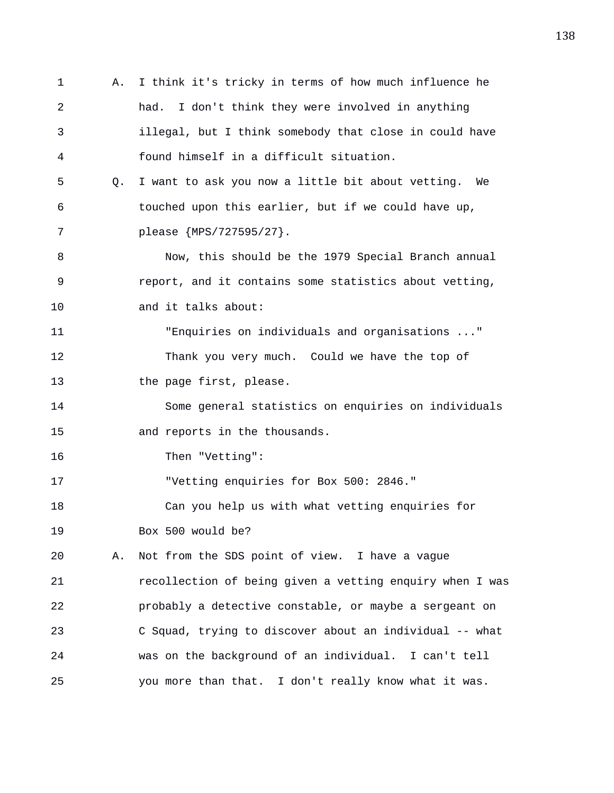1 A. I think it's tricky in terms of how much influence he 2 had. I don't think they were involved in anything 3 illegal, but I think somebody that close in could have 4 found himself in a difficult situation. 5 Q. I want to ask you now a little bit about vetting. We 6 touched upon this earlier, but if we could have up, 7 please {MPS/727595/27}. 8 Now, this should be the 1979 Special Branch annual 9 report, and it contains some statistics about vetting, 10 and it talks about: 11 "Enquiries on individuals and organisations ..." 12 Thank you very much. Could we have the top of 13 the page first, please. 14 Some general statistics on enquiries on individuals 15 and reports in the thousands. 16 Then "Vetting": 17 "Vetting enquiries for Box 500: 2846." 18 Can you help us with what vetting enquiries for 19 Box 500 would be? 20 A. Not from the SDS point of view. I have a vague 21 recollection of being given a vetting enquiry when I was 22 probably a detective constable, or maybe a sergeant on 23 C Squad, trying to discover about an individual -- what 24 was on the background of an individual. I can't tell 25 you more than that. I don't really know what it was.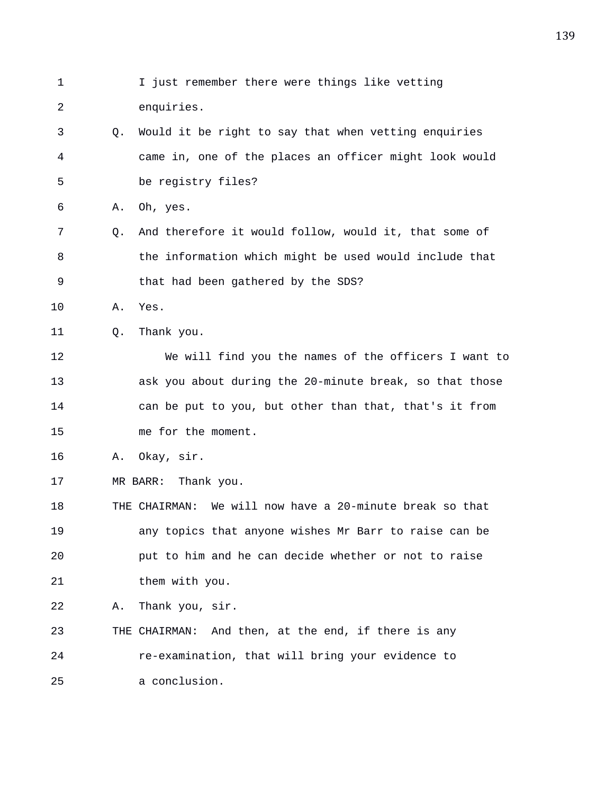1 I just remember there were things like vetting 2 enquiries. 3 Q. Would it be right to say that when vetting enquiries 4 came in, one of the places an officer might look would 5 be registry files? 6 A. Oh, yes. 7 Q. And therefore it would follow, would it, that some of 8 the information which might be used would include that 9 that had been gathered by the SDS? 10 A. Yes. 11 0. Thank you. 12 We will find you the names of the officers I want to 13 ask you about during the 20-minute break, so that those 14 can be put to you, but other than that, that's it from 15 me for the moment. 16 A. Okay, sir. 17 MR BARR: Thank you. 18 THE CHAIRMAN: We will now have a 20-minute break so that 19 any topics that anyone wishes Mr Barr to raise can be 20 put to him and he can decide whether or not to raise 21 them with you. 22 A. Thank you, sir. 23 THE CHAIRMAN: And then, at the end, if there is any 24 re-examination, that will bring your evidence to 25 a conclusion.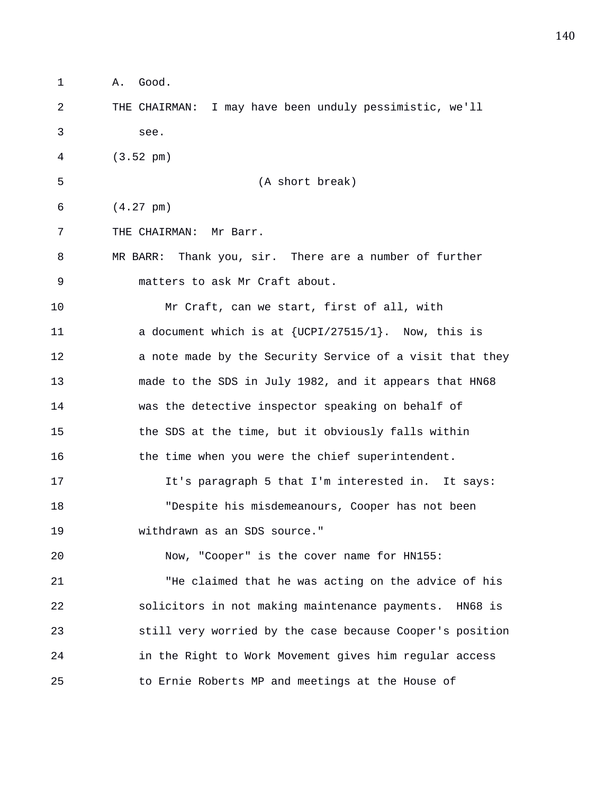1 A. Good. 2 THE CHAIRMAN: I may have been unduly pessimistic, we'll 3 see. 4 (3.52 pm) 5 (A short break) 6 (4.27 pm) 7 THE CHAIRMAN: Mr Barr. 8 MR BARR: Thank you, sir. There are a number of further 9 matters to ask Mr Craft about. 10 Mr Craft, can we start, first of all, with 11 a document which is at {UCPI/27515/1}. Now, this is 12 **a** note made by the Security Service of a visit that they 13 made to the SDS in July 1982, and it appears that HN68 14 was the detective inspector speaking on behalf of 15 the SDS at the time, but it obviously falls within 16 the time when you were the chief superintendent. 17 It's paragraph 5 that I'm interested in. It says: 18 "Despite his misdemeanours, Cooper has not been 19 withdrawn as an SDS source." 20 Now, "Cooper" is the cover name for HN155: 21 "He claimed that he was acting on the advice of his 22 solicitors in not making maintenance payments. HN68 is 23 still very worried by the case because Cooper's position 24 in the Right to Work Movement gives him regular access 25 to Ernie Roberts MP and meetings at the House of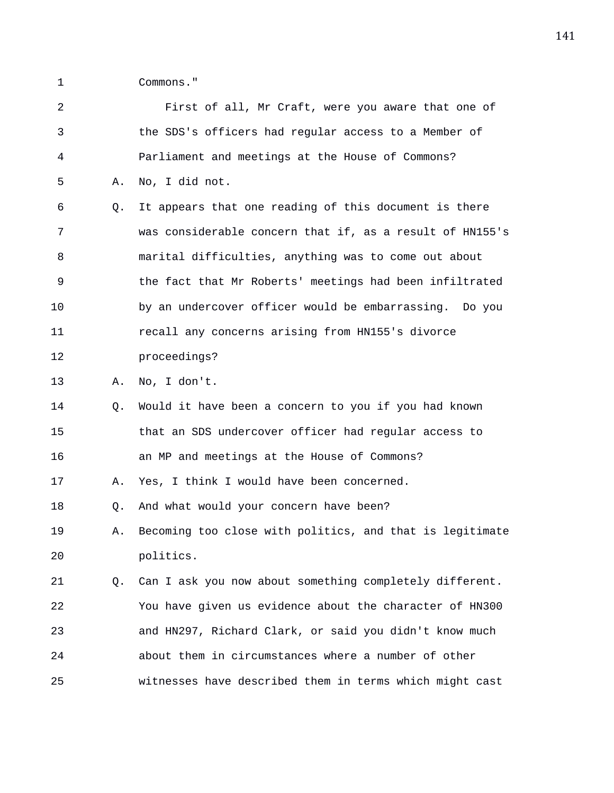1 Commons."

| 2  |    | First of all, Mr Craft, were you aware that one of       |
|----|----|----------------------------------------------------------|
| 3  |    | the SDS's officers had regular access to a Member of     |
| 4  |    | Parliament and meetings at the House of Commons?         |
| 5  | Α. | No, I did not.                                           |
| 6  | О. | It appears that one reading of this document is there    |
| 7  |    | was considerable concern that if, as a result of HN155's |
| 8  |    | marital difficulties, anything was to come out about     |
| 9  |    | the fact that Mr Roberts' meetings had been infiltrated  |
| 10 |    | by an undercover officer would be embarrassing. Do you   |
| 11 |    | recall any concerns arising from HN155's divorce         |
| 12 |    | proceedings?                                             |
| 13 | Α. | No, I don't.                                             |
| 14 | Q. | Would it have been a concern to you if you had known     |
| 15 |    | that an SDS undercover officer had regular access to     |
| 16 |    | an MP and meetings at the House of Commons?              |
| 17 | Α. | Yes, I think I would have been concerned.                |
| 18 | Q. | And what would your concern have been?                   |
| 19 | Α. | Becoming too close with politics, and that is legitimate |
| 20 |    | politics.                                                |
| 21 | Q. | Can I ask you now about something completely different.  |
| 22 |    | You have given us evidence about the character of HN300  |
| 23 |    | and HN297, Richard Clark, or said you didn't know much   |
| 24 |    | about them in circumstances where a number of other      |
| 25 |    | witnesses have described them in terms which might cast  |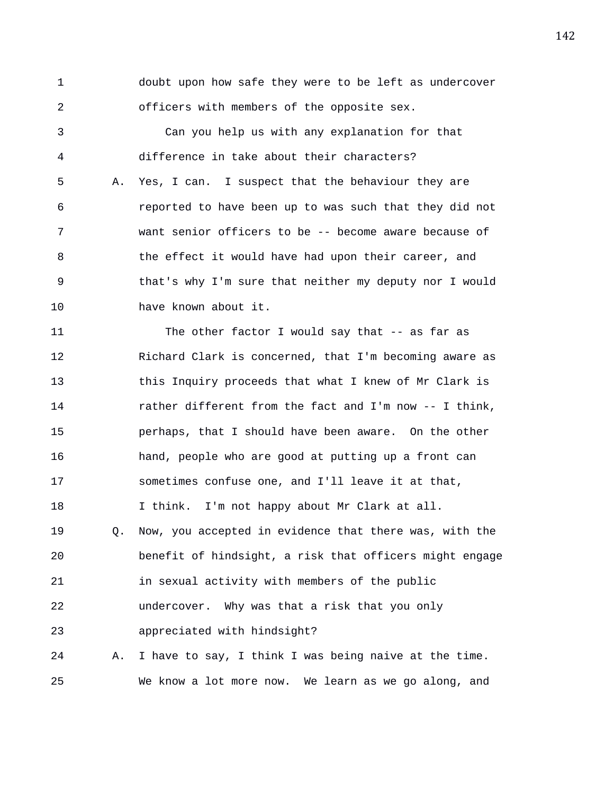1 doubt upon how safe they were to be left as undercover 2 officers with members of the opposite sex. 3 Can you help us with any explanation for that 4 difference in take about their characters? 5 A. Yes, I can. I suspect that the behaviour they are 6 reported to have been up to was such that they did not 7 want senior officers to be -- become aware because of

8 the effect it would have had upon their career, and 9 that's why I'm sure that neither my deputy nor I would 10 have known about it.

11 The other factor I would say that -- as far as 12 Richard Clark is concerned, that I'm becoming aware as 13 this Inquiry proceeds that what I knew of Mr Clark is 14 rather different from the fact and I'm now -- I think, 15 perhaps, that I should have been aware. On the other 16 hand, people who are good at putting up a front can 17 sometimes confuse one, and I'll leave it at that, 18 I think. I'm not happy about Mr Clark at all. 19 Q. Now, you accepted in evidence that there was, with the 20 benefit of hindsight, a risk that officers might engage 21 in sexual activity with members of the public 22 undercover. Why was that a risk that you only 23 appreciated with hindsight? 24 A. I have to say, I think I was being naive at the time.

25 We know a lot more now. We learn as we go along, and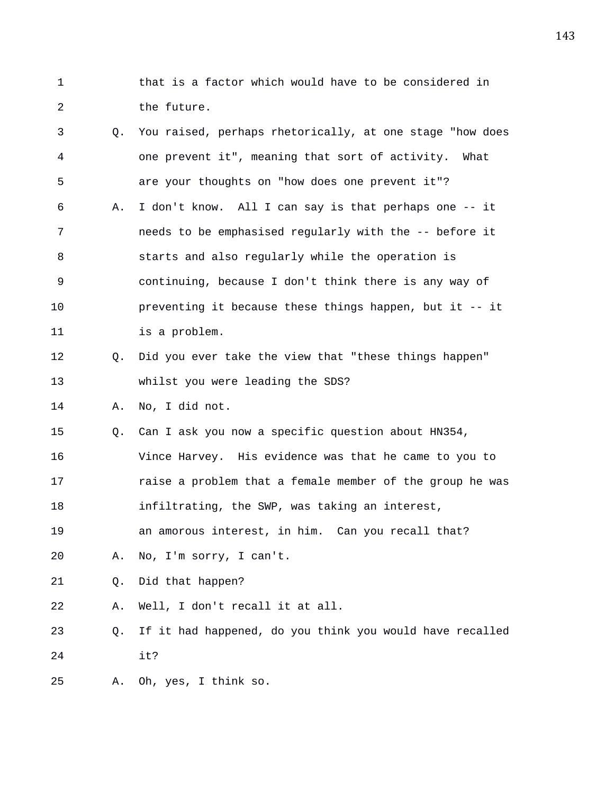1 that is a factor which would have to be considered in 2 the future.

| 3  | Q. | You raised, perhaps rhetorically, at one stage "how does |
|----|----|----------------------------------------------------------|
| 4  |    | one prevent it", meaning that sort of activity. What     |
| 5  |    | are your thoughts on "how does one prevent it"?          |
| 6  | Α. | I don't know. All I can say is that perhaps one -- it    |
| 7  |    | needs to be emphasised regularly with the -- before it   |
| 8  |    | starts and also regularly while the operation is         |
| 9  |    | continuing, because I don't think there is any way of    |
| 10 |    | preventing it because these things happen, but it -- it  |
| 11 |    | is a problem.                                            |
| 12 | Q. | Did you ever take the view that "these things happen"    |
| 13 |    | whilst you were leading the SDS?                         |
| 14 | Α. | No, I did not.                                           |
| 15 | Q. | Can I ask you now a specific question about HN354,       |
| 16 |    | Vince Harvey. His evidence was that he came to you to    |
| 17 |    | raise a problem that a female member of the group he was |
| 18 |    | infiltrating, the SWP, was taking an interest,           |
| 19 |    | an amorous interest, in him. Can you recall that?        |
| 20 | Α. | No, I'm sorry, I can't.                                  |
| 21 | Q. | Did that happen?                                         |
| 22 | Α. | Well, I don't recall it at all.                          |
| 23 | Q. | If it had happened, do you think you would have recalled |
| 24 |    | it?                                                      |
| 25 | Α. | Oh, yes, I think so.                                     |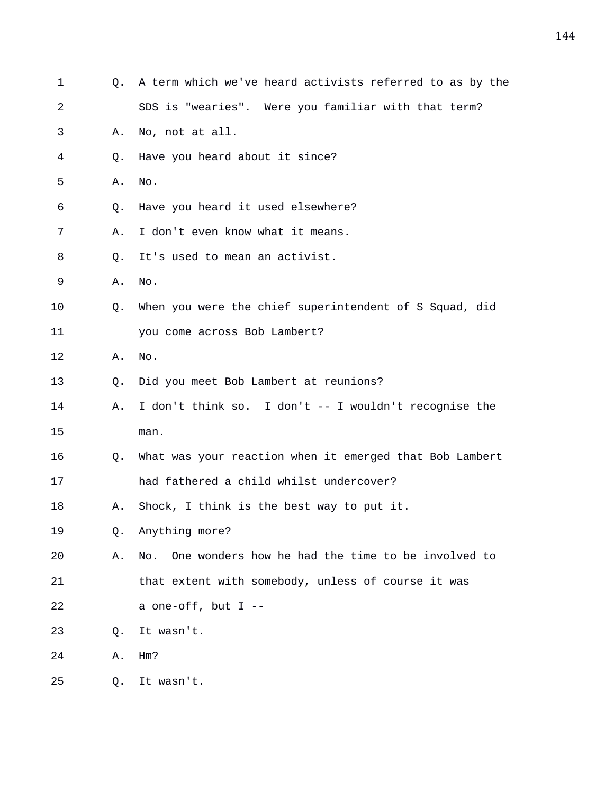| 1  | Q.          | A term which we've heard activists referred to as by the |
|----|-------------|----------------------------------------------------------|
| 2  |             | SDS is "wearies". Were you familiar with that term?      |
| 3  | Α.          | No, not at all.                                          |
| 4  | Q.          | Have you heard about it since?                           |
| 5  | Α.          | No.                                                      |
| 6  | O.          | Have you heard it used elsewhere?                        |
| 7  | Α.          | I don't even know what it means.                         |
| 8  | Q.          | It's used to mean an activist.                           |
| 9  | Α.          | No.                                                      |
| 10 | Q.          | When you were the chief superintendent of S Squad, did   |
| 11 |             | you come across Bob Lambert?                             |
| 12 | Α.          | No.                                                      |
| 13 | $Q_{\star}$ | Did you meet Bob Lambert at reunions?                    |
| 14 | Α.          | I don't think so. I don't -- I wouldn't recognise the    |
| 15 |             | man.                                                     |
| 16 | Q.          | What was your reaction when it emerged that Bob Lambert  |
| 17 |             | had fathered a child whilst undercover?                  |
| 18 | Α.          | Shock, I think is the best way to put it.                |
| 19 | Q.          | Anything more?                                           |
| 20 | Α.          | One wonders how he had the time to be involved to<br>No. |
| 21 |             | that extent with somebody, unless of course it was       |
| 22 |             | a one-off, but I --                                      |
| 23 | Q.          | It wasn't.                                               |
| 24 | Α.          | Hm?                                                      |
| 25 | Q.          | It wasn't.                                               |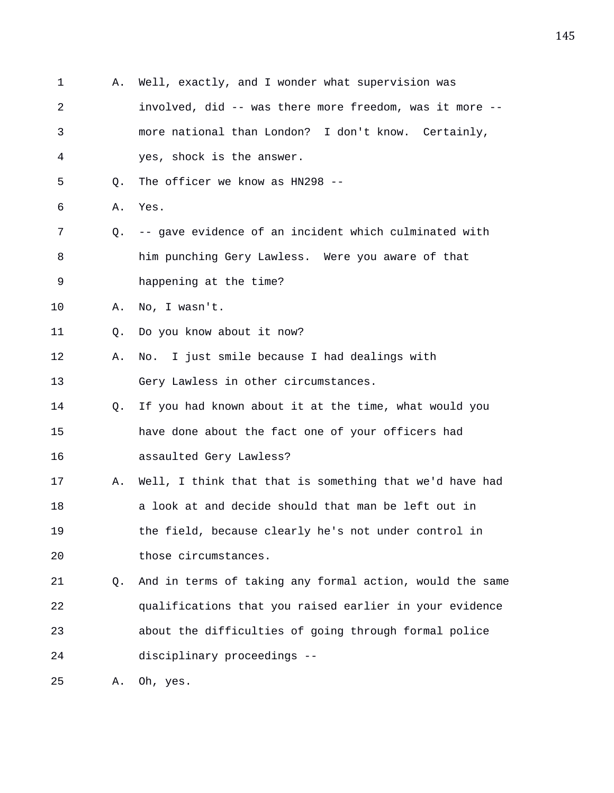1 A. Well, exactly, and I wonder what supervision was 2 involved, did -- was there more freedom, was it more -- 3 more national than London? I don't know. Certainly, 4 yes, shock is the answer. 5 Q. The officer we know as HN298 -- 6 A. Yes. 7 Q. -- gave evidence of an incident which culminated with 8 him punching Gery Lawless. Were you aware of that 9 happening at the time? 10 A. No, I wasn't. 11 Q. Do you know about it now? 12 A. No. I just smile because I had dealings with 13 Gery Lawless in other circumstances. 14 Q. If you had known about it at the time, what would you 15 have done about the fact one of your officers had 16 assaulted Gery Lawless? 17 A. Well, I think that that is something that we'd have had 18 a look at and decide should that man be left out in 19 the field, because clearly he's not under control in 20 those circumstances. 21 Q. And in terms of taking any formal action, would the same 22 qualifications that you raised earlier in your evidence 23 about the difficulties of going through formal police 24 disciplinary proceedings -- 25 A. Oh, yes.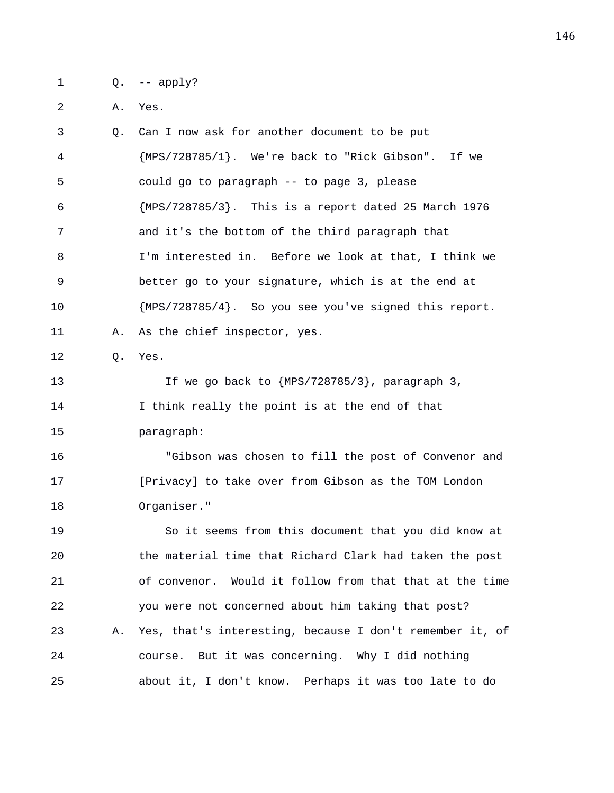1 Q. -- apply?

2 A. Yes.

3 Q. Can I now ask for another document to be put 4 {MPS/728785/1}. We're back to "Rick Gibson". If we 5 could go to paragraph -- to page 3, please 6 {MPS/728785/3}. This is a report dated 25 March 1976 7 and it's the bottom of the third paragraph that 8 I'm interested in. Before we look at that, I think we 9 better go to your signature, which is at the end at 10 {MPS/728785/4}. So you see you've signed this report. 11 A. As the chief inspector, yes. 12 Q. Yes. 13 If we go back to {MPS/728785/3}, paragraph 3, 14 I think really the point is at the end of that 15 paragraph: 16 "Gibson was chosen to fill the post of Convenor and 17 [Privacy] to take over from Gibson as the TOM London 18 Organiser." 19 So it seems from this document that you did know at 20 the material time that Richard Clark had taken the post 21 of convenor. Would it follow from that that at the time 22 you were not concerned about him taking that post? 23 A. Yes, that's interesting, because I don't remember it, of 24 course. But it was concerning. Why I did nothing 25 about it, I don't know. Perhaps it was too late to do

146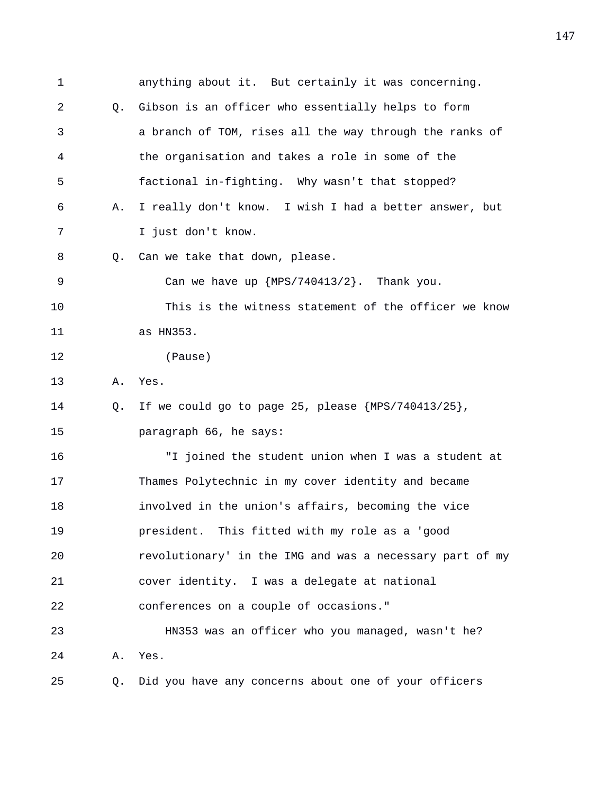1 anything about it. But certainly it was concerning. 2 Q. Gibson is an officer who essentially helps to form 3 a branch of TOM, rises all the way through the ranks of 4 the organisation and takes a role in some of the 5 factional in-fighting. Why wasn't that stopped? 6 A. I really don't know. I wish I had a better answer, but 7 I just don't know. 8 Q. Can we take that down, please. 9 Can we have up {MPS/740413/2}. Thank you. 10 This is the witness statement of the officer we know 11 as HN353. 12 (Pause) 13 A. Yes. 14 Q. If we could go to page 25, please {MPS/740413/25}, 15 paragraph 66, he says: 16 "I joined the student union when I was a student at 17 Thames Polytechnic in my cover identity and became 18 involved in the union's affairs, becoming the vice 19 president. This fitted with my role as a 'good 20 revolutionary' in the IMG and was a necessary part of my 21 cover identity. I was a delegate at national 22 conferences on a couple of occasions." 23 HN353 was an officer who you managed, wasn't he? 24 A. Yes. 25 Q. Did you have any concerns about one of your officers

147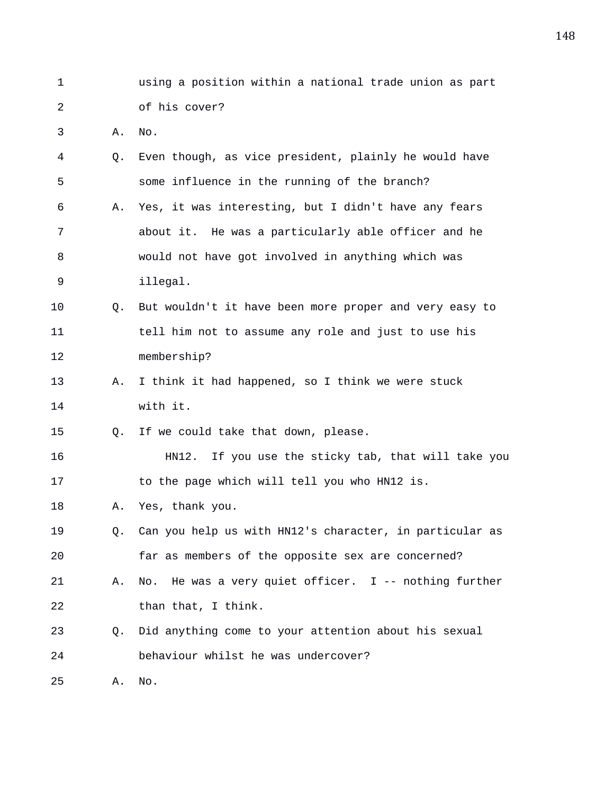- 1 using a position within a national trade union as part 2 of his cover?
- 3 A. No.

| 4  | О.        | Even though, as vice president, plainly he would have   |
|----|-----------|---------------------------------------------------------|
| 5  |           | some influence in the running of the branch?            |
| 6  | Α.        | Yes, it was interesting, but I didn't have any fears    |
| 7  |           | about it. He was a particularly able officer and he     |
| 8  |           | would not have got involved in anything which was       |
| 9  |           | illegal.                                                |
| 10 | O.        | But wouldn't it have been more proper and very easy to  |
| 11 |           | tell him not to assume any role and just to use his     |
| 12 |           | membership?                                             |
| 13 | Α.        | I think it had happened, so I think we were stuck       |
| 14 |           | with it.                                                |
| 15 | Q.        | If we could take that down, please.                     |
| 16 |           | HN12. If you use the sticky tab, that will take you     |
| 17 |           | to the page which will tell you who HN12 is.            |
| 18 | Α.        | Yes, thank you.                                         |
| 19 | $\circ$ . | Can you help us with HN12's character, in particular as |
| 20 |           | far as members of the opposite sex are concerned?       |
| 21 | Α.        | No. He was a very quiet officer. $I$ -- nothing further |
| 22 |           | than that, I think.                                     |
| 23 | Q.        | Did anything come to your attention about his sexual    |
| 24 |           | behaviour whilst he was undercover?                     |
| 25 | Α.        | No.                                                     |
|    |           |                                                         |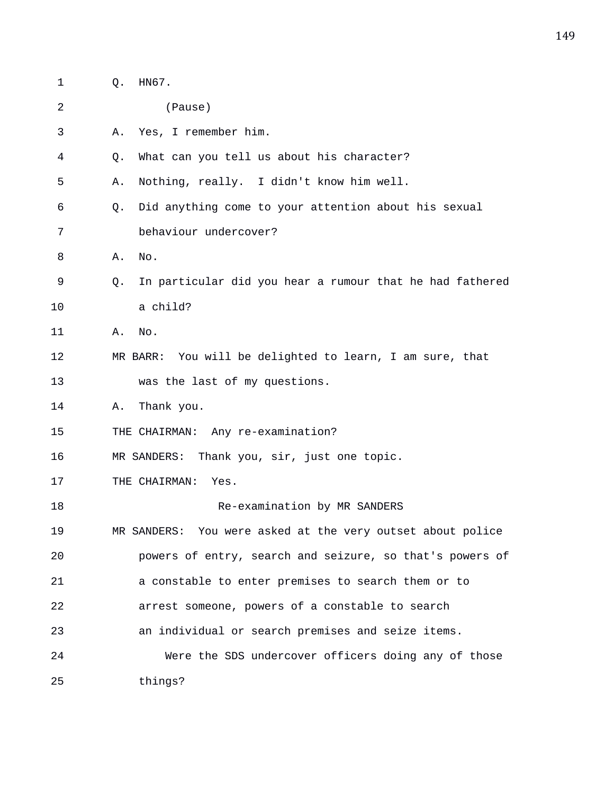| 1  | Q. | HN67.                                                      |
|----|----|------------------------------------------------------------|
| 2  |    | (Pause)                                                    |
| 3  | Α. | Yes, I remember him.                                       |
| 4  | Q. | What can you tell us about his character?                  |
| 5  | Α. | Nothing, really. I didn't know him well.                   |
| 6  | Q. | Did anything come to your attention about his sexual       |
| 7  |    | behaviour undercover?                                      |
| 8  | Α. | No.                                                        |
| 9  | Q. | In particular did you hear a rumour that he had fathered   |
| 10 |    | a child?                                                   |
| 11 | Α. | No.                                                        |
| 12 |    | MR BARR: You will be delighted to learn, I am sure, that   |
| 13 |    | was the last of my questions.                              |
| 14 | Α. | Thank you.                                                 |
| 15 |    | THE CHAIRMAN: Any re-examination?                          |
| 16 |    | Thank you, sir, just one topic.<br>MR SANDERS:             |
| 17 |    | THE CHAIRMAN:<br>Yes.                                      |
| 18 |    | Re-examination by MR SANDERS                               |
| 19 |    | MR SANDERS: You were asked at the very outset about police |
| 20 |    | powers of entry, search and seizure, so that's powers of   |
| 21 |    | a constable to enter premises to search them or to         |
| 22 |    | arrest someone, powers of a constable to search            |
| 23 |    | an individual or search premises and seize items.          |
| 24 |    | Were the SDS undercover officers doing any of those        |
| 25 |    | things?                                                    |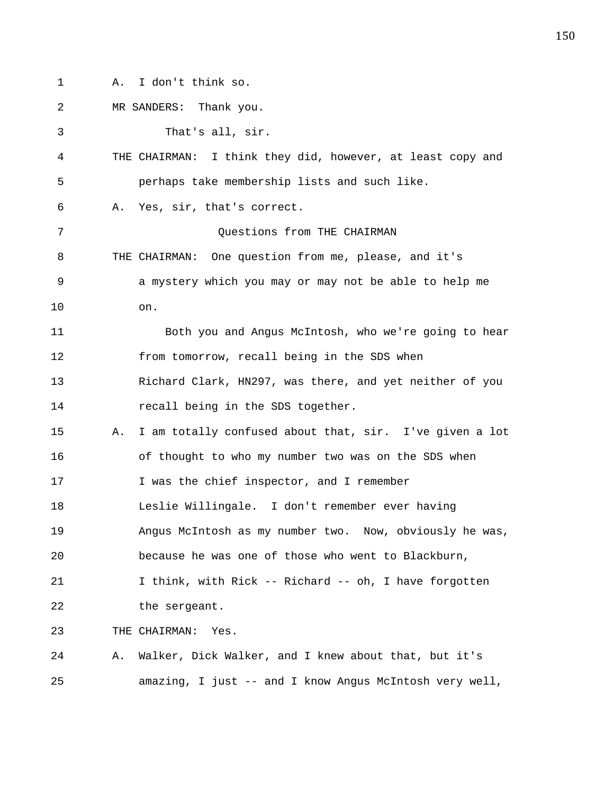1 A. I don't think so.

2 MR SANDERS: Thank you. 3 That's all, sir. 4 THE CHAIRMAN: I think they did, however, at least copy and 5 perhaps take membership lists and such like. 6 A. Yes, sir, that's correct. 7 Ouestions from THE CHAIRMAN 8 THE CHAIRMAN: One question from me, please, and it's 9 a mystery which you may or may not be able to help me 10 on. 11 Both you and Angus McIntosh, who we're going to hear 12 from tomorrow, recall being in the SDS when 13 Richard Clark, HN297, was there, and yet neither of you 14 **recall being in the SDS together.** 15 A. I am totally confused about that, sir. I've given a lot 16 of thought to who my number two was on the SDS when 17 I was the chief inspector, and I remember 18 Leslie Willingale. I don't remember ever having 19 Angus McIntosh as my number two. Now, obviously he was, 20 because he was one of those who went to Blackburn, 21 I think, with Rick -- Richard -- oh, I have forgotten 22 the sergeant. 23 THE CHAIRMAN: Yes. 24 A. Walker, Dick Walker, and I knew about that, but it's 25 amazing, I just -- and I know Angus McIntosh very well,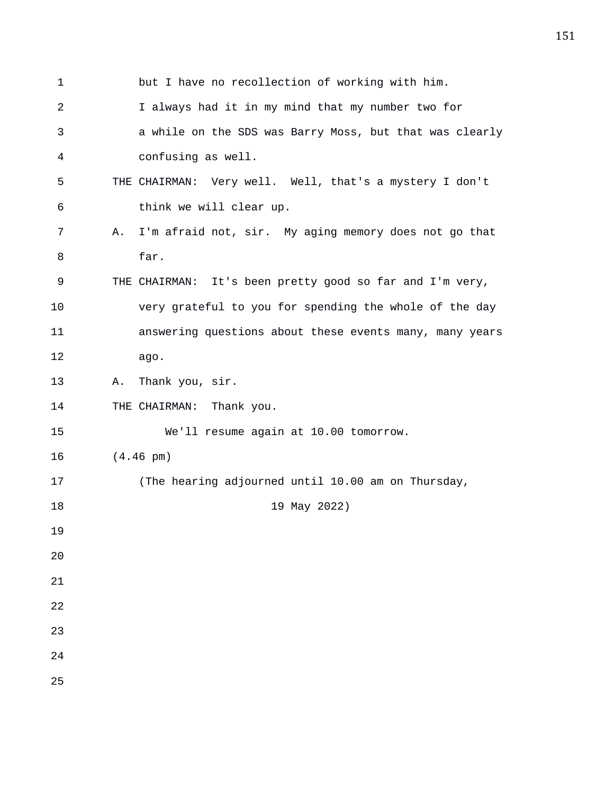| $\mathbf 1$    | but I have no recollection of working with him.             |
|----------------|-------------------------------------------------------------|
| $\overline{2}$ | I always had it in my mind that my number two for           |
| 3              | a while on the SDS was Barry Moss, but that was clearly     |
| 4              | confusing as well.                                          |
| 5              | THE CHAIRMAN: Very well. Well, that's a mystery I don't     |
| 6              | think we will clear up.                                     |
| 7              | I'm afraid not, sir. My aging memory does not go that<br>Α. |
| 8              | far.                                                        |
| 9              | THE CHAIRMAN: It's been pretty good so far and I'm very,    |
| 10             | very grateful to you for spending the whole of the day      |
| 11             | answering questions about these events many, many years     |
| 12             | ago.                                                        |
| 13             | Thank you, sir.<br>Α.                                       |
| 14             | THE CHAIRMAN: Thank you.                                    |
| 15             | We'll resume again at 10.00 tomorrow.                       |
| 16             | $(4.46 \text{ pm})$                                         |
| 17             | (The hearing adjourned until 10.00 am on Thursday,          |
| 18             | 19 May 2022)                                                |
| 19             |                                                             |
| 20             |                                                             |
| 21             |                                                             |
| 22             |                                                             |
| 23             |                                                             |
| 24             |                                                             |
| 25             |                                                             |

151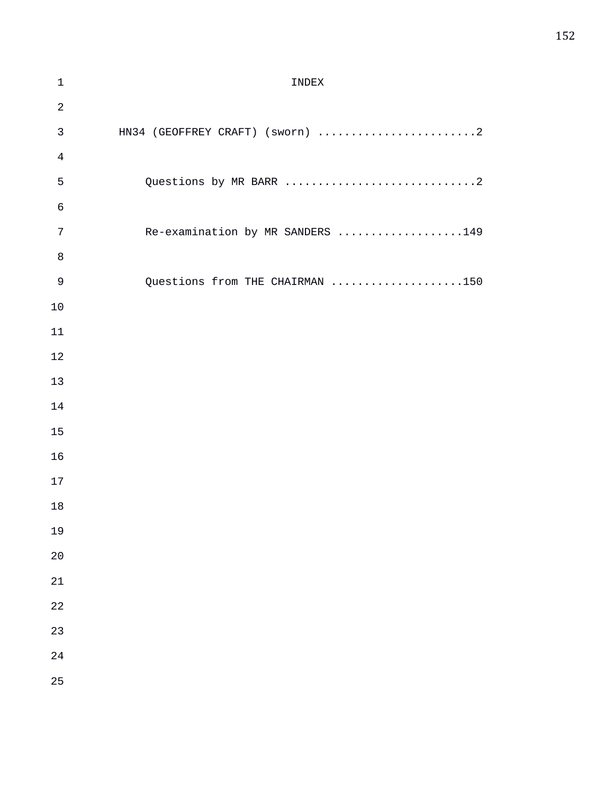## 1 INDEX 3 HN34 (GEOFFREY CRAFT) (sworn) ..............................2 5 Questions by MR BARR .............................2 7 Re-examination by MR SANDERS ...................149 9 Questions from THE CHAIRMAN ....................150